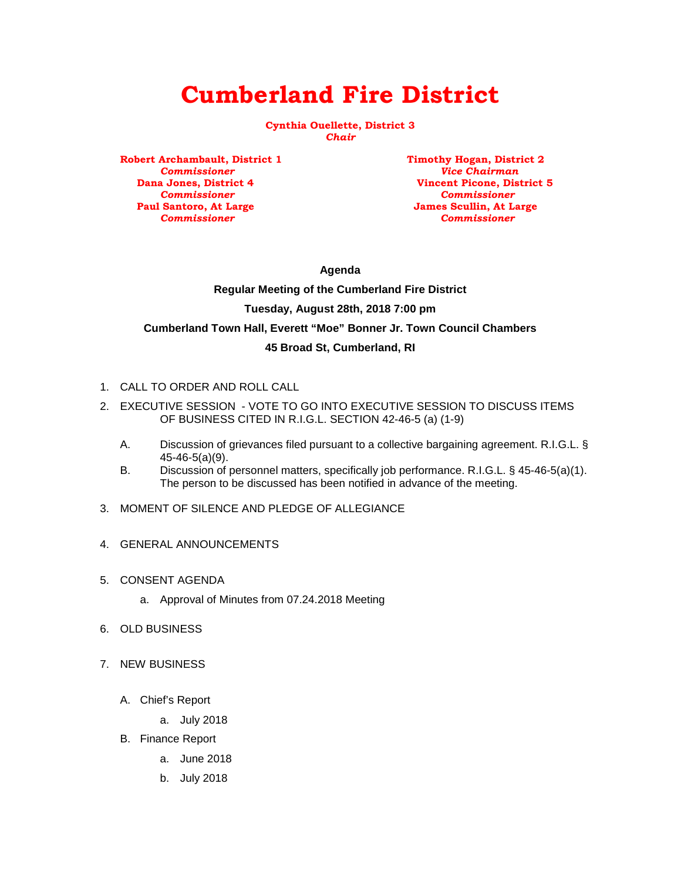# **Cumberland Fire District**

**Cynthia Ouellette, District 3** *Chair*

**Robert Archambault, District 1** Timothy Hogan, District 2<br> *Commissioner Vice Chairman* *Commissioner Vice Chairman* *Commissioner Commissioner Commissioner Commissioner*

**Vincent Picone, District 5**<br>*Commissioner* **James Scullin, At Large<br>Commissioner** 

**Agenda**

**Regular Meeting of the Cumberland Fire District Tuesday, August 28th, 2018 7:00 pm Cumberland Town Hall, Everett "Moe" Bonner Jr. Town Council Chambers 45 Broad St, Cumberland, RI**

- 1. CALL TO ORDER AND ROLL CALL
- 2. EXECUTIVE SESSION VOTE TO GO INTO [EXECUTIVE SESSION](javascript:getAttach() TO DISCUSS ITEMS OF BUSINESS CITED IN R.I.G.L. SECTION 42-46-5 (a) (1-9)
	- A. Discussion of grievances filed pursuant to a collective bargaining agreement. R.I.G.L. § 45-46-5(a)(9).
	- B. Discussion of personnel matters, specifically job performance. R.I.G.L. § 45-46-5(a)(1). The person to be discussed has been notified in advance of the meeting.
- 3. MOMENT OF SILENCE AND PLEDGE OF ALLEGIANCE
- 4. GENERAL ANNOUNCEMENTS
- 5. CONSENT AGENDA
	- a. Approval of Minutes from 07.24.2018 Meeting
- 6. OLD BUSINESS
- 7. NEW BUSINESS
	- A. Chief's Report
		- a. July 2018
	- B. Finance Report
		- a. June 2018
		- b. July 2018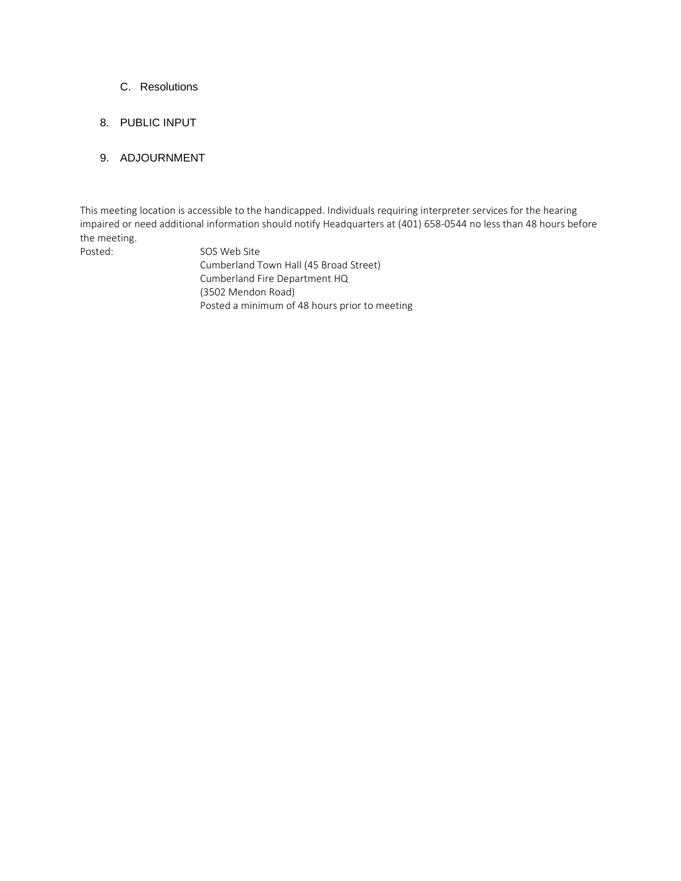#### C. Resolutions

#### 8. PUBLIC INPUT

#### 9. ADJOURNMENT

This meeting location is accessible to the handicapped. Individuals requiring interpreter services for the hearing impaired or need additional information should notify Headquarters at (401) 658-0544 no less than 48 hours before the meeting.

Posted: SOS Web Site Cumberland Town Hall (45 Broad Street) Cumberland Fire Department HQ (3502 Mendon Road) Posted a minimum of 48 hours prior to meeting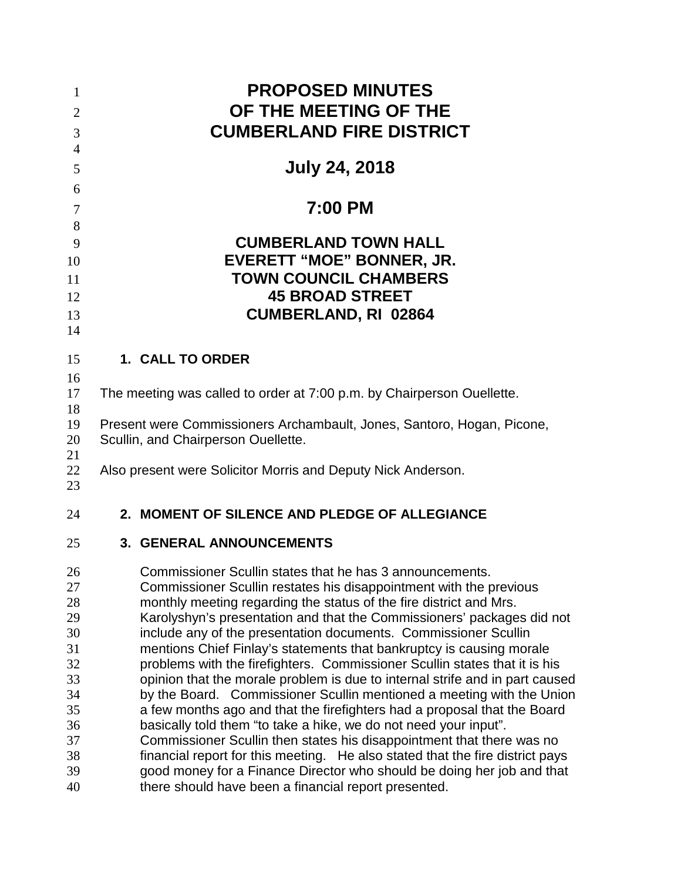| $\mathbf{1}$<br>$\overline{2}$<br>3 | <b>PROPOSED MINUTES</b><br>OF THE MEETING OF THE<br><b>CUMBERLAND FIRE DISTRICT</b>                                                       |
|-------------------------------------|-------------------------------------------------------------------------------------------------------------------------------------------|
| $\overline{4}$<br>5                 | <b>July 24, 2018</b>                                                                                                                      |
| 6<br>7                              | 7:00 PM                                                                                                                                   |
| 8                                   |                                                                                                                                           |
| 9<br>10<br>11<br>12                 | <b>CUMBERLAND TOWN HALL</b><br><b>EVERETT "MOE" BONNER, JR.</b><br><b>TOWN COUNCIL CHAMBERS</b><br><b>45 BROAD STREET</b>                 |
| 13                                  | <b>CUMBERLAND, RI 02864</b>                                                                                                               |
| 14                                  |                                                                                                                                           |
| 15<br>16                            | 1. CALL TO ORDER                                                                                                                          |
| 17<br>18                            | The meeting was called to order at 7:00 p.m. by Chairperson Ouellette.                                                                    |
| 19<br>20                            | Present were Commissioners Archambault, Jones, Santoro, Hogan, Picone,<br>Scullin, and Chairperson Ouellette.                             |
| 21<br>22<br>23                      | Also present were Solicitor Morris and Deputy Nick Anderson.                                                                              |
| 24                                  | 2. MOMENT OF SILENCE AND PLEDGE OF ALLEGIANCE                                                                                             |
| 25                                  | <b>3. GENERAL ANNOUNCEMENTS</b>                                                                                                           |
| 26                                  | Commissioner Scullin states that he has 3 announcements                                                                                   |
| 27                                  | Commissioner Scullin restates his disappointment with the previous                                                                        |
| 28                                  | monthly meeting regarding the status of the fire district and Mrs.                                                                        |
| 29<br>30                            | Karolyshyn's presentation and that the Commissioners' packages did not<br>include any of the presentation documents. Commissioner Scullin |
| 31                                  | mentions Chief Finlay's statements that bankruptcy is causing morale                                                                      |
| 32                                  | problems with the firefighters. Commissioner Scullin states that it is his                                                                |
| 33                                  | opinion that the morale problem is due to internal strife and in part caused                                                              |
| 34                                  | by the Board. Commissioner Scullin mentioned a meeting with the Union                                                                     |
| 35                                  | a few months ago and that the firefighters had a proposal that the Board                                                                  |
| 36                                  | basically told them "to take a hike, we do not need your input".                                                                          |
| 37                                  | Commissioner Scullin then states his disappointment that there was no                                                                     |
| 38                                  | financial report for this meeting. He also stated that the fire district pays                                                             |
| 39<br>40                            | good money for a Finance Director who should be doing her job and that<br>there should have been a financial report presented.            |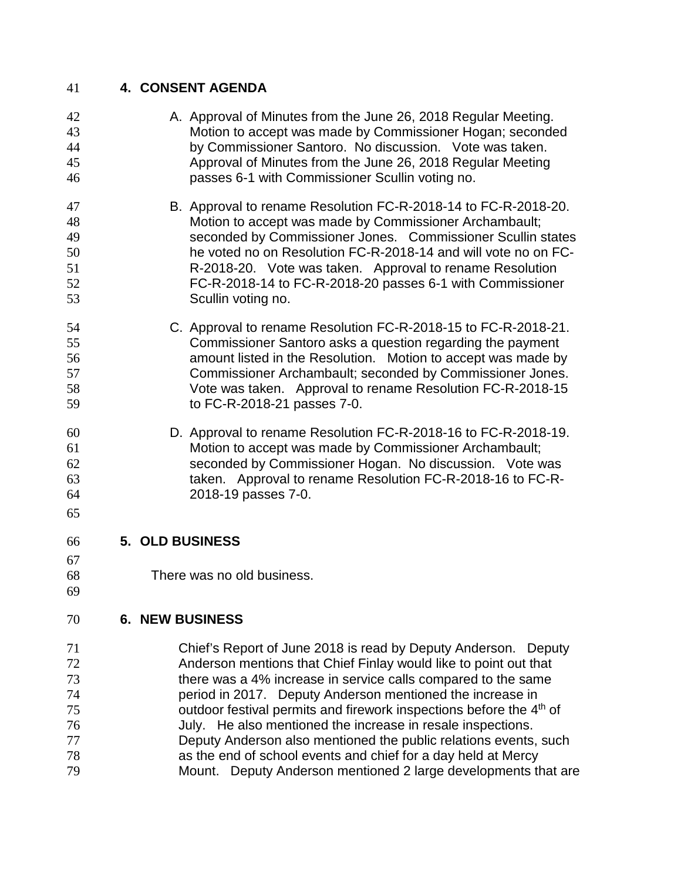# **4. CONSENT AGENDA**

- A. Approval of Minutes from the June 26, 2018 Regular Meeting. Motion to accept was made by Commissioner Hogan; seconded by Commissioner Santoro. No discussion. Vote was taken. Approval of Minutes from the June 26, 2018 Regular Meeting passes 6-1 with Commissioner Scullin voting no. B. Approval to rename Resolution FC-R-2018-14 to FC-R-2018-20. Motion to accept was made by Commissioner Archambault; 49 seconded by Commissioner Jones. Commissioner Scullin states<br>50 he voted no on Resolution FC-R-2018-14 and will vote no on FC- he voted no on Resolution FC-R-2018-14 and will vote no on FC- R-2018-20. Vote was taken. Approval to rename Resolution FC-R-2018-14 to FC-R-2018-20 passes 6-1 with Commissioner Scullin voting no. C. Approval to rename Resolution FC-R-2018-15 to FC-R-2018-21. Commissioner Santoro asks a question regarding the payment amount listed in the Resolution. Motion to accept was made by Commissioner Archambault; seconded by Commissioner Jones. Vote was taken. Approval to rename Resolution FC-R-2018-15 to FC-R-2018-21 passes 7-0. D. Approval to rename Resolution FC-R-2018-16 to FC-R-2018-19. Motion to accept was made by Commissioner Archambault; seconded by Commissioner Hogan. No discussion. Vote was taken. Approval to rename Resolution FC-R-2018-16 to FC-R- 2018-19 passes 7-0. **5. OLD BUSINESS** There was no old business. **6. NEW BUSINESS**
- Chief's Report of June 2018 is read by Deputy Anderson. Deputy Anderson mentions that Chief Finlay would like to point out that there was a 4% increase in service calls compared to the same period in 2017. Deputy Anderson mentioned the increase in outdoor festival permits and firework inspections before the  $4<sup>th</sup>$  of July. He also mentioned the increase in resale inspections. Deputy Anderson also mentioned the public relations events, such as the end of school events and chief for a day held at Mercy Mount. Deputy Anderson mentioned 2 large developments that are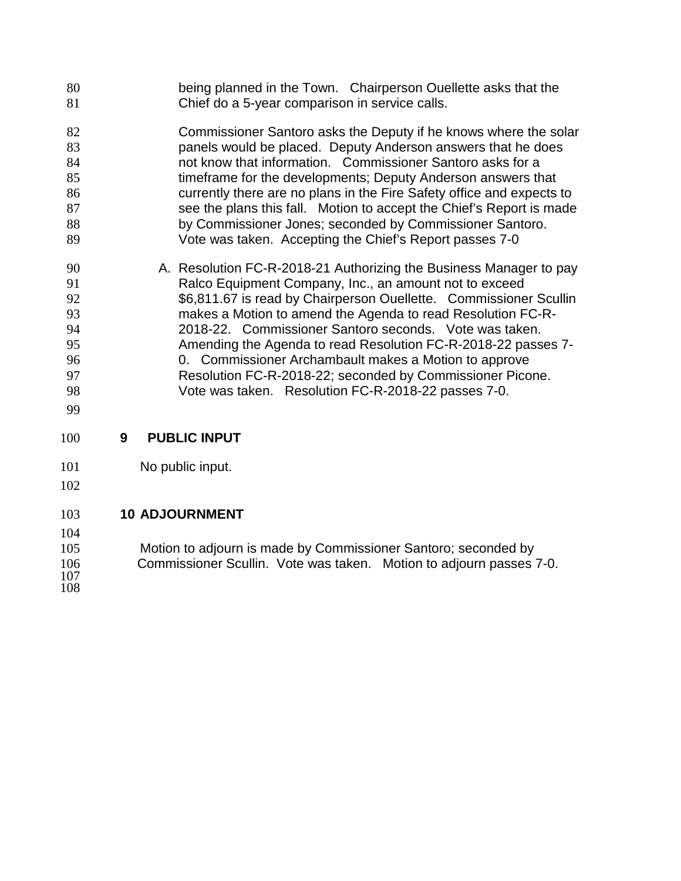| 80 | being planned in the Town. Chairperson Ouellette asks that the        |
|----|-----------------------------------------------------------------------|
| 81 | Chief do a 5-year comparison in service calls.                        |
| 82 | Commissioner Santoro asks the Deputy if he knows where the solar      |
| 83 | panels would be placed. Deputy Anderson answers that he does          |
| 84 | not know that information. Commissioner Santoro asks for a            |
| 85 | timeframe for the developments; Deputy Anderson answers that          |
| 86 | currently there are no plans in the Fire Safety office and expects to |
| 87 | see the plans this fall. Motion to accept the Chief's Report is made  |
| 88 | by Commissioner Jones; seconded by Commissioner Santoro.              |
| 89 | Vote was taken. Accepting the Chief's Report passes 7-0               |
| 90 | A. Resolution FC-R-2018-21 Authorizing the Business Manager to pay    |
| 91 | Ralco Equipment Company, Inc., an amount not to exceed                |
| 92 | \$6,811.67 is read by Chairperson Ouellette. Commissioner Scullin     |
| 93 | makes a Motion to amend the Agenda to read Resolution FC-R-           |
| 94 | 2018-22. Commissioner Santoro seconds. Vote was taken.                |
| 95 | Amending the Agenda to read Resolution FC-R-2018-22 passes 7-         |
| 96 | 0. Commissioner Archambault makes a Motion to approve                 |
| 97 | Resolution FC-R-2018-22; seconded by Commissioner Picone.             |
| 98 | Vote was taken. Resolution FC-R-2018-22 passes 7-0.                   |
| 99 |                                                                       |

**9 PUBLIC INPUT**

101 No public input.

# **10 ADJOURNMENT**

 Motion to adjourn is made by Commissioner Santoro; seconded by Commissioner Scullin. Vote was taken. Motion to adjourn passes 7-0.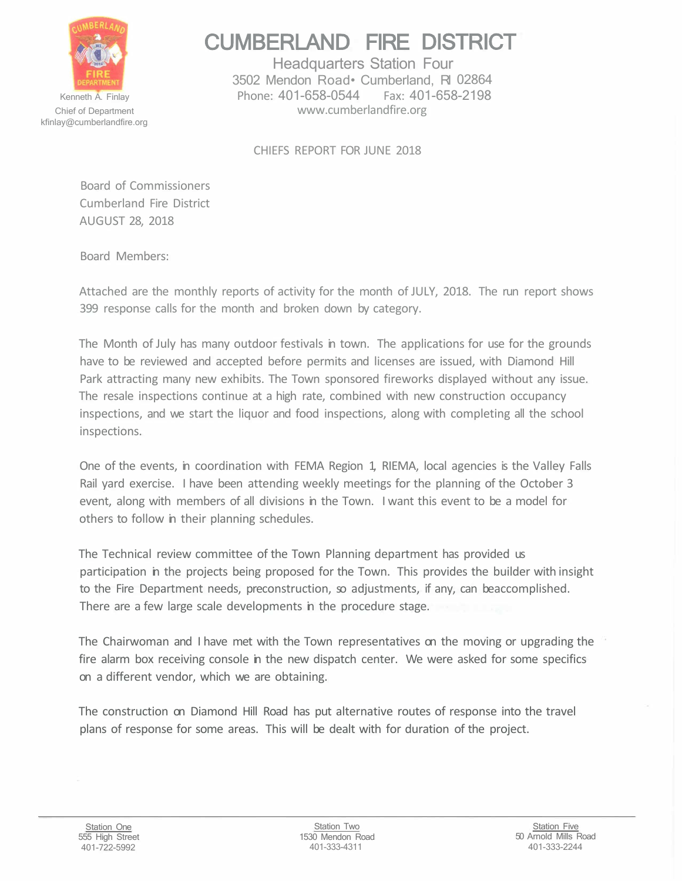

Kenneth A. Finlay Chief of Department kfinlay@cumberlandfire.org CUMBERLAND FIRE DISTRICT

Headquarters Station Four 3502 Mendon Road• Cumberland, RI 02864 Phone: 401-658-0544 Fax: 401-658-2198 www.cumberlandfire.org

CHIEFS REPORT FOR JUNE 2018

Board of Commissioners Cumberland Fire District AUGUST 28, 2018

Board Members:

Attached are the monthly reports of activity for the month of JULY, 2018. The run report shows 399 response calls for the month and broken down by category.

The Month of July has many outdoor festivals in town. The applications for use for the grounds have to be reviewed and accepted before permits and licenses are issued, with Diamond Hill Park attracting many new exhibits. The Town sponsored fireworks displayed without any issue. The resale inspections continue at a high rate, combined with new construction occupancy inspections, and we start the liquor and food inspections, along with completing all the school inspections.

One of the events, in coordination with FEMA Region 1, RIEMA, local agencies is the Valley Falls Rail yard exercise. I have been attending weekly meetings for the planning of the October 3 event, along with members of all divisions in the Town. I want this event to be a model for others to follow in their planning schedules.

The Technical review committee of the Town Planning department has provided us participation in the projects being proposed for the Town. This provides the builder with insight to the Fire Department needs, preconstruction, so adjustments, if any, can be accomplished. There are a few large scale developments in the procedure stage.

The Chairwoman and I have met with the Town representatives on the moving or upgrading the fire alarm box receiving console in the new dispatch center. We were asked for some specifics on a different vendor, which we are obtaining.

The construction on Diamond Hill Road has put alternative routes of response into the travel plans of response for some areas. This will be dealt with for duration of the project.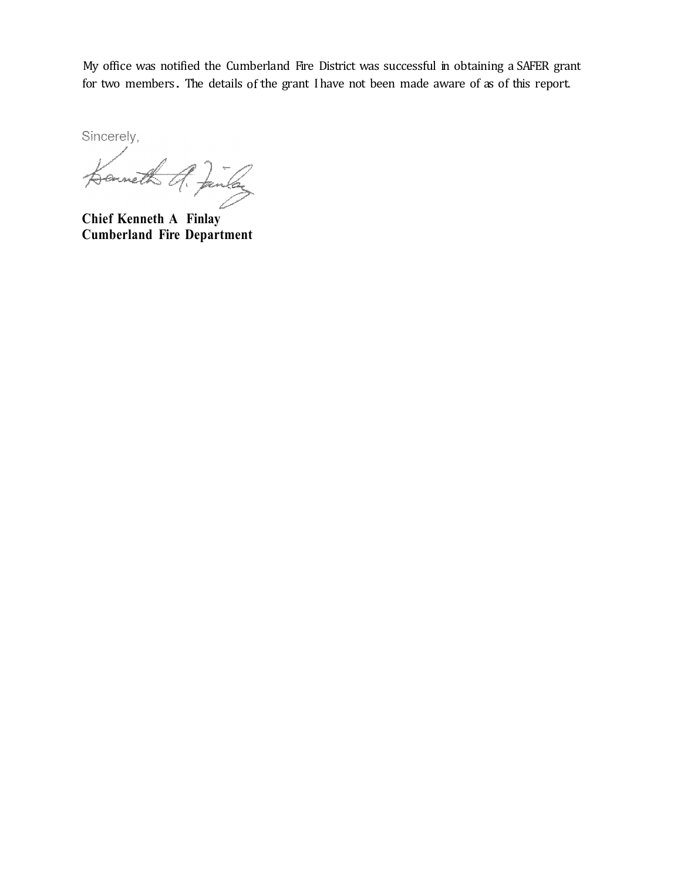My office was notified the Cumberland Fire District was successful in obtaining a SAFER grant for two members . The details of the grant I have not been made aware of as of this report.

Sincerely,

**Chief Kenneth A Finlay** 

**Cumberland Fire Department**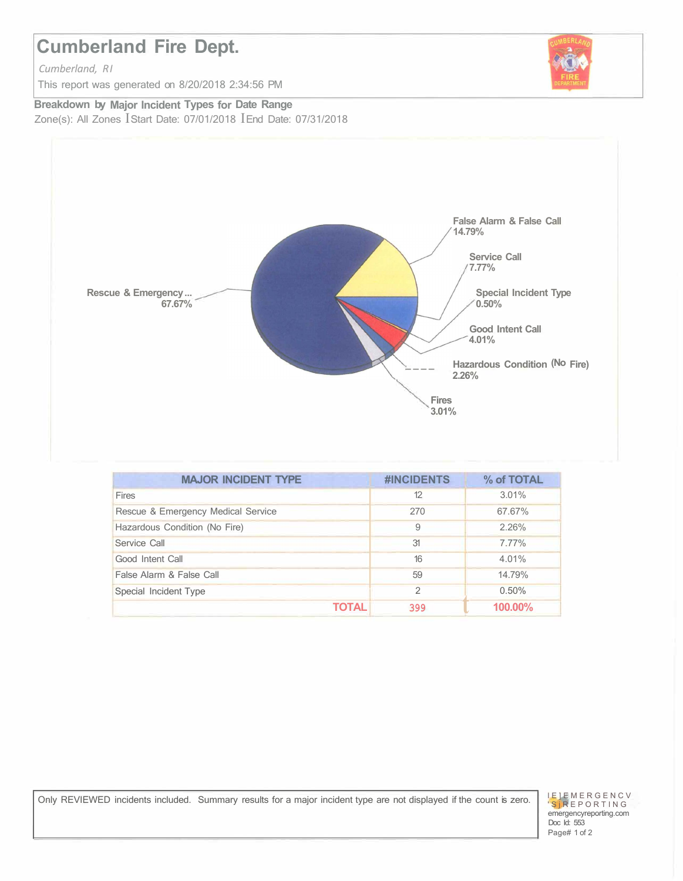# **Cumberland Fire Dept.**

*Cumberland, RI* 

This report was generated on 8/20/2018 2:34:56 PM



**Breakdown by Major Incident Types for Date Range**  Zone(s): All Zones I Start Date: 07/01/2018 I End Date: 07/31/2018



| <b>MAJOR INCIDENT TYPE</b>         | <b>#INCIDENTS</b> | % of TOTAL |
|------------------------------------|-------------------|------------|
| <b>Fires</b>                       | 12                | 3.01%      |
| Rescue & Emergency Medical Service | 270               | 67.67%     |
| Hazardous Condition (No Fire)      | 9                 | 2.26%      |
| Service Call                       | 31                | 7.77%      |
| Good Intent Call                   | 16                | 4.01%      |
| False Alarm & False Call           | 59                | 14.79%     |
| Special Incident Type              | $\mathcal{P}$     | 0.50%      |
| TOTAL                              | 399               | 100.00%    |

Only REVIEWED incidents included. Summary results for a major incident type are not displayed if the count is zero.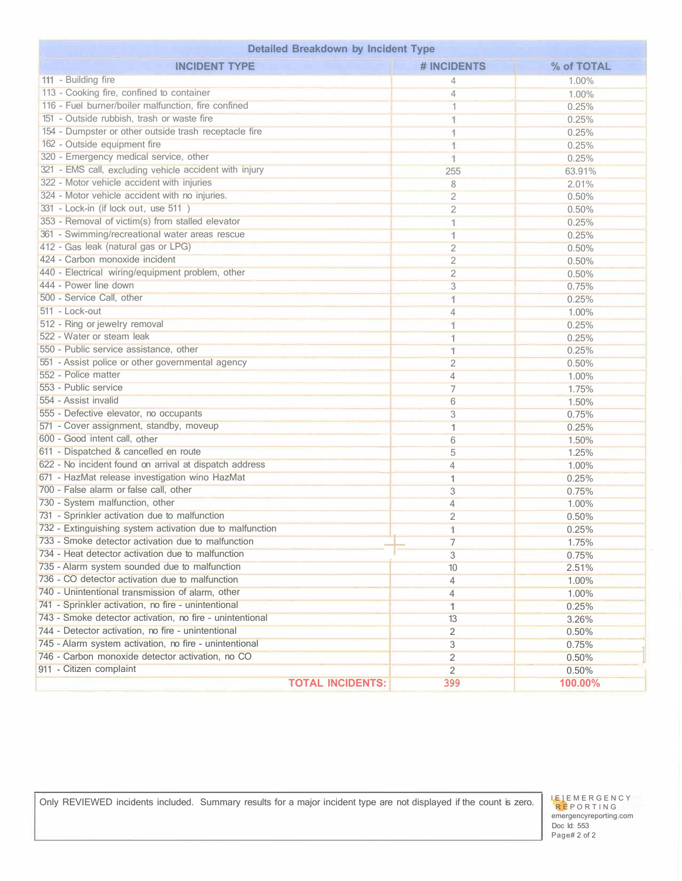| <b>Detailed Breakdown by Incident Type</b>               |                   |            |  |  |  |  |  |  |  |
|----------------------------------------------------------|-------------------|------------|--|--|--|--|--|--|--|
| <b>INCIDENT TYPE</b>                                     | # INCIDENTS       | % of TOTAL |  |  |  |  |  |  |  |
| 111 - Building fire                                      | 4                 | 1.00%      |  |  |  |  |  |  |  |
| 113 - Cooking fire, confined to container                | 4                 | 1.00%      |  |  |  |  |  |  |  |
| 116 - Fuel burner/boiler malfunction, fire confined      | 1                 | 0.25%      |  |  |  |  |  |  |  |
| 151 - Outside rubbish, trash or waste fire               |                   | 0.25%      |  |  |  |  |  |  |  |
| 154 - Dumpster or other outside trash receptacle fire    |                   | 0.25%      |  |  |  |  |  |  |  |
| 162 - Outside equipment fire                             | Ŧ                 | 0.25%      |  |  |  |  |  |  |  |
| 320 - Emergency medical service, other                   | Ψ                 | 0.25%      |  |  |  |  |  |  |  |
| 321 - EMS call, excluding vehicle accident with injury   | 255               | 63.91%     |  |  |  |  |  |  |  |
| 322 - Motor vehicle accident with injuries               | 8                 | 2.01%      |  |  |  |  |  |  |  |
| 324 - Motor vehicle accident with no injuries.           | $\overline{2}$    | 0.50%      |  |  |  |  |  |  |  |
| 331 - Lock-in (if lock out, use 511)                     | $\overline{2}$    | 0.50%      |  |  |  |  |  |  |  |
| 353 - Removal of victim(s) from stalled elevator         | 1                 | 0.25%      |  |  |  |  |  |  |  |
| 361 - Swimming/recreational water areas rescue           | Τ                 | 0.25%      |  |  |  |  |  |  |  |
| 412 - Gas leak (natural gas or LPG)                      | $\overline{2}$    | 0.50%      |  |  |  |  |  |  |  |
| 424 - Carbon monoxide incident                           | $\overline{2}$    | 0.50%      |  |  |  |  |  |  |  |
| 440 - Electrical wiring/equipment problem, other         | $\overline{2}$    | 0.50%      |  |  |  |  |  |  |  |
| 444 - Power line down                                    | 3                 | 0.75%      |  |  |  |  |  |  |  |
| 500 - Service Call, other                                | Ť                 |            |  |  |  |  |  |  |  |
| 511 - Lock-out                                           |                   | 0.25%      |  |  |  |  |  |  |  |
| 512 - Ring or jewelry removal                            | $\overline{4}$    | 1.00%      |  |  |  |  |  |  |  |
| 522 - Water or steam leak                                | Ť                 | 0.25%      |  |  |  |  |  |  |  |
|                                                          | $\ddot{\uparrow}$ | 0.25%      |  |  |  |  |  |  |  |
| 550 - Public service assistance, other                   | $\ddot{\uparrow}$ | 0.25%      |  |  |  |  |  |  |  |
| 551 - Assist police or other governmental agency         | $\overline{2}$    | 0.50%      |  |  |  |  |  |  |  |
| 552 - Police matter                                      | $\overline{4}$    | 1.00%      |  |  |  |  |  |  |  |
| 553 - Public service                                     | 7                 | 1.75%      |  |  |  |  |  |  |  |
| 554 - Assist invalid                                     | 6                 | 1.50%      |  |  |  |  |  |  |  |
| 555 - Defective elevator, no occupants                   | 3                 | 0.75%      |  |  |  |  |  |  |  |
| 571 - Cover assignment, standby, moveup                  | 1                 | 0.25%      |  |  |  |  |  |  |  |
| 600 - Good intent call, other                            | 6                 | 1.50%      |  |  |  |  |  |  |  |
| 611 - Dispatched & cancelled en route                    | 5                 | 1.25%      |  |  |  |  |  |  |  |
| 622 - No incident found on arrival at dispatch address   | $\overline{4}$    | 1.00%      |  |  |  |  |  |  |  |
| 671 - HazMat release investigation wino HazMat           | 1                 | 0.25%      |  |  |  |  |  |  |  |
| 700 - False alarm or false call, other                   | 3                 | 0.75%      |  |  |  |  |  |  |  |
| 730 - System malfunction, other                          | $\overline{4}$    | 1.00%      |  |  |  |  |  |  |  |
| 731 - Sprinkler activation due to malfunction            | $\overline{2}$    | 0.50%      |  |  |  |  |  |  |  |
| 732 - Extinguishing system activation due to malfunction | 1                 | 0.25%      |  |  |  |  |  |  |  |
| 733 - Smoke detector activation due to malfunction       | 7                 | 1.75%      |  |  |  |  |  |  |  |
| 734 - Heat detector activation due to malfunction        | 3                 | 0.75%      |  |  |  |  |  |  |  |
| 735 - Alarm system sounded due to malfunction            | 10                | 2.51%      |  |  |  |  |  |  |  |
| 736 - CO detector activation due to malfunction          | $\overline{4}$    | 1.00%      |  |  |  |  |  |  |  |
| 740 - Unintentional transmission of alarm, other         | 4                 | 1.00%      |  |  |  |  |  |  |  |
| 741 - Sprinkler activation, no fire - unintentional      | 1                 | 0.25%      |  |  |  |  |  |  |  |
| 743 - Smoke detector activation, no fire - unintentional | 13                | 3.26%      |  |  |  |  |  |  |  |
| 744 - Detector activation, no fire - unintentional       | $\overline{2}$    | 0.50%      |  |  |  |  |  |  |  |
| 745 - Alarm system activation, no fire - unintentional   | 3                 | 0.75%      |  |  |  |  |  |  |  |
| 746 - Carbon monoxide detector activation, no CO         | $\overline{2}$    | 0.50%      |  |  |  |  |  |  |  |
| 911 - Citizen complaint                                  | $\overline{2}$    | 0.50%      |  |  |  |  |  |  |  |
| <b>TOTAL INCIDENTS:</b>                                  | 399               | 100.00%    |  |  |  |  |  |  |  |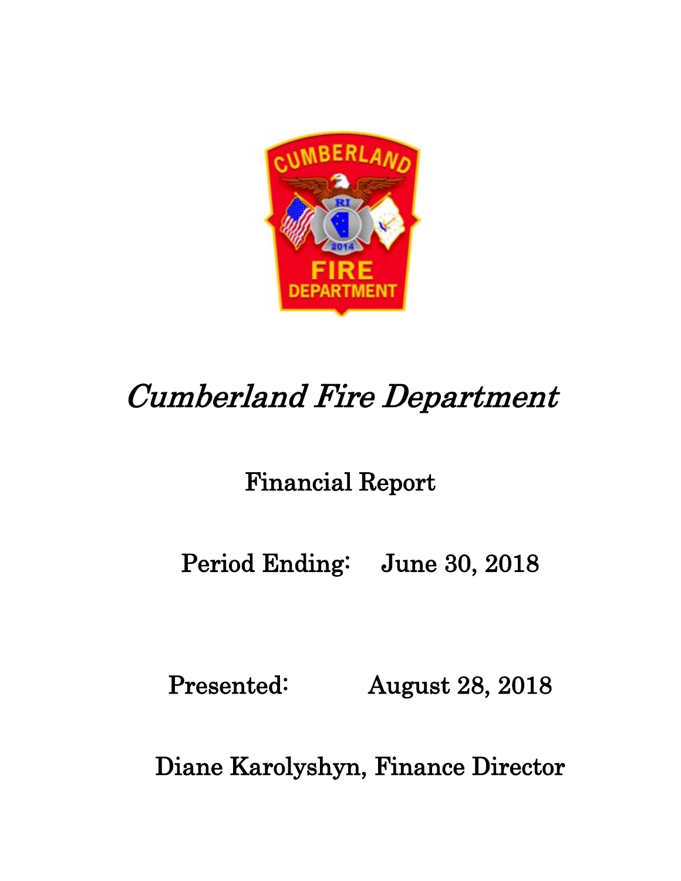

# Cumberland Fire Department

# Financial Report

# Period Ending: June 30, 2018

Presented: August 28, 2018

Diane Karolyshyn, Finance Director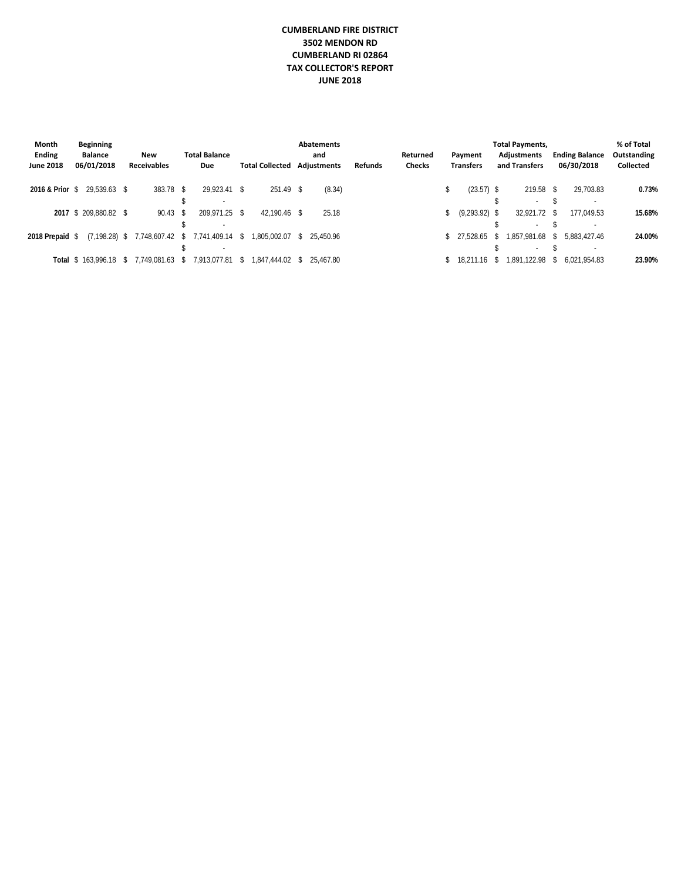#### **CUMBERLAND FIRE DISTRICT 3502 MENDON RD CUMBERLAND RI 02864 TAX COLLECTOR'S REPORT JUNE 2018**

| Month<br><b>Ending</b><br><b>June 2018</b> | <b>Beginning</b><br><b>Balance</b><br>06/01/2018 | New<br><b>Receivables</b> | <b>Total Balance</b><br>Due                           | <b>Total Collected</b> | <b>Abatements</b><br>and<br>Adjustments | <b>Refunds</b> | Returned<br><b>Checks</b> | Payment<br><b>Transfers</b> | <b>Total Payments,</b><br>Adjustments<br>and Transfers | <b>Ending Balance</b><br>06/30/2018 | % of Total<br>Outstanding<br><b>Collected</b> |
|--------------------------------------------|--------------------------------------------------|---------------------------|-------------------------------------------------------|------------------------|-----------------------------------------|----------------|---------------------------|-----------------------------|--------------------------------------------------------|-------------------------------------|-----------------------------------------------|
| 2016 & Prior \$ 29.539.63 \$               |                                                  | 383.78 \$                 | 29.923.41 \$                                          | 251.49 \$              | (8.34)                                  |                |                           | $(23.57)$ \$                | $219.58$ \$                                            | 29,703.83                           | 0.73%                                         |
|                                            | 2017 \$ 209.880.82 \$                            | $90.43$ \$                | 209.971.25 \$                                         | 42.190.46 \$           | 25.18                                   |                |                           | \$ (9,293.92) \$            | $\sim$<br>32.921.72 \$                                 | 177.049.53                          | 15.68%                                        |
| 2018 Prepaid \$                            |                                                  |                           | ٠.<br>$(7.198.28)$ \$ 7.748.607.42 \$ 7.741.409.14 \$ | 1,805,002.07 \$        | 25.450.96                               |                |                           | $$27.528.65$ \$             | $\sim$<br>1,857,981.68 \$                              | 5,883,427.46                        | 24.00%                                        |
|                                            | Total \$ 163,996.18 \$                           | 7,749,081.63 \$           | 7.913.077.81                                          | 1.847.444.02 \$        | 25.467.80                               |                |                           | $$18.211.16$ \, \$          | $\overline{\phantom{a}}$<br>1,891,122.98               | 6.021.954.83                        | 23.90%                                        |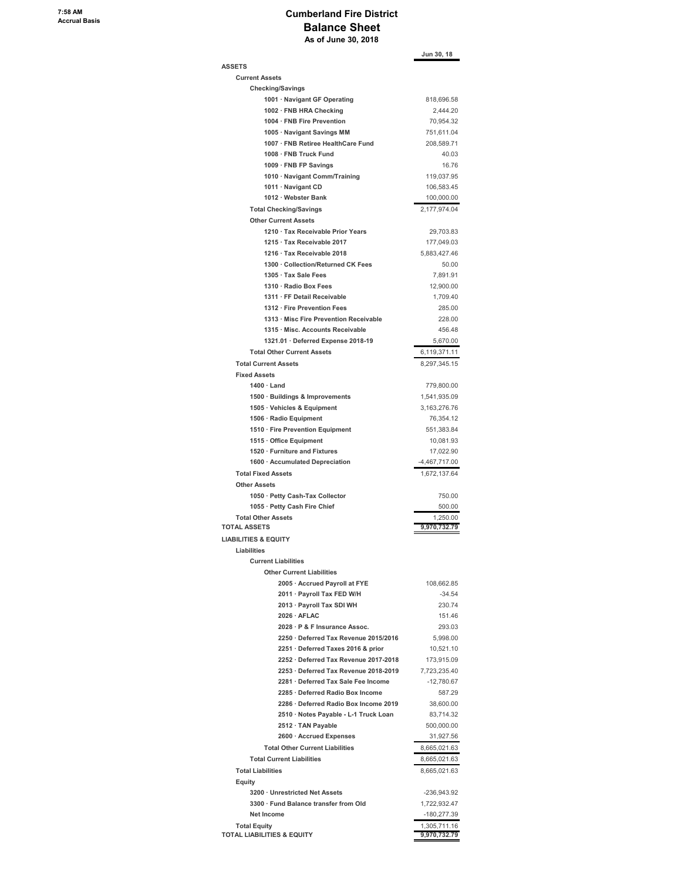#### **Cumberland Fire District Balance Sheet As of June 30, 2018**

|                                                                            | Jun 30, 18               |
|----------------------------------------------------------------------------|--------------------------|
| <b>ASSETS</b>                                                              |                          |
| <b>Current Assets</b>                                                      |                          |
| <b>Checking/Savings</b>                                                    |                          |
| 1001 · Navigant GF Operating                                               | 818,696.58               |
| 1002 · FNB HRA Checking                                                    | 2,444.20                 |
| 1004 · FNB Fire Prevention                                                 | 70,954.32                |
| 1005 · Navigant Savings MM                                                 | 751.611.04               |
| 1007 · FNB Retiree HealthCare Fund                                         | 208,589.71               |
| 1008 · FNB Truck Fund                                                      | 40.03                    |
| 1009 · FNB FP Savings<br>1010 · Navigant Comm/Training                     | 16.76<br>119,037.95      |
| 1011 · Navigant CD                                                         | 106.583.45               |
| 1012 · Webster Bank                                                        | 100,000.00               |
| <b>Total Checking/Savings</b>                                              | 2,177,974.04             |
| <b>Other Current Assets</b>                                                |                          |
| 1210 · Tax Receivable Prior Years                                          | 29,703.83                |
| 1215 · Tax Receivable 2017                                                 | 177,049.03               |
| 1216 · Tax Receivable 2018                                                 | 5,883,427.46             |
| 1300 · Collection/Returned CK Fees                                         | 50.00                    |
| 1305 · Tax Sale Fees                                                       | 7,891.91                 |
| 1310 · Radio Box Fees                                                      | 12.900.00                |
| 1311 · FF Detail Receivable                                                | 1,709.40                 |
| 1312 · Fire Prevention Fees                                                | 285.00                   |
| 1313 · Misc Fire Prevention Receivable                                     | 228.00                   |
| 1315 · Misc. Accounts Receivable                                           | 456.48                   |
| 1321.01 · Deferred Expense 2018-19                                         | 5,670.00                 |
| <b>Total Other Current Assets</b>                                          | 6,119,371.11             |
| <b>Total Current Assets</b><br><b>Fixed Assets</b>                         | 8,297,345.15             |
| $1400 \cdot$ Land                                                          | 779,800.00               |
| 1500 · Buildings & Improvements                                            | 1,541,935.09             |
| 1505 · Vehicles & Equipment                                                | 3,163,276.76             |
| 1506 · Radio Equipment                                                     | 76,354.12                |
| 1510 · Fire Prevention Equipment                                           | 551,383.84               |
| 1515 · Office Equipment                                                    | 10,081.93                |
| 1520 · Furniture and Fixtures                                              | 17,022.90                |
| 1600 · Accumulated Depreciation                                            | $-4,467,717.00$          |
| <b>Total Fixed Assets</b>                                                  | 1,672,137.64             |
| <b>Other Assets</b>                                                        |                          |
| 1050 · Petty Cash-Tax Collector                                            | 750.00                   |
| 1055 · Petty Cash Fire Chief                                               | 500.00                   |
| <b>Total Other Assets</b><br><b>TOTAL ASSETS</b>                           | 1,250.00<br>9,970,732.79 |
|                                                                            |                          |
| <b>LIABILITIES &amp; EQUITY</b><br>Liabilities                             |                          |
| <b>Current Liabilities</b>                                                 |                          |
| <b>Other Current Liabilities</b>                                           |                          |
| 2005 · Accrued Payroll at FYE                                              | 108,662.85               |
| 2011 · Payroll Tax FED W/H                                                 | $-34.54$                 |
| 2013 · Payroll Tax SDI WH                                                  | 230.74                   |
| $2026 \cdot AFLAC$                                                         | 151.46                   |
| 2028 · P & F Insurance Assoc.                                              | 293.03                   |
| 2250 · Deferred Tax Revenue 2015/2016                                      | 5,998.00                 |
| 2251 · Deferred Taxes 2016 & prior                                         | 10,521.10                |
| 2252 · Deferred Tax Revenue 2017-2018                                      | 173.915.09               |
| 2253 · Deferred Tax Revenue 2018-2019                                      | 7,723,235.40             |
| 2281 · Deferred Tax Sale Fee Income                                        | $-12.780.67$             |
| 2285 · Deferred Radio Box Income                                           | 587.29                   |
| 2286 · Deferred Radio Box Income 2019                                      | 38,600.00                |
| 2510 · Notes Payable - L-1 Truck Loan                                      | 83,714.32                |
| 2512 · TAN Payable                                                         | 500,000.00               |
| 2600 · Accrued Expenses                                                    | 31,927.56                |
| <b>Total Other Current Liabilities</b><br><b>Total Current Liabilities</b> | 8,665,021.63             |
|                                                                            | 8,665,021.63             |
| <b>Total Liabilities</b><br>Equity                                         | 8,665,021.63             |
| 3200 · Unrestricted Net Assets                                             | -236,943.92              |
| 3300 · Fund Balance transfer from Old                                      | 1,722,932.47             |
| Net Income                                                                 | $-180,277.39$            |
| <b>Total Equity</b>                                                        | 1,305,711.16             |
| <b>TOTAL LIABILITIES &amp; EQUITY</b>                                      | 9,970,732.79             |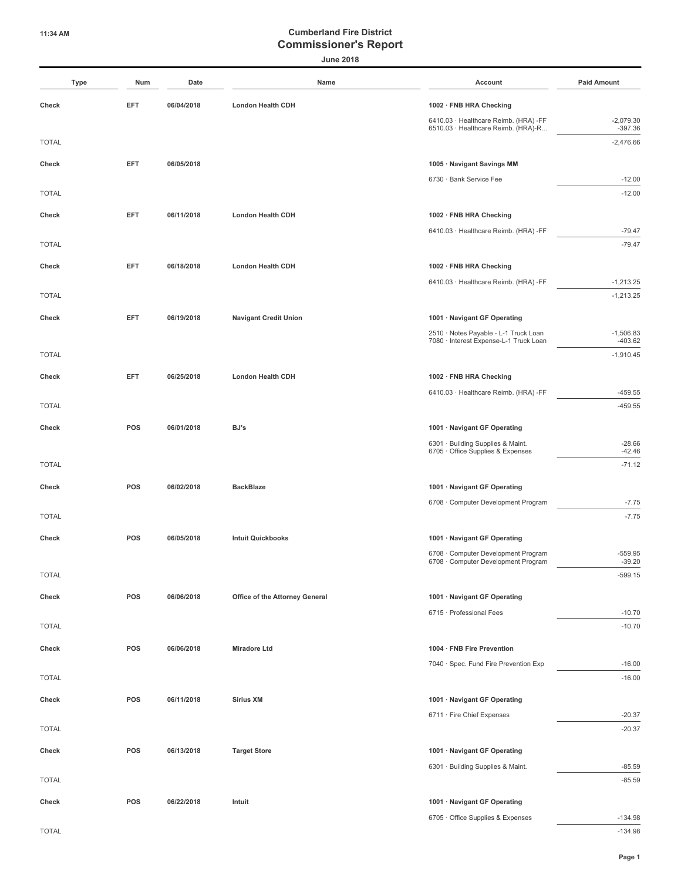| Type         | Num        | Date       | Name                           | Account                                                                         | <b>Paid Amount</b>       |
|--------------|------------|------------|--------------------------------|---------------------------------------------------------------------------------|--------------------------|
| Check        | EFT        | 06/04/2018 | <b>London Health CDH</b>       | 1002 · FNB HRA Checking                                                         |                          |
|              |            |            |                                | 6410.03 · Healthcare Reimb. (HRA) -FF<br>6510.03 · Healthcare Reimb. (HRA)-R    | $-2,079.30$<br>$-397.36$ |
| <b>TOTAL</b> |            |            |                                |                                                                                 | $-2,476.66$              |
| Check        | EFT        | 06/05/2018 |                                | 1005 · Navigant Savings MM                                                      |                          |
|              |            |            |                                | 6730 · Bank Service Fee                                                         | $-12.00$                 |
| <b>TOTAL</b> |            |            |                                |                                                                                 | $-12.00$                 |
| Check        | EFT        | 06/11/2018 | <b>London Health CDH</b>       | 1002 · FNB HRA Checking                                                         |                          |
|              |            |            |                                | 6410.03 · Healthcare Reimb. (HRA) -FF                                           | $-79.47$                 |
| <b>TOTAL</b> |            |            |                                |                                                                                 | $-79.47$                 |
| Check        | EFT        | 06/18/2018 | London Health CDH              | 1002 · FNB HRA Checking                                                         |                          |
|              |            |            |                                | 6410.03 · Healthcare Reimb. (HRA) -FF                                           | $-1,213.25$              |
| <b>TOTAL</b> |            |            |                                |                                                                                 | $-1,213.25$              |
| Check        | EFT        | 06/19/2018 | <b>Navigant Credit Union</b>   | 1001 · Navigant GF Operating                                                    |                          |
|              |            |            |                                | 2510 · Notes Payable - L-1 Truck Loan<br>7080 · Interest Expense-L-1 Truck Loan | $-1,506.83$<br>$-403.62$ |
| <b>TOTAL</b> |            |            |                                |                                                                                 | $-1,910.45$              |
| Check        | EFT        | 06/25/2018 | <b>London Health CDH</b>       | 1002 · FNB HRA Checking                                                         |                          |
|              |            |            |                                | 6410.03 · Healthcare Reimb. (HRA) -FF                                           | $-459.55$                |
| <b>TOTAL</b> |            |            |                                |                                                                                 | $-459.55$                |
| Check        | <b>POS</b> | 06/01/2018 | BJ's                           | 1001 · Navigant GF Operating                                                    |                          |
|              |            |            |                                | 6301 · Building Supplies & Maint.<br>6705 · Office Supplies & Expenses          | $-28.66$<br>$-42.46$     |
| <b>TOTAL</b> |            |            |                                |                                                                                 | $-71.12$                 |
| Check        | POS        | 06/02/2018 | <b>BackBlaze</b>               | 1001 · Navigant GF Operating                                                    |                          |
|              |            |            |                                | 6708 Computer Development Program                                               | $-7.75$                  |
| <b>TOTAL</b> |            |            |                                |                                                                                 | $-7.75$                  |
| Check        | <b>POS</b> | 06/05/2018 | <b>Intuit Quickbooks</b>       | 1001 · Navigant GF Operating                                                    |                          |
|              |            |            |                                | 6708 Computer Development Program                                               | $-559.95$                |
| <b>TOTAL</b> |            |            |                                | 6708 Computer Development Program                                               | $-39.20$<br>$-599.15$    |
|              |            |            |                                |                                                                                 |                          |
| Check        | POS        | 06/06/2018 | Office of the Attorney General | 1001 · Navigant GF Operating<br>6715 · Professional Fees                        |                          |
| <b>TOTAL</b> |            |            |                                |                                                                                 | $-10.70$<br>$-10.70$     |
|              |            |            |                                | 1004 · FNB Fire Prevention                                                      |                          |
| Check        | POS        | 06/06/2018 | <b>Miradore Ltd</b>            | 7040 · Spec. Fund Fire Prevention Exp                                           | $-16.00$                 |
| <b>TOTAL</b> |            |            |                                |                                                                                 | $-16.00$                 |
| Check        | <b>POS</b> | 06/11/2018 | <b>Sirius XM</b>               | 1001 · Navigant GF Operating                                                    |                          |
|              |            |            |                                | 6711 · Fire Chief Expenses                                                      | $-20.37$                 |
| <b>TOTAL</b> |            |            |                                |                                                                                 | $-20.37$                 |
| Check        | <b>POS</b> | 06/13/2018 | <b>Target Store</b>            | 1001 · Navigant GF Operating                                                    |                          |
|              |            |            |                                | 6301 · Building Supplies & Maint.                                               | $-85.59$                 |
| <b>TOTAL</b> |            |            |                                |                                                                                 | $-85.59$                 |
| Check        | POS        | 06/22/2018 | Intuit                         | 1001 · Navigant GF Operating                                                    |                          |
|              |            |            |                                | 6705 · Office Supplies & Expenses                                               | $-134.98$                |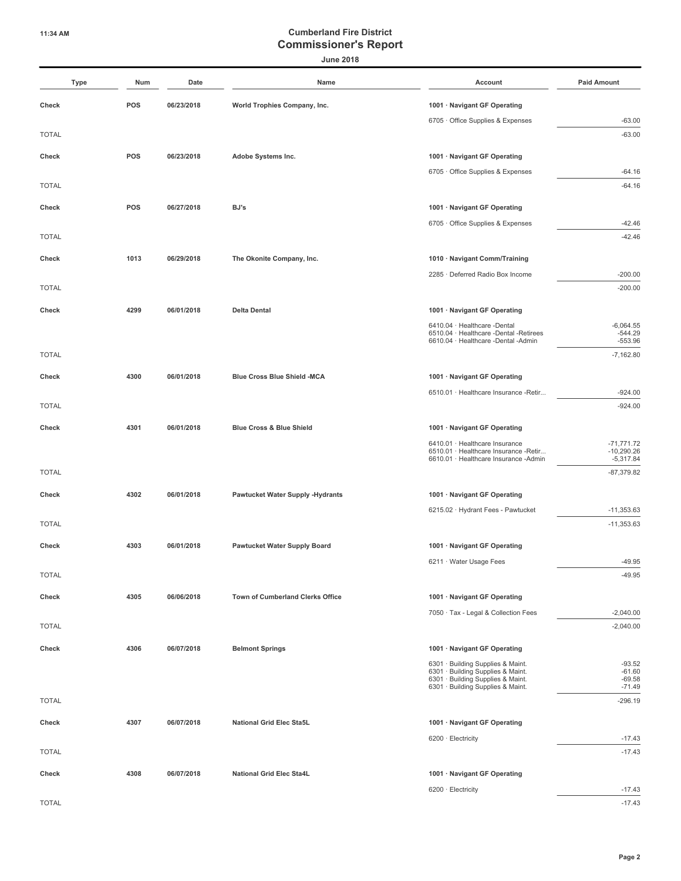| Type         | Num        | Date       | Name                                    | Account                                                                        | <b>Paid Amount</b>          |
|--------------|------------|------------|-----------------------------------------|--------------------------------------------------------------------------------|-----------------------------|
| Check        | <b>POS</b> | 06/23/2018 | World Trophies Company, Inc.            | 1001 · Navigant GF Operating                                                   |                             |
|              |            |            |                                         | 6705 · Office Supplies & Expenses                                              | $-63.00$                    |
| <b>TOTAL</b> |            |            |                                         |                                                                                | $-63.00$                    |
| Check        | <b>POS</b> | 06/23/2018 | Adobe Systems Inc.                      | 1001 · Navigant GF Operating                                                   |                             |
|              |            |            |                                         | 6705 · Office Supplies & Expenses                                              | $-64.16$                    |
| <b>TOTAL</b> |            |            |                                         |                                                                                | $-64.16$                    |
| Check        | <b>POS</b> | 06/27/2018 | BJ's                                    | 1001 · Navigant GF Operating                                                   |                             |
|              |            |            |                                         | 6705 · Office Supplies & Expenses                                              | $-42.46$                    |
| <b>TOTAL</b> |            |            |                                         |                                                                                | $-42.46$                    |
| Check        | 1013       | 06/29/2018 | The Okonite Company, Inc.               | 1010 · Navigant Comm/Training                                                  |                             |
|              |            |            |                                         | 2285 · Deferred Radio Box Income                                               | $-200.00$                   |
| <b>TOTAL</b> |            |            |                                         |                                                                                | $-200.00$                   |
| Check        | 4299       | 06/01/2018 | <b>Delta Dental</b>                     | 1001 · Navigant GF Operating                                                   |                             |
|              |            |            |                                         | 6410.04 · Healthcare -Dental                                                   | $-6,064.55$                 |
|              |            |            |                                         | 6510.04 · Healthcare -Dental -Retirees<br>6610.04 · Healthcare -Dental -Admin  | $-544.29$<br>$-553.96$      |
| <b>TOTAL</b> |            |            |                                         |                                                                                | $-7,162.80$                 |
| Check        | 4300       | 06/01/2018 | <b>Blue Cross Blue Shield -MCA</b>      | 1001 · Navigant GF Operating                                                   |                             |
|              |            |            |                                         | 6510.01 · Healthcare Insurance -Retir                                          | $-924.00$                   |
| <b>TOTAL</b> |            |            |                                         |                                                                                | $-924.00$                   |
| Check        | 4301       | 06/01/2018 | <b>Blue Cross &amp; Blue Shield</b>     | 1001 · Navigant GF Operating                                                   |                             |
|              |            |            |                                         | 6410.01 · Healthcare Insurance                                                 | $-71,771.72$                |
|              |            |            |                                         | 6510.01 · Healthcare Insurance -Retir<br>6610.01 · Healthcare Insurance -Admin | $-10,290.26$<br>$-5,317.84$ |
| <b>TOTAL</b> |            |            |                                         |                                                                                | $-87,379.82$                |
| Check        | 4302       | 06/01/2018 | <b>Pawtucket Water Supply -Hydrants</b> | 1001 · Navigant GF Operating                                                   |                             |
|              |            |            |                                         | 6215.02 · Hydrant Fees - Pawtucket                                             | $-11,353.63$                |
| <b>TOTAL</b> |            |            |                                         |                                                                                | $-11,353.63$                |
| Check        | 4303       | 06/01/2018 | <b>Pawtucket Water Supply Board</b>     | 1001 · Navigant GF Operating                                                   |                             |
|              |            |            |                                         | 6211 · Water Usage Fees                                                        | $-49.95$                    |
| <b>TOTAL</b> |            |            |                                         |                                                                                | $-49.95$                    |
| Check        | 4305       | 06/06/2018 | Town of Cumberland Clerks Office        | 1001 · Navigant GF Operating                                                   |                             |
|              |            |            |                                         | 7050 · Tax - Legal & Collection Fees                                           | $-2,040.00$                 |
| <b>TOTAL</b> |            |            |                                         |                                                                                | $-2,040.00$                 |
| Check        | 4306       | 06/07/2018 | <b>Belmont Springs</b>                  | 1001 · Navigant GF Operating                                                   |                             |
|              |            |            |                                         | 6301 · Building Supplies & Maint.<br>6301 · Building Supplies & Maint.         | $-93.52$<br>$-61.60$        |
|              |            |            |                                         | 6301 · Building Supplies & Maint.<br>6301 · Building Supplies & Maint.         | $-69.58$<br>$-71.49$        |
| <b>TOTAL</b> |            |            |                                         |                                                                                | $-296.19$                   |
| Check        | 4307       | 06/07/2018 | National Grid Elec Sta5L                | 1001 · Navigant GF Operating                                                   |                             |
|              |            |            |                                         | 6200 · Electricity                                                             | $-17.43$                    |
| <b>TOTAL</b> |            |            |                                         |                                                                                | $-17.43$                    |
| Check        | 4308       | 06/07/2018 | <b>National Grid Elec Sta4L</b>         | 1001 · Navigant GF Operating                                                   |                             |
|              |            |            |                                         | 6200 · Electricity                                                             | $-17.43$                    |
| <b>TOTAL</b> |            |            |                                         |                                                                                | $-17.43$                    |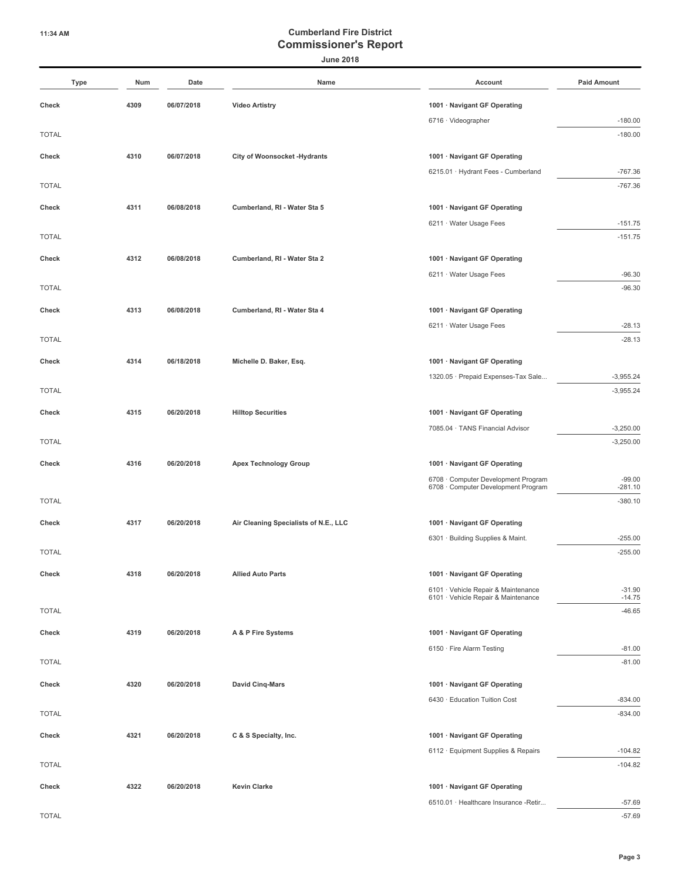|              | Type | Num  | Date       | Name                                  | Account                                                                    | <b>Paid Amount</b>     |
|--------------|------|------|------------|---------------------------------------|----------------------------------------------------------------------------|------------------------|
| Check        |      | 4309 | 06/07/2018 | <b>Video Artistry</b>                 | 1001 · Navigant GF Operating                                               |                        |
|              |      |      |            |                                       | 6716 · Videographer                                                        | $-180.00$              |
| <b>TOTAL</b> |      |      |            |                                       |                                                                            | $-180.00$              |
|              |      | 4310 |            |                                       |                                                                            |                        |
| Check        |      |      | 06/07/2018 | <b>City of Woonsocket -Hydrants</b>   | 1001 · Navigant GF Operating<br>6215.01 · Hydrant Fees - Cumberland        | $-767.36$              |
| <b>TOTAL</b> |      |      |            |                                       |                                                                            | $-767.36$              |
|              |      |      |            |                                       |                                                                            |                        |
| Check        |      | 4311 | 06/08/2018 | Cumberland, RI - Water Sta 5          | 1001 · Navigant GF Operating                                               |                        |
| <b>TOTAL</b> |      |      |            |                                       | 6211 · Water Usage Fees                                                    | $-151.75$<br>$-151.75$ |
|              |      |      |            |                                       |                                                                            |                        |
| Check        |      | 4312 | 06/08/2018 | Cumberland, RI - Water Sta 2          | 1001 · Navigant GF Operating                                               |                        |
|              |      |      |            |                                       | 6211 · Water Usage Fees                                                    | $-96.30$               |
| <b>TOTAL</b> |      |      |            |                                       |                                                                            | $-96.30$               |
| Check        |      | 4313 | 06/08/2018 | Cumberland, RI - Water Sta 4          | 1001 · Navigant GF Operating                                               |                        |
|              |      |      |            |                                       | 6211 · Water Usage Fees                                                    | $-28.13$               |
| <b>TOTAL</b> |      |      |            |                                       |                                                                            | $-28.13$               |
| Check        |      | 4314 | 06/18/2018 | Michelle D. Baker, Esq.               | 1001 · Navigant GF Operating                                               |                        |
|              |      |      |            |                                       | 1320.05 · Prepaid Expenses-Tax Sale                                        | $-3,955.24$            |
| <b>TOTAL</b> |      |      |            |                                       |                                                                            | $-3,955.24$            |
| Check        |      | 4315 | 06/20/2018 | <b>Hilltop Securities</b>             | 1001 · Navigant GF Operating                                               |                        |
|              |      |      |            |                                       | 7085.04 · TANS Financial Advisor                                           | $-3,250.00$            |
| <b>TOTAL</b> |      |      |            |                                       |                                                                            | $-3,250.00$            |
| Check        |      | 4316 | 06/20/2018 | <b>Apex Technology Group</b>          | 1001 · Navigant GF Operating                                               |                        |
|              |      |      |            |                                       | 6708 Computer Development Program                                          | $-99.00$               |
|              |      |      |            |                                       | 6708 Computer Development Program                                          | $-281.10$              |
| <b>TOTAL</b> |      |      |            |                                       |                                                                            | $-380.10$              |
| Check        |      | 4317 | 06/20/2018 | Air Cleaning Specialists of N.E., LLC | 1001 · Navigant GF Operating                                               |                        |
|              |      |      |            |                                       | 6301 · Building Supplies & Maint.                                          | $-255.00$              |
| <b>TOTAL</b> |      |      |            |                                       |                                                                            | $-255.00$              |
| Check        |      | 4318 | 06/20/2018 | <b>Allied Auto Parts</b>              | 1001 · Navigant GF Operating                                               |                        |
|              |      |      |            |                                       | 6101 · Vehicle Repair & Maintenance<br>6101 · Vehicle Repair & Maintenance | $-31.90$<br>$-14.75$   |
| <b>TOTAL</b> |      |      |            |                                       |                                                                            | $-46.65$               |
|              |      |      |            |                                       |                                                                            |                        |
| Check        |      | 4319 | 06/20/2018 | A & P Fire Systems                    | 1001 · Navigant GF Operating                                               |                        |
| <b>TOTAL</b> |      |      |            |                                       | 6150 · Fire Alarm Testing                                                  | $-81.00$<br>$-81.00$   |
|              |      |      |            |                                       |                                                                            |                        |
| Check        |      | 4320 | 06/20/2018 | <b>David Cinq-Mars</b>                | 1001 · Navigant GF Operating                                               |                        |
|              |      |      |            |                                       | 6430 · Education Tuition Cost                                              | $-834.00$              |
| <b>TOTAL</b> |      |      |            |                                       |                                                                            | $-834.00$              |
| Check        |      | 4321 | 06/20/2018 | C & S Specialty, Inc.                 | 1001 · Navigant GF Operating                                               |                        |
|              |      |      |            |                                       | 6112 · Equipment Supplies & Repairs                                        | $-104.82$              |
| <b>TOTAL</b> |      |      |            |                                       |                                                                            | $-104.82$              |
| Check        |      | 4322 | 06/20/2018 | <b>Kevin Clarke</b>                   | 1001 · Navigant GF Operating                                               |                        |
|              |      |      |            |                                       | 6510.01 · Healthcare Insurance -Retir                                      | $-57.69$               |
| <b>TOTAL</b> |      |      |            |                                       |                                                                            | $-57.69$               |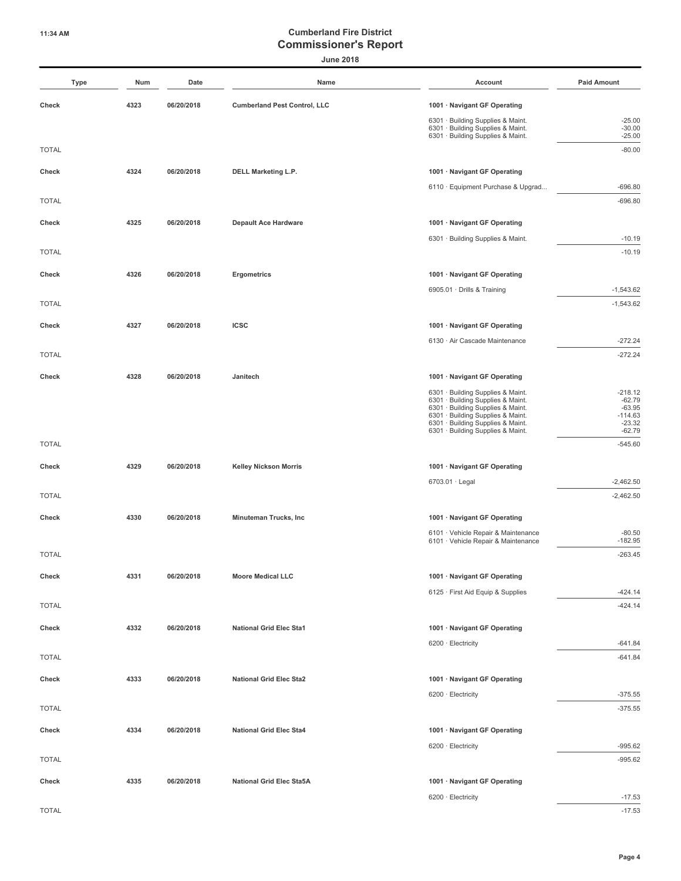**June 2018**

|              | Type | Num  | Date       | Name                                | Account                                                                                                     | <b>Paid Amount</b>                |
|--------------|------|------|------------|-------------------------------------|-------------------------------------------------------------------------------------------------------------|-----------------------------------|
| Check        |      | 4323 | 06/20/2018 | <b>Cumberland Pest Control, LLC</b> | 1001 · Navigant GF Operating                                                                                |                                   |
|              |      |      |            |                                     | 6301 · Building Supplies & Maint.<br>6301 · Building Supplies & Maint.                                      | $-25.00$<br>$-30.00$              |
|              |      |      |            |                                     | 6301 · Building Supplies & Maint.                                                                           | $-25.00$                          |
| <b>TOTAL</b> |      |      |            |                                     |                                                                                                             | $-80.00$                          |
| Check        |      | 4324 | 06/20/2018 | DELL Marketing L.P.                 | 1001 · Navigant GF Operating                                                                                |                                   |
|              |      |      |            |                                     | 6110 · Equipment Purchase & Upgrad                                                                          | $-696.80$                         |
| <b>TOTAL</b> |      |      |            |                                     |                                                                                                             | $-696.80$                         |
| Check        |      | 4325 | 06/20/2018 | <b>Depault Ace Hardware</b>         | 1001 · Navigant GF Operating                                                                                |                                   |
| <b>TOTAL</b> |      |      |            |                                     | 6301 · Building Supplies & Maint.                                                                           | $-10.19$<br>$-10.19$              |
|              |      |      |            |                                     |                                                                                                             |                                   |
| Check        |      | 4326 | 06/20/2018 | Ergometrics                         | 1001 · Navigant GF Operating                                                                                |                                   |
| <b>TOTAL</b> |      |      |            |                                     | 6905.01 · Drills & Training                                                                                 | $-1,543.62$<br>$-1,543.62$        |
|              |      |      |            |                                     |                                                                                                             |                                   |
| Check        |      | 4327 | 06/20/2018 | <b>ICSC</b>                         | 1001 · Navigant GF Operating                                                                                |                                   |
| <b>TOTAL</b> |      |      |            |                                     | 6130 · Air Cascade Maintenance                                                                              | $-272.24$<br>$-272.24$            |
|              |      |      |            |                                     |                                                                                                             |                                   |
| Check        |      | 4328 | 06/20/2018 | Janitech                            | 1001 · Navigant GF Operating                                                                                |                                   |
|              |      |      |            |                                     | 6301 · Building Supplies & Maint.<br>6301 · Building Supplies & Maint.<br>6301 · Building Supplies & Maint. | $-218.12$<br>$-62.79$<br>$-63.95$ |
|              |      |      |            |                                     | 6301 · Building Supplies & Maint.<br>6301 · Building Supplies & Maint.                                      | $-114.63$<br>$-23.32$             |
|              |      |      |            |                                     | 6301 · Building Supplies & Maint.                                                                           | $-62.79$                          |
| <b>TOTAL</b> |      |      |            |                                     |                                                                                                             | $-545.60$                         |
| Check        |      | 4329 | 06/20/2018 | <b>Kelley Nickson Morris</b>        | 1001 · Navigant GF Operating                                                                                |                                   |
|              |      |      |            |                                     | 6703.01 · Legal                                                                                             | $-2,462.50$                       |
| <b>TOTAL</b> |      |      |            |                                     |                                                                                                             | $-2,462.50$                       |
| Check        |      | 4330 | 06/20/2018 | Minuteman Trucks, Inc               | 1001 · Navigant GF Operating                                                                                |                                   |
|              |      |      |            |                                     | 6101 · Vehicle Repair & Maintenance<br>6101 · Vehicle Repair & Maintenance                                  | $-80.50$<br>$-182.95$             |
| <b>TOTAL</b> |      |      |            |                                     |                                                                                                             | $-263.45$                         |
| Check        |      | 4331 | 06/20/2018 | <b>Moore Medical LLC</b>            | 1001 · Navigant GF Operating                                                                                |                                   |
|              |      |      |            |                                     | 6125 · First Aid Equip & Supplies                                                                           | $-424.14$                         |
| <b>TOTAL</b> |      |      |            |                                     |                                                                                                             | $-424.14$                         |
| Check        |      | 4332 | 06/20/2018 | <b>National Grid Elec Sta1</b>      | 1001 · Navigant GF Operating                                                                                |                                   |
|              |      |      |            |                                     | 6200 · Electricity                                                                                          | $-641.84$                         |
| <b>TOTAL</b> |      |      |            |                                     |                                                                                                             | $-641.84$                         |
| Check        |      | 4333 | 06/20/2018 | <b>National Grid Elec Sta2</b>      | 1001 · Navigant GF Operating                                                                                |                                   |
|              |      |      |            |                                     | 6200 · Electricity                                                                                          | $-375.55$                         |
| <b>TOTAL</b> |      |      |            |                                     |                                                                                                             | $-375.55$                         |
| Check        |      | 4334 | 06/20/2018 | <b>National Grid Elec Sta4</b>      | 1001 · Navigant GF Operating                                                                                |                                   |
|              |      |      |            |                                     | 6200 · Electricity                                                                                          | $-995.62$                         |
| <b>TOTAL</b> |      |      |            |                                     |                                                                                                             | $-995.62$                         |
| Check        |      | 4335 | 06/20/2018 | National Grid Elec Sta5A            | 1001 · Navigant GF Operating                                                                                |                                   |
|              |      |      |            |                                     | 6200 · Electricity                                                                                          | $-17.53$                          |

TOTAL -17.53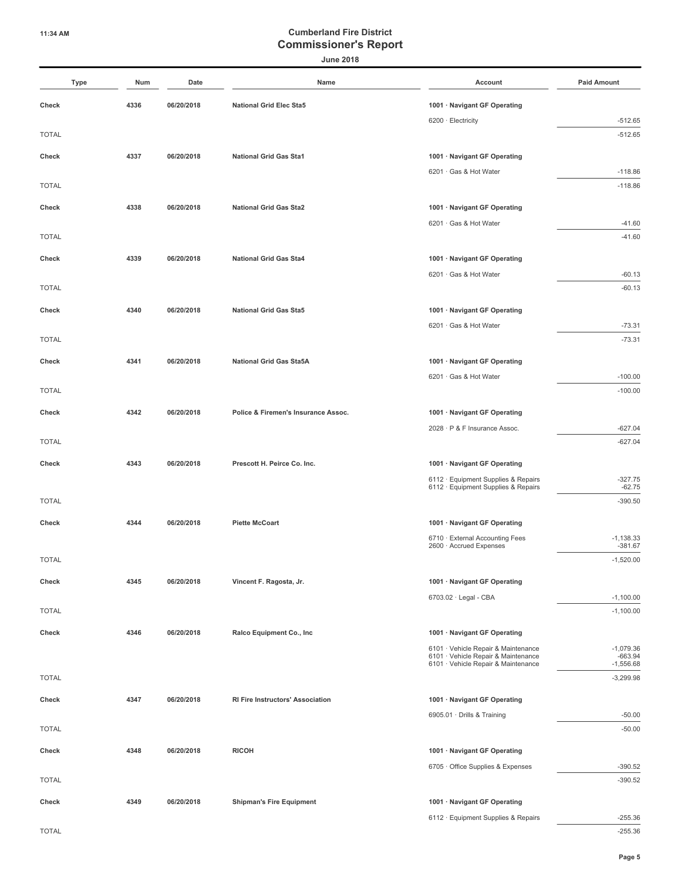**June 2018**

| <b>Type</b>  | Num  | Date       | Name                                    | Account                                                                    | <b>Paid Amount</b>       |
|--------------|------|------------|-----------------------------------------|----------------------------------------------------------------------------|--------------------------|
| Check        | 4336 | 06/20/2018 | <b>National Grid Elec Sta5</b>          | 1001 · Navigant GF Operating                                               |                          |
|              |      |            |                                         | 6200 · Electricity                                                         | $-512.65$                |
| <b>TOTAL</b> |      |            |                                         |                                                                            | $-512.65$                |
| Check        | 4337 | 06/20/2018 | <b>National Grid Gas Sta1</b>           | 1001 · Navigant GF Operating                                               |                          |
|              |      |            |                                         | 6201 · Gas & Hot Water                                                     | $-118.86$                |
| <b>TOTAL</b> |      |            |                                         |                                                                            | $-118.86$                |
| Check        | 4338 | 06/20/2018 | <b>National Grid Gas Sta2</b>           | 1001 · Navigant GF Operating                                               |                          |
|              |      |            |                                         | 6201 · Gas & Hot Water                                                     | $-41.60$                 |
| <b>TOTAL</b> |      |            |                                         |                                                                            | $-41.60$                 |
| Check        | 4339 | 06/20/2018 | <b>National Grid Gas Sta4</b>           | 1001 · Navigant GF Operating                                               |                          |
|              |      |            |                                         | 6201 · Gas & Hot Water                                                     | $-60.13$                 |
| <b>TOTAL</b> |      |            |                                         |                                                                            | $-60.13$                 |
| Check        | 4340 | 06/20/2018 | <b>National Grid Gas Sta5</b>           | 1001 · Navigant GF Operating                                               |                          |
|              |      |            |                                         | 6201 · Gas & Hot Water                                                     | $-73.31$                 |
| <b>TOTAL</b> |      |            |                                         |                                                                            | $-73.31$                 |
| Check        | 4341 | 06/20/2018 | <b>National Grid Gas Sta5A</b>          | 1001 · Navigant GF Operating                                               |                          |
|              |      |            |                                         | 6201 · Gas & Hot Water                                                     | $-100.00$                |
| <b>TOTAL</b> |      |            |                                         |                                                                            | $-100.00$                |
| Check        | 4342 | 06/20/2018 | Police & Firemen's Insurance Assoc.     | 1001 · Navigant GF Operating                                               |                          |
|              |      |            |                                         | 2028 · P & F Insurance Assoc.                                              | $-627.04$                |
| <b>TOTAL</b> |      |            |                                         |                                                                            | $-627.04$                |
| Check        | 4343 | 06/20/2018 | Prescott H. Peirce Co. Inc.             | 1001 · Navigant GF Operating                                               |                          |
|              |      |            |                                         | 6112 · Equipment Supplies & Repairs                                        | $-327.75$                |
| <b>TOTAL</b> |      |            |                                         | 6112 · Equipment Supplies & Repairs                                        | $-62.75$<br>$-390.50$    |
|              |      |            |                                         |                                                                            |                          |
| Check        | 4344 | 06/20/2018 | <b>Piette McCoart</b>                   | 1001 · Navigant GF Operating                                               |                          |
|              |      |            |                                         | 6710 · External Accounting Fees<br>2600 · Accrued Expenses                 | $-1,138.33$<br>$-381.67$ |
| <b>TOTAL</b> |      |            |                                         |                                                                            | $-1,520.00$              |
| Check        | 4345 | 06/20/2018 | Vincent F. Ragosta, Jr.                 | 1001 · Navigant GF Operating                                               |                          |
|              |      |            |                                         | 6703.02 · Legal - CBA                                                      | $-1,100.00$              |
| <b>TOTAL</b> |      |            |                                         |                                                                            | $-1,100.00$              |
| Check        | 4346 | 06/20/2018 | Ralco Equipment Co., Inc                | 1001 · Navigant GF Operating                                               |                          |
|              |      |            |                                         | 6101 · Vehicle Repair & Maintenance<br>6101 · Vehicle Repair & Maintenance | $-1,079.36$<br>$-663.94$ |
|              |      |            |                                         | 6101 · Vehicle Repair & Maintenance                                        | $-1,556.68$              |
| <b>TOTAL</b> |      |            |                                         |                                                                            | $-3,299.98$              |
| Check        | 4347 | 06/20/2018 | <b>RI Fire Instructors' Association</b> | 1001 · Navigant GF Operating                                               |                          |
|              |      |            |                                         | 6905.01 · Drills & Training                                                | $-50.00$                 |
| <b>TOTAL</b> |      |            |                                         |                                                                            | $-50.00$                 |
| Check        | 4348 | 06/20/2018 | <b>RICOH</b>                            | 1001 · Navigant GF Operating                                               |                          |
|              |      |            |                                         | 6705 · Office Supplies & Expenses                                          | $-390.52$                |
| <b>TOTAL</b> |      |            |                                         |                                                                            | $-390.52$                |
| Check        | 4349 | 06/20/2018 | <b>Shipman's Fire Equipment</b>         | 1001 · Navigant GF Operating                                               |                          |
|              |      |            |                                         | 6112 · Equipment Supplies & Repairs                                        | $-255.36$                |

TOTAL -255.36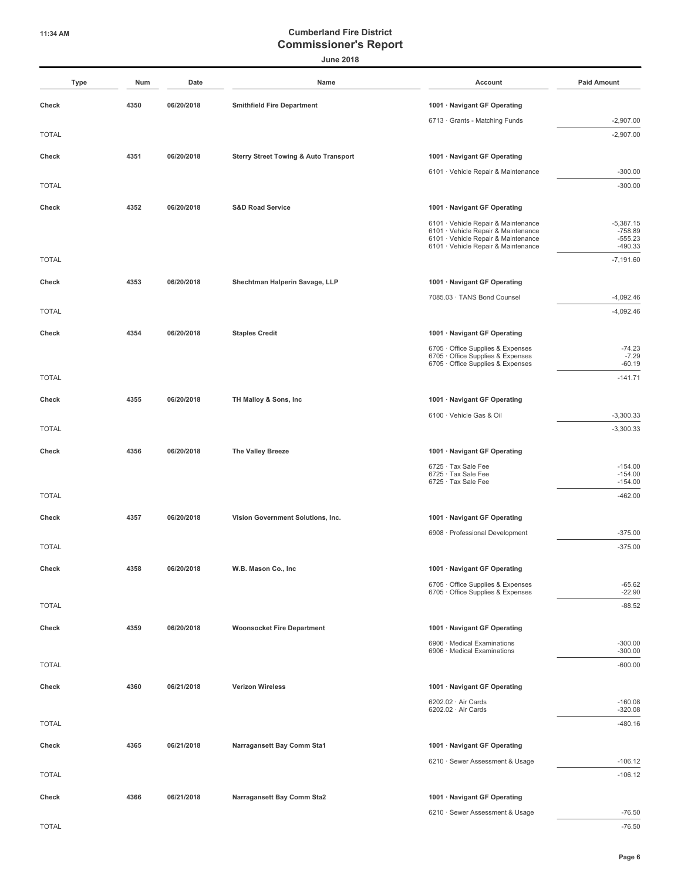**June 2018**

|              | <b>Type</b> | Num  | Date       | Name                                             | Account                                                                    | <b>Paid Amount</b>         |
|--------------|-------------|------|------------|--------------------------------------------------|----------------------------------------------------------------------------|----------------------------|
| Check        |             | 4350 | 06/20/2018 | <b>Smithfield Fire Department</b>                | 1001 · Navigant GF Operating                                               |                            |
|              |             |      |            |                                                  | 6713 · Grants - Matching Funds                                             | $-2,907.00$                |
| <b>TOTAL</b> |             |      |            |                                                  |                                                                            | $-2,907.00$                |
| Check        |             | 4351 | 06/20/2018 | <b>Sterry Street Towing &amp; Auto Transport</b> | 1001 · Navigant GF Operating                                               |                            |
|              |             |      |            |                                                  | 6101 · Vehicle Repair & Maintenance                                        | $-300.00$                  |
| <b>TOTAL</b> |             |      |            |                                                  |                                                                            | $-300.00$                  |
| Check        |             | 4352 | 06/20/2018 | <b>S&amp;D Road Service</b>                      | 1001 · Navigant GF Operating                                               |                            |
|              |             |      |            |                                                  | 6101 · Vehicle Repair & Maintenance                                        | $-5,387.15$                |
|              |             |      |            |                                                  | 6101 · Vehicle Repair & Maintenance<br>6101 · Vehicle Repair & Maintenance | -758.89<br>$-555.23$       |
| <b>TOTAL</b> |             |      |            |                                                  | 6101 · Vehicle Repair & Maintenance                                        | $-490.33$<br>$-7,191.60$   |
|              |             |      |            |                                                  |                                                                            |                            |
| Check        |             | 4353 | 06/20/2018 | Shechtman Halperin Savage, LLP                   | 1001 · Navigant GF Operating                                               |                            |
| <b>TOTAL</b> |             |      |            |                                                  | 7085.03 · TANS Bond Counsel                                                | $-4,092.46$<br>$-4,092.46$ |
|              |             |      |            |                                                  |                                                                            |                            |
| Check        |             | 4354 | 06/20/2018 | <b>Staples Credit</b>                            | 1001 · Navigant GF Operating                                               |                            |
|              |             |      |            |                                                  | 6705 · Office Supplies & Expenses<br>6705 Office Supplies & Expenses       | $-74.23$<br>$-7.29$        |
|              |             |      |            |                                                  | 6705 · Office Supplies & Expenses                                          | $-60.19$                   |
| <b>TOTAL</b> |             |      |            |                                                  |                                                                            | $-141.71$                  |
| Check        |             | 4355 | 06/20/2018 | TH Malloy & Sons, Inc                            | 1001 · Navigant GF Operating                                               |                            |
|              |             |      |            |                                                  | 6100 · Vehicle Gas & Oil                                                   | $-3,300.33$                |
| <b>TOTAL</b> |             |      |            |                                                  |                                                                            | $-3,300.33$                |
| Check        |             | 4356 | 06/20/2018 | The Valley Breeze                                | 1001 · Navigant GF Operating                                               |                            |
|              |             |      |            |                                                  | 6725 · Tax Sale Fee<br>6725 · Tax Sale Fee                                 | $-154.00$<br>$-154.00$     |
|              |             |      |            |                                                  | 6725 · Tax Sale Fee                                                        | $-154.00$                  |
| <b>TOTAL</b> |             |      |            |                                                  |                                                                            | $-462.00$                  |
| Check        |             | 4357 | 06/20/2018 | Vision Government Solutions, Inc.                | 1001 · Navigant GF Operating                                               |                            |
|              |             |      |            |                                                  | 6908 · Professional Development                                            | $-375.00$                  |
| <b>TOTAL</b> |             |      |            |                                                  |                                                                            | $-375.00$                  |
| Check        |             | 4358 | 06/20/2018 | W.B. Mason Co., Inc                              | 1001 · Navigant GF Operating                                               |                            |
|              |             |      |            |                                                  | 6705 · Office Supplies & Expenses<br>6705 · Office Supplies & Expenses     | $-65.62$<br>$-22.90$       |
| <b>TOTAL</b> |             |      |            |                                                  |                                                                            | $-88.52$                   |
|              |             |      |            |                                                  |                                                                            |                            |
| Check        |             | 4359 | 06/20/2018 | <b>Woonsocket Fire Department</b>                | 1001 · Navigant GF Operating<br>6906 · Medical Examinations                | $-300.00$                  |
|              |             |      |            |                                                  | 6906 · Medical Examinations                                                | $-300.00$                  |
| <b>TOTAL</b> |             |      |            |                                                  |                                                                            | $-600.00$                  |
| Check        |             | 4360 | 06/21/2018 | <b>Verizon Wireless</b>                          | 1001 · Navigant GF Operating                                               |                            |
|              |             |      |            |                                                  | $6202.02 \cdot$ Air Cards<br>6202.02 · Air Cards                           | $-160.08$<br>$-320.08$     |
| <b>TOTAL</b> |             |      |            |                                                  |                                                                            | $-480.16$                  |
|              |             |      |            |                                                  |                                                                            |                            |
| Check        |             | 4365 | 06/21/2018 | Narragansett Bay Comm Sta1                       | 1001 · Navigant GF Operating                                               |                            |
| <b>TOTAL</b> |             |      |            |                                                  | 6210 · Sewer Assessment & Usage                                            | $-106.12$<br>$-106.12$     |
|              |             |      |            |                                                  |                                                                            |                            |
| Check        |             | 4366 | 06/21/2018 | Narragansett Bay Comm Sta2                       | 1001 · Navigant GF Operating                                               |                            |
|              |             |      |            |                                                  | 6210 · Sewer Assessment & Usage                                            | $-76.50$                   |

TOTAL -76.50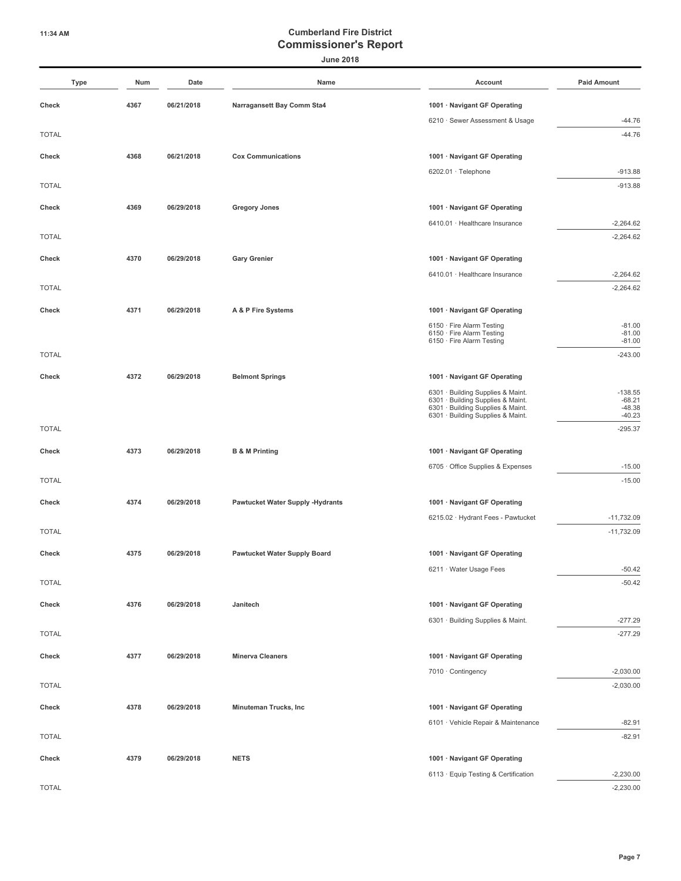|              | Type | Num  | Date       | Name                                    | Account                                                                                                     | <b>Paid Amount</b>                |  |
|--------------|------|------|------------|-----------------------------------------|-------------------------------------------------------------------------------------------------------------|-----------------------------------|--|
| Check        |      | 4367 | 06/21/2018 | Narragansett Bay Comm Sta4              | 1001 · Navigant GF Operating                                                                                |                                   |  |
|              |      |      |            |                                         | 6210 · Sewer Assessment & Usage                                                                             | $-44.76$                          |  |
| <b>TOTAL</b> |      |      |            |                                         |                                                                                                             | $-44.76$                          |  |
| Check        |      | 4368 | 06/21/2018 | <b>Cox Communications</b>               | 1001 · Navigant GF Operating                                                                                |                                   |  |
|              |      |      |            |                                         | 6202.01 · Telephone                                                                                         | $-913.88$                         |  |
| <b>TOTAL</b> |      |      |            |                                         |                                                                                                             | $-913.88$                         |  |
| Check        |      | 4369 | 06/29/2018 | <b>Gregory Jones</b>                    | 1001 · Navigant GF Operating                                                                                |                                   |  |
|              |      |      |            |                                         | 6410.01 · Healthcare Insurance                                                                              | $-2,264.62$                       |  |
| <b>TOTAL</b> |      |      |            |                                         |                                                                                                             | $-2,264.62$                       |  |
| Check        |      | 4370 | 06/29/2018 | <b>Gary Grenier</b>                     | 1001 · Navigant GF Operating                                                                                |                                   |  |
|              |      |      |            |                                         | 6410.01 · Healthcare Insurance                                                                              | $-2,264.62$                       |  |
| <b>TOTAL</b> |      |      |            |                                         |                                                                                                             | $-2,264.62$                       |  |
|              |      |      |            |                                         |                                                                                                             |                                   |  |
| Check        |      | 4371 | 06/29/2018 | A & P Fire Systems                      | 1001 · Navigant GF Operating                                                                                |                                   |  |
|              |      |      |            |                                         | 6150 · Fire Alarm Testing<br>6150 · Fire Alarm Testing<br>6150 · Fire Alarm Testing                         | $-81.00$<br>$-81.00$<br>$-81.00$  |  |
| <b>TOTAL</b> |      |      |            |                                         |                                                                                                             | $-243.00$                         |  |
|              |      |      |            |                                         |                                                                                                             |                                   |  |
| Check        |      | 4372 | 06/29/2018 | <b>Belmont Springs</b>                  | 1001 · Navigant GF Operating                                                                                |                                   |  |
|              |      |      |            |                                         | 6301 · Building Supplies & Maint.<br>6301 · Building Supplies & Maint.<br>6301 · Building Supplies & Maint. | $-138.55$<br>$-68.21$<br>$-48.38$ |  |
|              |      |      |            |                                         | 6301 · Building Supplies & Maint.                                                                           | $-40.23$                          |  |
| <b>TOTAL</b> |      |      |            |                                         |                                                                                                             | $-295.37$                         |  |
| Check        |      | 4373 | 06/29/2018 | <b>B &amp; M Printing</b>               | 1001 · Navigant GF Operating                                                                                |                                   |  |
|              |      |      |            |                                         | 6705 Office Supplies & Expenses                                                                             | $-15.00$                          |  |
| <b>TOTAL</b> |      |      |            |                                         |                                                                                                             | $-15.00$                          |  |
| Check        |      | 4374 | 06/29/2018 | <b>Pawtucket Water Supply -Hydrants</b> | 1001 · Navigant GF Operating                                                                                |                                   |  |
|              |      |      |            |                                         | 6215.02 · Hydrant Fees - Pawtucket                                                                          | $-11,732.09$                      |  |
| <b>TOTAL</b> |      |      |            |                                         |                                                                                                             | $-11,732.09$                      |  |
| Check        |      | 4375 | 06/29/2018 | <b>Pawtucket Water Supply Board</b>     | 1001 · Navigant GF Operating                                                                                |                                   |  |
|              |      |      |            |                                         | 6211 · Water Usage Fees                                                                                     | $-50.42$                          |  |
| <b>TOTAL</b> |      |      |            |                                         |                                                                                                             | $-50.42$                          |  |
| Check        |      | 4376 | 06/29/2018 | Janitech                                | 1001 · Navigant GF Operating                                                                                |                                   |  |
|              |      |      |            |                                         | 6301 · Building Supplies & Maint.                                                                           | $-277.29$                         |  |
| <b>TOTAL</b> |      |      |            |                                         |                                                                                                             | $-277.29$                         |  |
| Check        |      | 4377 | 06/29/2018 | <b>Minerva Cleaners</b>                 | 1001 · Navigant GF Operating                                                                                |                                   |  |
|              |      |      |            |                                         | 7010 · Contingency                                                                                          | $-2,030.00$                       |  |
| <b>TOTAL</b> |      |      |            |                                         |                                                                                                             | $-2,030.00$                       |  |
| Check        |      | 4378 | 06/29/2018 | Minuteman Trucks, Inc                   | 1001 · Navigant GF Operating                                                                                |                                   |  |
|              |      |      |            |                                         | 6101 · Vehicle Repair & Maintenance                                                                         | $-82.91$                          |  |
| <b>TOTAL</b> |      |      |            |                                         |                                                                                                             | $-82.91$                          |  |
| Check        |      | 4379 | 06/29/2018 | <b>NETS</b>                             | 1001 · Navigant GF Operating                                                                                |                                   |  |
|              |      |      |            |                                         | 6113 · Equip Testing & Certification                                                                        | $-2,230.00$                       |  |
| <b>TOTAL</b> |      |      |            |                                         |                                                                                                             | $-2,230.00$                       |  |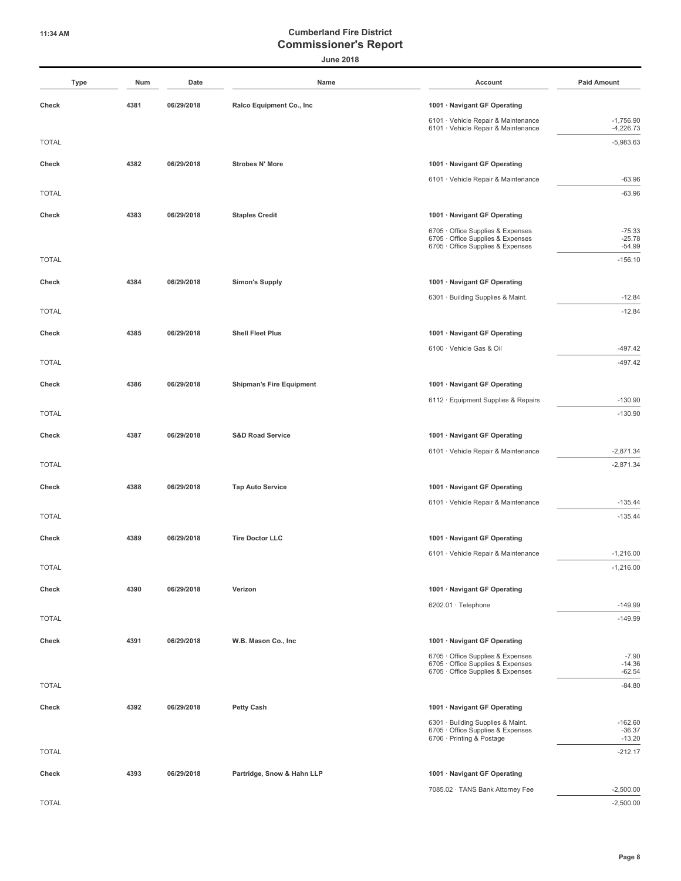| <b>Type</b>  | Num  | Date       | Name                            | Account                                                                | <b>Paid Amount</b>    |
|--------------|------|------------|---------------------------------|------------------------------------------------------------------------|-----------------------|
| Check        | 4381 | 06/29/2018 | Ralco Equipment Co., Inc        | 1001 · Navigant GF Operating                                           |                       |
|              |      |            |                                 | 6101 · Vehicle Repair & Maintenance                                    | $-1,756.90$           |
|              |      |            |                                 | 6101 · Vehicle Repair & Maintenance                                    | $-4,226.73$           |
| <b>TOTAL</b> |      |            |                                 |                                                                        | $-5,983.63$           |
| Check        | 4382 | 06/29/2018 | <b>Strobes N' More</b>          | 1001 · Navigant GF Operating                                           |                       |
|              |      |            |                                 | 6101 · Vehicle Repair & Maintenance                                    | $-63.96$              |
| <b>TOTAL</b> |      |            |                                 |                                                                        | $-63.96$              |
| Check        | 4383 | 06/29/2018 | <b>Staples Credit</b>           | 1001 · Navigant GF Operating                                           |                       |
|              |      |            |                                 | 6705 · Office Supplies & Expenses<br>6705 · Office Supplies & Expenses | $-75.33$<br>$-25.78$  |
| <b>TOTAL</b> |      |            |                                 | 6705 · Office Supplies & Expenses                                      | $-54.99$<br>$-156.10$ |
|              |      |            |                                 |                                                                        |                       |
| Check        | 4384 | 06/29/2018 | <b>Simon's Supply</b>           | 1001 · Navigant GF Operating                                           |                       |
|              |      |            |                                 | 6301 · Building Supplies & Maint.                                      | $-12.84$              |
| <b>TOTAL</b> |      |            |                                 |                                                                        | $-12.84$              |
| Check        | 4385 | 06/29/2018 | <b>Shell Fleet Plus</b>         | 1001 · Navigant GF Operating                                           |                       |
|              |      |            |                                 | 6100 · Vehicle Gas & Oil                                               | $-497.42$             |
| <b>TOTAL</b> |      |            |                                 |                                                                        | $-497.42$             |
| Check        | 4386 | 06/29/2018 | <b>Shipman's Fire Equipment</b> | 1001 · Navigant GF Operating                                           |                       |
|              |      |            |                                 | 6112 · Equipment Supplies & Repairs                                    | $-130.90$             |
| <b>TOTAL</b> |      |            |                                 |                                                                        | $-130.90$             |
| Check        | 4387 | 06/29/2018 | <b>S&amp;D Road Service</b>     | 1001 · Navigant GF Operating                                           |                       |
|              |      |            |                                 | 6101 · Vehicle Repair & Maintenance                                    | $-2,871.34$           |
| <b>TOTAL</b> |      |            |                                 |                                                                        | $-2,871.34$           |
| Check        | 4388 | 06/29/2018 | <b>Tap Auto Service</b>         | 1001 · Navigant GF Operating                                           |                       |
|              |      |            |                                 | 6101 · Vehicle Repair & Maintenance                                    | $-135.44$             |
| <b>TOTAL</b> |      |            |                                 |                                                                        | $-135.44$             |
| Check        | 4389 | 06/29/2018 | <b>Tire Doctor LLC</b>          | 1001 · Navigant GF Operating                                           |                       |
|              |      |            |                                 | 6101 · Vehicle Repair & Maintenance                                    | $-1,216.00$           |
| <b>TOTAL</b> |      |            |                                 |                                                                        | $-1,216.00$           |
| Check        | 4390 | 06/29/2018 | Verizon                         | 1001 · Navigant GF Operating                                           |                       |
|              |      |            |                                 | 6202.01 · Telephone                                                    | $-149.99$             |
| <b>TOTAL</b> |      |            |                                 |                                                                        | $-149.99$             |
| Check        | 4391 | 06/29/2018 | W.B. Mason Co., Inc             | 1001 · Navigant GF Operating                                           |                       |
|              |      |            |                                 | 6705 · Office Supplies & Expenses                                      | $-7.90$               |
|              |      |            |                                 | 6705 · Office Supplies & Expenses<br>6705 · Office Supplies & Expenses | $-14.36$<br>$-62.54$  |
| <b>TOTAL</b> |      |            |                                 |                                                                        | $-84.80$              |
| Check        | 4392 | 06/29/2018 | <b>Petty Cash</b>               | 1001 · Navigant GF Operating                                           |                       |
|              |      |            |                                 | 6301 · Building Supplies & Maint.                                      | $-162.60$             |
|              |      |            |                                 | 6705 · Office Supplies & Expenses<br>6706 · Printing & Postage         | $-36.37$<br>$-13.20$  |
| <b>TOTAL</b> |      |            |                                 |                                                                        | $-212.17$             |
| Check        | 4393 | 06/29/2018 | Partridge, Snow & Hahn LLP      | 1001 · Navigant GF Operating                                           |                       |
|              |      |            |                                 | 7085.02 · TANS Bank Attorney Fee                                       | $-2,500.00$           |
| <b>TOTAL</b> |      |            |                                 |                                                                        | $-2,500.00$           |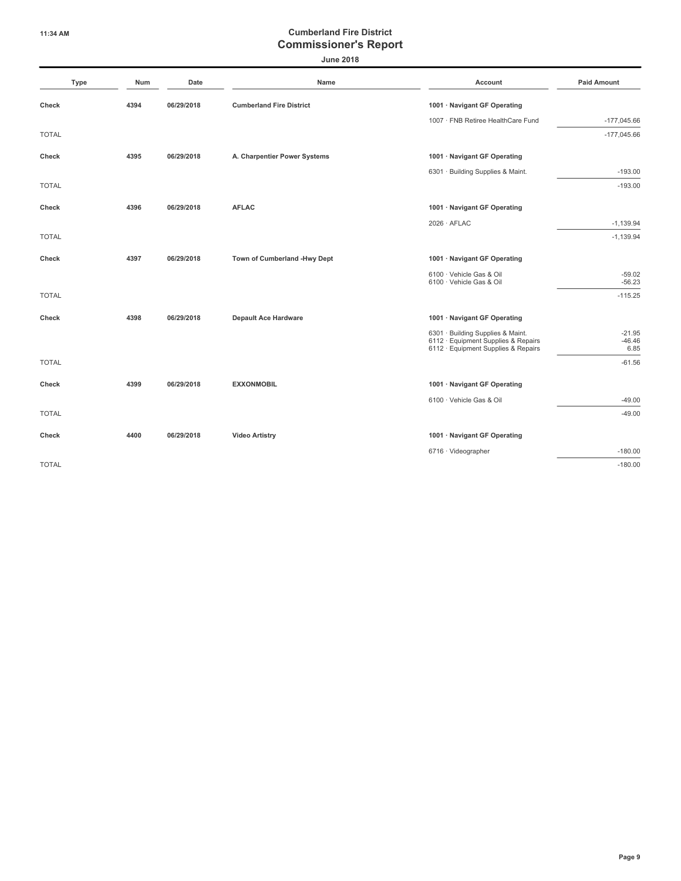**June 2018**

| Type         | Num  | Date       | Name                            | Account                                                                                                     | <b>Paid Amount</b>           |
|--------------|------|------------|---------------------------------|-------------------------------------------------------------------------------------------------------------|------------------------------|
| <b>Check</b> | 4394 | 06/29/2018 | <b>Cumberland Fire District</b> | 1001 · Navigant GF Operating                                                                                |                              |
|              |      |            |                                 | 1007 · FNB Retiree HealthCare Fund                                                                          | $-177,045.66$                |
| <b>TOTAL</b> |      |            |                                 |                                                                                                             | $-177,045.66$                |
| Check        | 4395 | 06/29/2018 | A. Charpentier Power Systems    | 1001 · Navigant GF Operating                                                                                |                              |
|              |      |            |                                 | 6301 · Building Supplies & Maint.                                                                           | $-193.00$                    |
| <b>TOTAL</b> |      |            |                                 |                                                                                                             | $-193.00$                    |
| <b>Check</b> | 4396 | 06/29/2018 | <b>AFLAC</b>                    | 1001 · Navigant GF Operating                                                                                |                              |
|              |      |            |                                 | $2026 \cdot AFLAC$                                                                                          | $-1,139.94$                  |
| <b>TOTAL</b> |      |            |                                 |                                                                                                             | $-1,139.94$                  |
| <b>Check</b> | 4397 | 06/29/2018 | Town of Cumberland -Hwy Dept    | 1001 · Navigant GF Operating                                                                                |                              |
|              |      |            |                                 | 6100 · Vehicle Gas & Oil<br>6100 · Vehicle Gas & Oil                                                        | $-59.02$<br>$-56.23$         |
| <b>TOTAL</b> |      |            |                                 |                                                                                                             | $-115.25$                    |
| <b>Check</b> | 4398 | 06/29/2018 | <b>Depault Ace Hardware</b>     | 1001 · Navigant GF Operating                                                                                |                              |
|              |      |            |                                 | 6301 · Building Supplies & Maint.<br>6112 Equipment Supplies & Repairs<br>6112 Equipment Supplies & Repairs | $-21.95$<br>$-46.46$<br>6.85 |
| <b>TOTAL</b> |      |            |                                 |                                                                                                             | $-61.56$                     |
|              |      |            |                                 |                                                                                                             |                              |
| Check        | 4399 | 06/29/2018 | <b>EXXONMOBIL</b>               | 1001 · Navigant GF Operating                                                                                |                              |
|              |      |            |                                 | 6100 · Vehicle Gas & Oil                                                                                    | $-49.00$                     |
| <b>TOTAL</b> |      |            |                                 |                                                                                                             | $-49.00$                     |
| <b>Check</b> | 4400 | 06/29/2018 | <b>Video Artistry</b>           | 1001 · Navigant GF Operating                                                                                |                              |
|              |      |            |                                 | 6716 · Videographer                                                                                         | $-180.00$                    |

TOTAL -180.00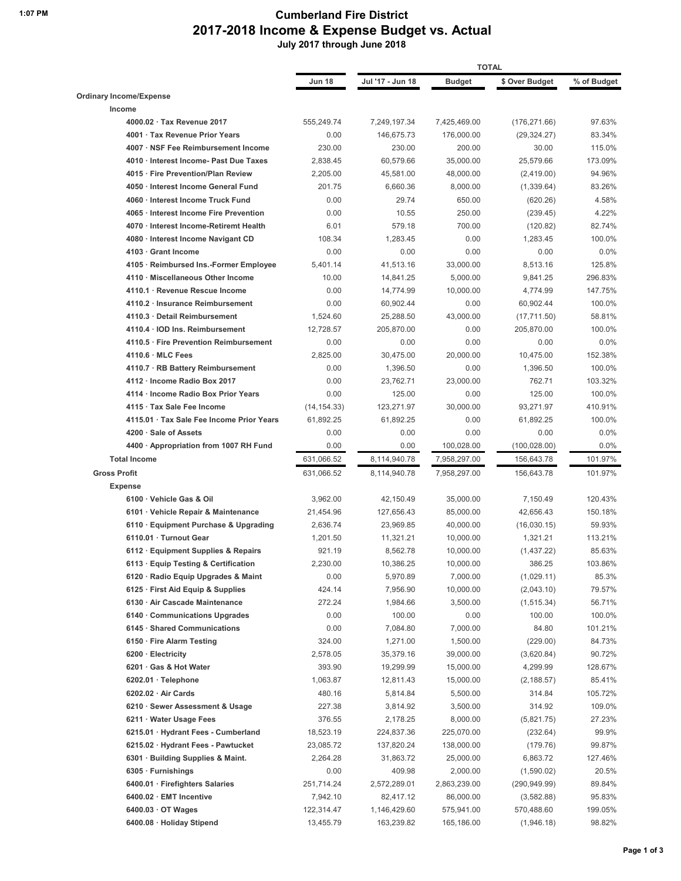#### **1:07 PM Cumberland Fire District 2017-2018 Income & Expense Budget vs. Actual July 2017 through June 2018**

|                                           |               |                  |              | <b>TOTAL</b>   |             |
|-------------------------------------------|---------------|------------------|--------------|----------------|-------------|
|                                           | <b>Jun 18</b> | Jul '17 - Jun 18 | Budget       | \$ Over Budget | % of Budget |
| <b>Ordinary Income/Expense</b>            |               |                  |              |                |             |
| Income                                    |               |                  |              |                |             |
| 4000.02 · Tax Revenue 2017                | 555,249.74    | 7,249,197.34     | 7,425,469.00 | (176, 271.66)  | 97.63%      |
| 4001 · Tax Revenue Prior Years            | 0.00          | 146,675.73       | 176,000.00   | (29, 324.27)   | 83.34%      |
| 4007 · NSF Fee Reimbursement Income       | 230.00        | 230.00           | 200.00       | 30.00          | 115.0%      |
| 4010 · Interest Income- Past Due Taxes    | 2,838.45      | 60,579.66        | 35,000.00    | 25,579.66      | 173.09%     |
| 4015 · Fire Prevention/Plan Review        | 2,205.00      | 45,581.00        | 48,000.00    | (2,419.00)     | 94.96%      |
| 4050 · Interest Income General Fund       | 201.75        | 6,660.36         | 8,000.00     | (1,339.64)     | 83.26%      |
| 4060 Interest Income Truck Fund           | 0.00          | 29.74            | 650.00       | (620.26)       | 4.58%       |
| 4065 · Interest Income Fire Prevention    | 0.00          | 10.55            | 250.00       | (239.45)       | 4.22%       |
| 4070 · Interest Income-Retiremt Health    | 6.01          | 579.18           | 700.00       | (120.82)       | 82.74%      |
| 4080 · Interest Income Navigant CD        | 108.34        | 1,283.45         | 0.00         | 1,283.45       | 100.0%      |
| 4103 Grant Income                         | 0.00          | 0.00             | 0.00         | 0.00           | 0.0%        |
| 4105 · Reimbursed Ins.-Former Employee    | 5,401.14      | 41,513.16        | 33,000.00    | 8,513.16       | 125.8%      |
| 4110 Miscellaneous Other Income           | 10.00         | 14,841.25        | 5,000.00     | 9,841.25       | 296.83%     |
| 4110.1 · Revenue Rescue Income            | 0.00          | 14,774.99        | 10,000.00    | 4,774.99       | 147.75%     |
| 4110.2 · Insurance Reimbursement          | 0.00          | 60,902.44        | 0.00         | 60,902.44      | 100.0%      |
| 4110.3 · Detail Reimbursement             | 1,524.60      | 25,288.50        | 43,000.00    | (17, 711.50)   | 58.81%      |
| 4110.4 · IOD Ins. Reimbursement           | 12,728.57     | 205,870.00       | 0.00         | 205,870.00     | 100.0%      |
| 4110.5 · Fire Prevention Reimbursement    | 0.00          | 0.00             | 0.00         | 0.00           | $0.0\%$     |
| $4110.6 \cdot MLC$ Fees                   | 2,825.00      | 30,475.00        | 20,000.00    | 10,475.00      | 152.38%     |
| 4110.7 · RB Battery Reimbursement         | 0.00          | 1,396.50         | 0.00         | 1,396.50       | 100.0%      |
| 4112 Income Radio Box 2017                | 0.00          | 23,762.71        | 23,000.00    | 762.71         | 103.32%     |
| 4114 · Income Radio Box Prior Years       | 0.00          | 125.00           | 0.00         | 125.00         | 100.0%      |
| 4115 Tax Sale Fee Income                  | (14, 154.33)  | 123,271.97       | 30,000.00    | 93,271.97      | 410.91%     |
| 4115.01 · Tax Sale Fee Income Prior Years | 61,892.25     | 61,892.25        | 0.00         | 61,892.25      | 100.0%      |
| 4200 · Sale of Assets                     | 0.00          | 0.00             | 0.00         | 0.00           | 0.0%        |
| 4400 Appropriation from 1007 RH Fund      | 0.00          | 0.00             | 100,028.00   | (100,028.00)   | 0.0%        |
| <b>Total Income</b>                       | 631,066.52    | 8,114,940.78     | 7,958,297.00 | 156,643.78     | 101.97%     |
| <b>Gross Profit</b>                       | 631,066.52    | 8,114,940.78     | 7,958,297.00 | 156,643.78     | 101.97%     |
| <b>Expense</b>                            |               |                  |              |                |             |
| 6100 Vehicle Gas & Oil                    | 3,962.00      | 42,150.49        | 35,000.00    | 7,150.49       | 120.43%     |
| 6101 · Vehicle Repair & Maintenance       | 21,454.96     | 127,656.43       | 85,000.00    | 42,656.43      | 150.18%     |
| 6110 · Equipment Purchase & Upgrading     | 2,636.74      | 23,969.85        | 40,000.00    | (16,030.15)    | 59.93%      |
| 6110.01 · Turnout Gear                    | 1,201.50      | 11,321.21        | 10,000.00    | 1,321.21       | 113.21%     |
| 6112 · Equipment Supplies & Repairs       | 921.19        | 8,562.78         | 10,000.00    | (1,437.22)     | 85.63%      |
| 6113 · Equip Testing & Certification      | 2,230.00      | 10,386.25        | 10,000.00    | 386.25         | 103.86%     |
| 6120 · Radio Equip Upgrades & Maint       | 0.00          | 5,970.89         | 7,000.00     | (1,029.11)     | 85.3%       |
| 6125 · First Aid Equip & Supplies         | 424.14        | 7,956.90         | 10,000.00    | (2,043.10)     | 79.57%      |
| 6130 · Air Cascade Maintenance            | 272.24        | 1,984.66         | 3,500.00     | (1, 515.34)    | 56.71%      |
| 6140 Communications Upgrades              | 0.00          | 100.00           | 0.00         | 100.00         | 100.0%      |
| 6145 · Shared Communications              | 0.00          | 7,084.80         | 7,000.00     | 84.80          | 101.21%     |
| 6150 · Fire Alarm Testing                 | 324.00        | 1,271.00         | 1,500.00     | (229.00)       | 84.73%      |
| 6200 · Electricity                        | 2,578.05      | 35,379.16        | 39,000.00    | (3,620.84)     | 90.72%      |
| 6201 Gas & Hot Water                      | 393.90        | 19,299.99        | 15,000.00    | 4,299.99       | 128.67%     |
| $6202.01 \cdot \text{Telephone}$          | 1,063.87      | 12,811.43        | 15,000.00    | (2, 188.57)    | 85.41%      |
| 6202.02 · Air Cards                       | 480.16        | 5,814.84         | 5,500.00     | 314.84         | 105.72%     |
| 6210 · Sewer Assessment & Usage           | 227.38        | 3,814.92         | 3,500.00     | 314.92         | 109.0%      |
| 6211 Water Usage Fees                     | 376.55        | 2,178.25         | 8,000.00     | (5,821.75)     | 27.23%      |
| 6215.01 · Hydrant Fees - Cumberland       | 18,523.19     | 224,837.36       | 225,070.00   | (232.64)       | 99.9%       |
| 6215.02 · Hydrant Fees - Pawtucket        | 23,085.72     | 137,820.24       | 138,000.00   | (179.76)       | 99.87%      |
| 6301 · Building Supplies & Maint.         | 2,264.28      | 31,863.72        | 25,000.00    | 6,863.72       | 127.46%     |
| 6305 · Furnishings                        | 0.00          | 409.98           | 2,000.00     | (1,590.02)     | 20.5%       |
| 6400.01 · Firefighters Salaries           | 251,714.24    | 2,572,289.01     | 2,863,239.00 | (290, 949.99)  | 89.84%      |
| 6400.02 · EMT Incentive                   | 7,942.10      | 82,417.12        | 86,000.00    | (3, 582.88)    | 95.83%      |
| $6400.03 \cdot \text{OT Wages}$           | 122,314.47    | 1,146,429.60     | 575,941.00   | 570,488.60     | 199.05%     |
| 6400.08 · Holiday Stipend                 | 13,455.79     | 163,239.82       | 165,186.00   | (1,946.18)     | 98.82%      |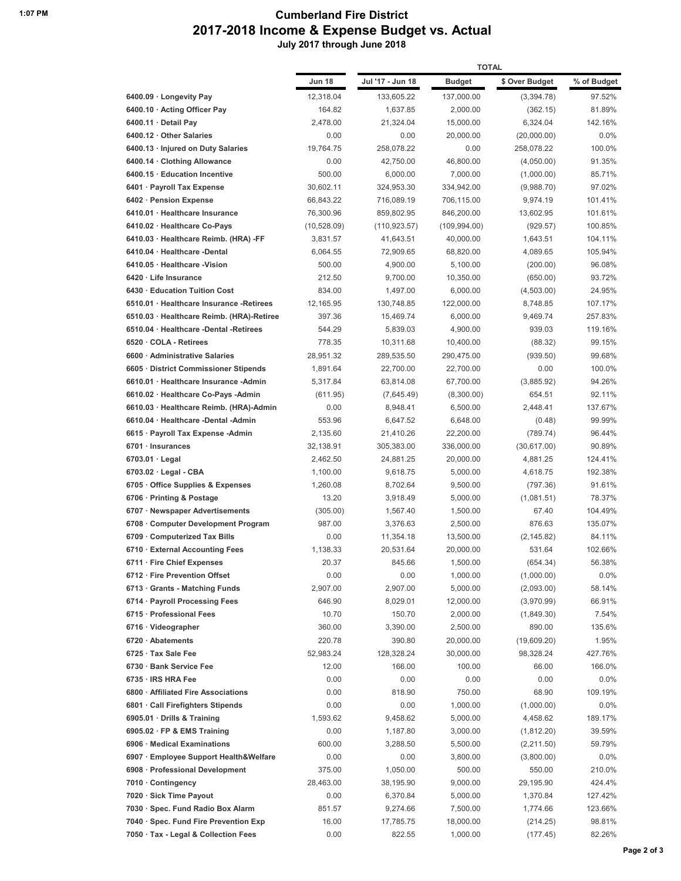#### **1:07 PM Cumberland Fire District 2017-2018 Income & Expense Budget vs. Actual July 2017 through June 2018**

|                                           |               | TOTAL            |               |                |             |
|-------------------------------------------|---------------|------------------|---------------|----------------|-------------|
|                                           | <b>Jun 18</b> | Jul '17 - Jun 18 | <b>Budget</b> | \$ Over Budget | % of Budget |
| 6400.09 · Longevity Pay                   | 12,318.04     | 133,605.22       | 137,000.00    | (3,394.78)     | 97.52%      |
| 6400.10 · Acting Officer Pay              | 164.82        | 1,637.85         | 2,000.00      | (362.15)       | 81.89%      |
| 6400.11 · Detail Pay                      | 2,478.00      | 21,324.04        | 15,000.00     | 6,324.04       | 142.16%     |
| 6400.12 Other Salaries                    | 0.00          | 0.00             | 20,000.00     | (20,000.00)    | 0.0%        |
| 6400.13 · Injured on Duty Salaries        | 19,764.75     | 258,078.22       | 0.00          | 258,078.22     | 100.0%      |
| 6400.14 · Clothing Allowance              | 0.00          | 42,750.00        | 46,800.00     | (4,050.00)     | 91.35%      |
| 6400.15 · Education Incentive             | 500.00        | 6,000.00         | 7,000.00      | (1,000.00)     | 85.71%      |
| 6401 · Payroll Tax Expense                | 30,602.11     | 324,953.30       | 334,942.00    | (9,988.70)     | 97.02%      |
| 6402 · Pension Expense                    | 66,843.22     | 716,089.19       | 706,115.00    | 9,974.19       | 101.41%     |
| 6410.01 · Healthcare Insurance            | 76,300.96     | 859,802.95       | 846,200.00    | 13,602.95      | 101.61%     |
| 6410.02 · Healthcare Co-Pays              | (10,528.09)   | (110, 923.57)    | (109, 994.00) | (929.57)       | 100.85%     |
| 6410.03 · Healthcare Reimb. (HRA) -FF     | 3,831.57      | 41,643.51        | 40,000.00     | 1,643.51       | 104.11%     |
| 6410.04 · Healthcare -Dental              | 6,064.55      | 72,909.65        | 68,820.00     | 4,089.65       | 105.94%     |
| 6410.05 · Healthcare -Vision              |               |                  |               |                |             |
|                                           | 500.00        | 4,900.00         | 5,100.00      | (200.00)       | 96.08%      |
| 6420 · Life Insurance                     | 212.50        | 9,700.00         | 10,350.00     | (650.00)       | 93.72%      |
| 6430 · Education Tuition Cost             | 834.00        | 1,497.00         | 6,000.00      | (4,503.00)     | 24.95%      |
| 6510.01 · Healthcare Insurance -Retirees  | 12,165.95     | 130,748.85       | 122,000.00    | 8,748.85       | 107.17%     |
| 6510.03 · Healthcare Reimb. (HRA)-Retiree | 397.36        | 15,469.74        | 6,000.00      | 9,469.74       | 257.83%     |
| 6510.04 · Healthcare -Dental -Retirees    | 544.29        | 5,839.03         | 4,900.00      | 939.03         | 119.16%     |
| 6520 COLA - Retirees                      | 778.35        | 10,311.68        | 10,400.00     | (88.32)        | 99.15%      |
| 6600 Administrative Salaries              | 28,951.32     | 289,535.50       | 290,475.00    | (939.50)       | 99.68%      |
| 6605 District Commissioner Stipends       | 1,891.64      | 22,700.00        | 22,700.00     | 0.00           | 100.0%      |
| 6610.01 · Healthcare Insurance -Admin     | 5,317.84      | 63,814.08        | 67,700.00     | (3,885.92)     | 94.26%      |
| 6610.02 · Healthcare Co-Pays -Admin       | (611.95)      | (7,645.49)       | (8,300.00)    | 654.51         | 92.11%      |
| 6610.03 · Healthcare Reimb. (HRA)-Admin   | 0.00          | 8,948.41         | 6,500.00      | 2,448.41       | 137.67%     |
| 6610.04 · Healthcare -Dental -Admin       | 553.96        | 6,647.52         | 6,648.00      | (0.48)         | 99.99%      |
| 6615 · Payroll Tax Expense -Admin         | 2,135.60      | 21,410.26        | 22,200.00     | (789.74)       | 96.44%      |
| 6701 Insurances                           | 32,138.91     | 305,383.00       | 336,000.00    | (30, 617.00)   | 90.89%      |
| $6703.01 \cdot$ Legal                     | 2,462.50      | 24,881.25        | 20,000.00     | 4,881.25       | 124.41%     |
| $6703.02 \cdot$ Legal - CBA               | 1,100.00      | 9,618.75         | 5,000.00      | 4,618.75       | 192.38%     |
| 6705 Office Supplies & Expenses           | 1,260.08      | 8,702.64         | 9,500.00      | (797.36)       | 91.61%      |
| 6706 · Printing & Postage                 | 13.20         | 3,918.49         | 5,000.00      | (1,081.51)     | 78.37%      |
| 6707 · Newspaper Advertisements           | (305.00)      | 1,567.40         | 1,500.00      | 67.40          | 104.49%     |
| 6708 Computer Development Program         | 987.00        | 3,376.63         | 2,500.00      | 876.63         | 135.07%     |
| 6709 Computerized Tax Bills               | 0.00          | 11,354.18        | 13,500.00     | (2, 145.82)    | 84.11%      |
| 6710 External Accounting Fees             | 1,138.33      | 20,531.64        | 20,000.00     | 531.64         | 102.66%     |
| 6711 · Fire Chief Expenses                | 20.37         | 845.66           | 1,500.00      | (654.34)       | 56.38%      |
| 6712 · Fire Prevention Offset             | 0.00          | 0.00             | 1,000.00      | (1,000.00)     | 0.0%        |
| 6713 Grants - Matching Funds              | 2,907.00      | 2,907.00         | 5,000.00      | (2,093.00)     | 58.14%      |
| 6714 · Payroll Processing Fees            | 646.90        | 8,029.01         | 12,000.00     | (3,970.99)     | 66.91%      |
| 6715 · Professional Fees                  | 10.70         | 150.70           | 2,000.00      | (1,849.30)     | 7.54%       |
| $6716 \cdot$ Videographer                 | 360.00        | 3,390.00         | 2,500.00      | 890.00         | 135.6%      |
| 6720 · Abatements                         | 220.78        | 390.80           | 20,000.00     | (19,609.20)    | 1.95%       |
| 6725 · Tax Sale Fee                       | 52,983.24     | 128,328.24       | 30,000.00     | 98,328.24      | 427.76%     |
| 6730 · Bank Service Fee                   | 12.00         | 166.00           | 100.00        | 66.00          | 166.0%      |
| 6735 · IRS HRA Fee                        | 0.00          | 0.00             | 0.00          |                | 0.0%        |
|                                           |               |                  |               | 0.00           |             |
| 6800 · Affiliated Fire Associations       | 0.00          | 818.90           | 750.00        | 68.90          | 109.19%     |
| 6801 · Call Firefighters Stipends         | 0.00          | 0.00             | 1,000.00      | (1,000.00)     | 0.0%        |
| 6905.01 · Drills & Training               | 1,593.62      | 9,458.62         | 5,000.00      | 4,458.62       | 189.17%     |
| 6905.02 · FP & EMS Training               | 0.00          | 1,187.80         | 3,000.00      | (1,812.20)     | 39.59%      |
| 6906 · Medical Examinations               | 600.00        | 3,288.50         | 5,500.00      | (2,211.50)     | 59.79%      |
| 6907 · Employee Support Health&Welfare    | 0.00          | 0.00             | 3,800.00      | (3,800.00)     | 0.0%        |
| 6908 · Professional Development           | 375.00        | 1,050.00         | 500.00        | 550.00         | 210.0%      |
| 7010 Contingency                          | 28,463.00     | 38,195.90        | 9,000.00      | 29,195.90      | 424.4%      |
| 7020 · Sick Time Payout                   | 0.00          | 6,370.84         | 5,000.00      | 1,370.84       | 127.42%     |
| 7030 · Spec. Fund Radio Box Alarm         | 851.57        | 9,274.66         | 7,500.00      | 1,774.66       | 123.66%     |
| 7040 · Spec. Fund Fire Prevention Exp     | 16.00         | 17,785.75        | 18,000.00     | (214.25)       | 98.81%      |
| 7050 · Tax - Legal & Collection Fees      | 0.00          | 822.55           | 1,000.00      | (177.45)       | 82.26%      |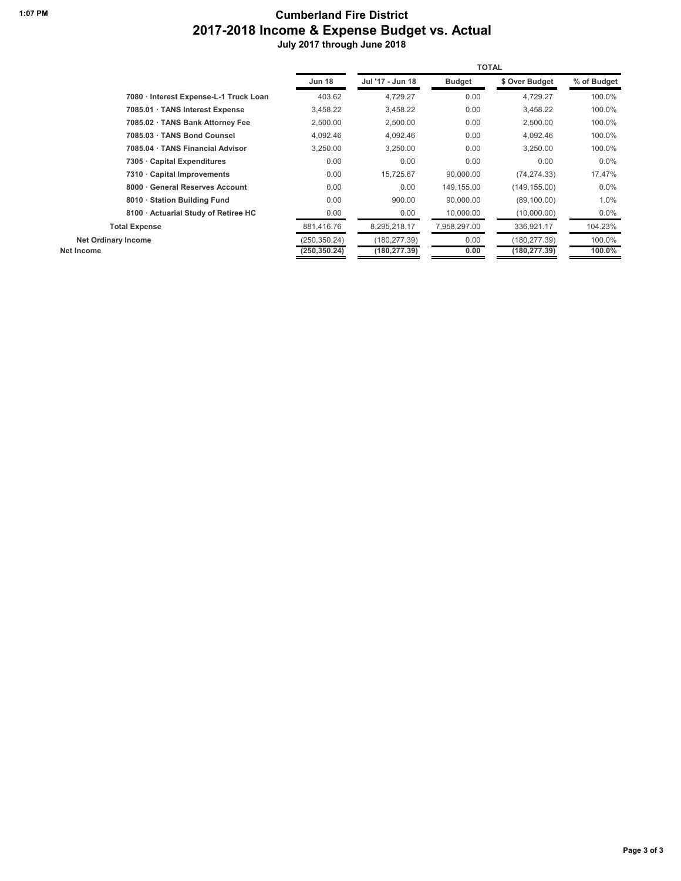#### **1:07 PM Cumberland Fire District 2017-2018 Income & Expense Budget vs. Actual July 2017 through June 2018**

|                                        |               | <b>TOTAL</b>     |               |                |             |  |  |  |
|----------------------------------------|---------------|------------------|---------------|----------------|-------------|--|--|--|
|                                        | <b>Jun 18</b> | Jul '17 - Jun 18 | <b>Budget</b> | \$ Over Budget | % of Budget |  |  |  |
| 7080 · Interest Expense-L-1 Truck Loan | 403.62        | 4,729.27         | 0.00          | 4.729.27       | 100.0%      |  |  |  |
| 7085.01 · TANS Interest Expense        | 3.458.22      | 3.458.22         | 0.00          | 3.458.22       | 100.0%      |  |  |  |
| 7085.02 · TANS Bank Attorney Fee       | 2,500.00      | 2,500.00         | 0.00          | 2,500.00       | 100.0%      |  |  |  |
| 7085.03 · TANS Bond Counsel            | 4,092.46      | 4,092.46         | 0.00          | 4,092.46       | 100.0%      |  |  |  |
| 7085.04 · TANS Financial Advisor       | 3,250.00      | 3,250.00         | 0.00          | 3,250.00       | 100.0%      |  |  |  |
| 7305 Capital Expenditures              | 0.00          | 0.00             | 0.00          | 0.00           | $0.0\%$     |  |  |  |
| 7310 Capital Improvements              | 0.00          | 15,725.67        | 90,000.00     | (74, 274.33)   | 17.47%      |  |  |  |
| 8000 General Reserves Account          | 0.00          | 0.00             | 149,155.00    | (149, 155.00)  | $0.0\%$     |  |  |  |
| 8010 · Station Building Fund           | 0.00          | 900.00           | 90,000.00     | (89, 100.00)   | 1.0%        |  |  |  |
| 8100 · Actuarial Study of Retiree HC   | 0.00          | 0.00             | 10,000.00     | (10,000.00)    | $0.0\%$     |  |  |  |
| <b>Total Expense</b>                   | 881,416.76    | 8,295,218.17     | 7.958.297.00  | 336,921.17     | 104.23%     |  |  |  |
| <b>Net Ordinary Income</b>             | (250,350.24)  | (180,277.39)     | 0.00          | (180, 277.39)  | 100.0%      |  |  |  |
| Net Income                             | (250, 350.24) | (180, 277, 39)   | 0.00          | (180,277.39)   | $100.0\%$   |  |  |  |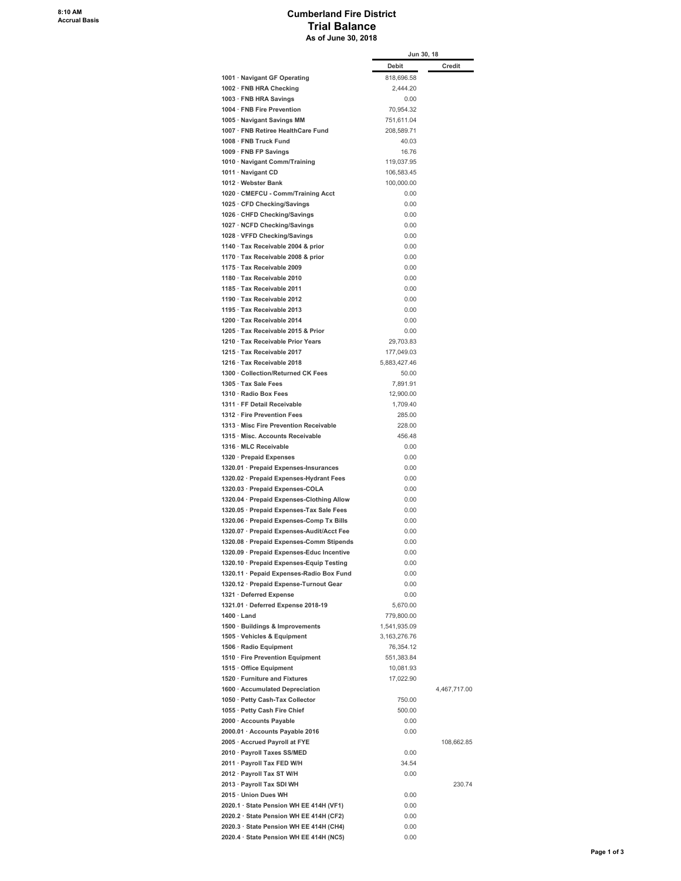#### **Cumberland Fire District Trial Balance As of June 30, 2018**

|                                                                                  | Jun 30, 18                 |              |
|----------------------------------------------------------------------------------|----------------------------|--------------|
|                                                                                  | Debit                      | Credit       |
| 1001 · Navigant GF Operating                                                     | 818,696.58                 |              |
| 1002 · FNB HRA Checking                                                          | 2.444.20                   |              |
| 1003 · FNB HRA Savings                                                           | 0.00                       |              |
| 1004 · FNB Fire Prevention                                                       | 70,954.32                  |              |
| 1005 · Navigant Savings MM<br>1007 · FNB Retiree HealthCare Fund                 | 751,611.04<br>208.589.71   |              |
| 1008 · FNB Truck Fund                                                            | 40.03                      |              |
| 1009 · FNB FP Savings                                                            | 16.76                      |              |
| 1010 · Navigant Comm/Training                                                    | 119,037.95                 |              |
| 1011 · Navigant CD                                                               | 106.583.45                 |              |
| 1012 · Webster Bank                                                              | 100,000.00                 |              |
| 1020 · CMEFCU - Comm/Training Acct                                               | 0.00                       |              |
| 1025 · CFD Checking/Savings                                                      | 0.00                       |              |
| 1026 · CHFD Checking/Savings                                                     | 0.00                       |              |
| 1027 · NCFD Checking/Savings                                                     | 0.00                       |              |
| 1028 · VFFD Checking/Savings                                                     | 0.00                       |              |
| 1140 · Tax Receivable 2004 & prior                                               | 0.00                       |              |
| 1170 · Tax Receivable 2008 & prior                                               | 0.00                       |              |
| 1175 · Tax Receivable 2009                                                       | 0.00                       |              |
| 1180 · Tax Receivable 2010                                                       | 0.00                       |              |
| 1185 · Tax Receivable 2011                                                       | 0.00                       |              |
| 1190 · Tax Receivable 2012<br>1195 · Tax Receivable 2013                         | 0.00                       |              |
| 1200 · Tax Receivable 2014                                                       | 0.00<br>0.00               |              |
| 1205 · Tax Receivable 2015 & Prior                                               | 0.00                       |              |
| 1210 · Tax Receivable Prior Years                                                | 29,703.83                  |              |
| 1215 · Tax Receivable 2017                                                       | 177,049.03                 |              |
| 1216 · Tax Receivable 2018                                                       | 5,883,427.46               |              |
| 1300 · Collection/Returned CK Fees                                               | 50.00                      |              |
| 1305 · Tax Sale Fees                                                             | 7,891.91                   |              |
| 1310 · Radio Box Fees                                                            | 12,900.00                  |              |
| 1311 · FF Detail Receivable                                                      | 1,709.40                   |              |
| 1312 · Fire Prevention Fees                                                      | 285.00                     |              |
| 1313 · Misc Fire Prevention Receivable                                           | 228.00                     |              |
| 1315 · Misc. Accounts Receivable                                                 | 456.48                     |              |
| 1316 · MLC Receivable                                                            | 0.00                       |              |
| 1320 · Prepaid Expenses                                                          | 0.00<br>0.00               |              |
| 1320.01 · Prepaid Expenses-Insurances<br>1320.02 · Prepaid Expenses-Hydrant Fees | 0.00                       |              |
| 1320.03 · Prepaid Expenses-COLA                                                  | 0.00                       |              |
| 1320.04 · Prepaid Expenses-Clothing Allow                                        | 0.00                       |              |
| 1320.05 · Prepaid Expenses-Tax Sale Fees                                         | 0.00                       |              |
| 1320.06 · Prepaid Expenses-Comp Tx Bills                                         | 0.00                       |              |
| 1320.07 · Prepaid Expenses-Audit/Acct Fee                                        | 0.00                       |              |
| 1320.08 · Prepaid Expenses-Comm Stipends                                         | 0.00                       |              |
| 1320.09 · Prepaid Expenses-Educ Incentive                                        | 0.00                       |              |
| 1320.10 · Prepaid Expenses-Equip Testing                                         | 0.00                       |              |
| 1320.11 · Pepaid Expenses-Radio Box Fund                                         | 0.00                       |              |
| 1320.12 · Prepaid Expense-Turnout Gear                                           | 0.00                       |              |
| 1321 · Deferred Expense                                                          | 0.00                       |              |
| 1321.01 · Deferred Expense 2018-19                                               | 5,670.00                   |              |
| $1400 \cdot$ Land<br>1500 · Buildings & Improvements                             | 779,800.00<br>1,541,935.09 |              |
| 1505 · Vehicles & Equipment                                                      | 3, 163, 276. 76            |              |
| 1506 · Radio Equipment                                                           | 76,354.12                  |              |
| 1510 · Fire Prevention Equipment                                                 | 551,383.84                 |              |
| 1515 · Office Equipment                                                          | 10,081.93                  |              |
| 1520 · Furniture and Fixtures                                                    | 17,022.90                  |              |
| 1600 · Accumulated Depreciation                                                  |                            | 4,467,717.00 |
| 1050 · Petty Cash-Tax Collector                                                  | 750.00                     |              |
| 1055 · Petty Cash Fire Chief                                                     | 500.00                     |              |
| 2000 · Accounts Payable                                                          | 0.00                       |              |
| 2000.01 · Accounts Payable 2016                                                  | 0.00                       |              |
| 2005 · Accrued Payroll at FYE                                                    |                            | 108,662.85   |
| 2010 · Payroll Taxes SS/MED                                                      | 0.00                       |              |
| 2011 · Payroll Tax FED W/H                                                       | 34.54                      |              |
| 2012 · Payroll Tax ST W/H                                                        | 0.00                       | 230.74       |
| 2013 · Payroll Tax SDI WH<br>2015 · Union Dues WH                                | 0.00                       |              |
| 2020.1 · State Pension WH EE 414H (VF1)                                          | 0.00                       |              |
| 2020.2 · State Pension WH EE 414H (CF2)                                          | 0.00                       |              |
| 2020.3 · State Pension WH EE 414H (CH4)                                          | 0.00                       |              |
| 2020.4 · State Pension WH EE 414H (NC5)                                          | 0.00                       |              |
|                                                                                  |                            |              |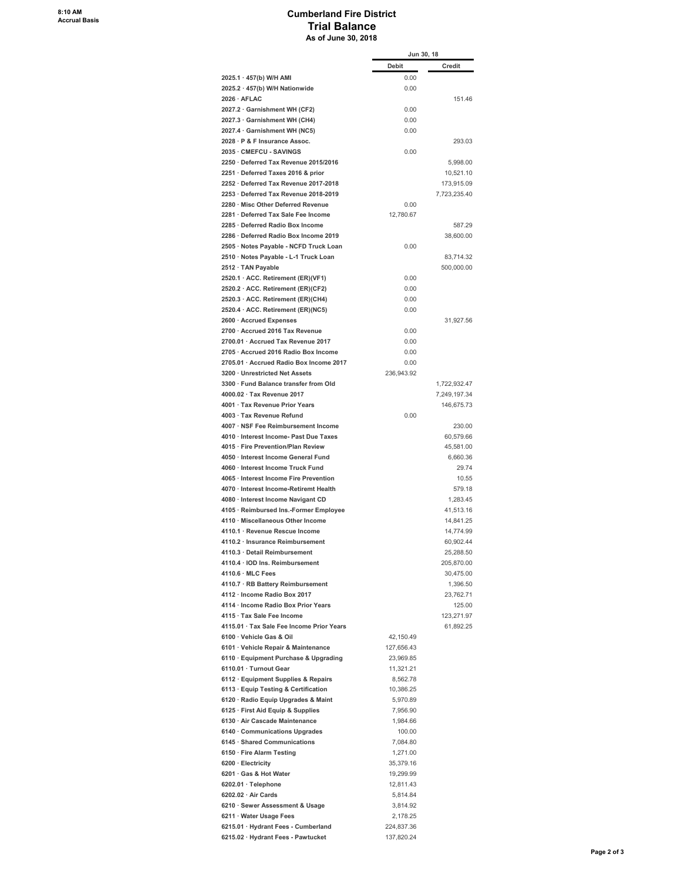#### **Cumberland Fire District Trial Balance As of June 30, 2018**

|                                           | Jun 30, 18 |              |
|-------------------------------------------|------------|--------------|
|                                           | Debit      | Credit       |
| 2025.1 · 457(b) W/H AMI                   | 0.00       |              |
| 2025.2 · 457(b) W/H Nationwide            | 0.00       |              |
| $2026 \cdot AFLAC$                        |            | 151.46       |
| 2027.2 · Garnishment WH (CF2)             | 0.00       |              |
| 2027.3 · Garnishment WH (CH4)             | 0.00       |              |
| 2027.4 · Garnishment WH (NC5)             | 0.00       |              |
| 2028 · P & F Insurance Assoc.             |            | 293.03       |
| 2035 · CMEFCU - SAVINGS                   | 0.00       |              |
| 2250 · Deferred Tax Revenue 2015/2016     |            | 5,998.00     |
| 2251 · Deferred Taxes 2016 & prior        |            | 10,521.10    |
| 2252 · Deferred Tax Revenue 2017-2018     |            |              |
|                                           |            | 173,915.09   |
| 2253 · Deferred Tax Revenue 2018-2019     |            | 7,723,235.40 |
| 2280 · Misc Other Deferred Revenue        | 0.00       |              |
| 2281 · Deferred Tax Sale Fee Income       | 12,780.67  |              |
| 2285 · Deferred Radio Box Income          |            | 587.29       |
| 2286 · Deferred Radio Box Income 2019     |            | 38,600.00    |
| 2505 · Notes Payable - NCFD Truck Loan    | 0.00       |              |
| 2510 · Notes Payable - L-1 Truck Loan     |            | 83,714.32    |
| 2512 · TAN Payable                        |            | 500,000.00   |
| 2520.1 · ACC. Retirement (ER)(VF1)        | 0.00       |              |
| 2520.2 · ACC. Retirement (ER)(CF2)        | 0.00       |              |
| 2520.3 · ACC. Retirement (ER)(CH4)        | 0.00       |              |
| 2520.4 · ACC. Retirement (ER)(NC5)        | 0.00       |              |
| 2600 · Accrued Expenses                   |            | 31,927.56    |
| 2700 · Accrued 2016 Tax Revenue           | 0.00       |              |
| 2700.01 · Accrued Tax Revenue 2017        | 0.00       |              |
| 2705 · Accrued 2016 Radio Box Income      | 0.00       |              |
| 2705.01 · Accrued Radio Box Income 2017   | 0.00       |              |
| 3200 · Unrestricted Net Assets            | 236,943.92 |              |
| 3300 · Fund Balance transfer from Old     |            | 1,722,932.47 |
| 4000.02 · Tax Revenue 2017                |            | 7,249,197.34 |
| 4001 · Tax Revenue Prior Years            |            | 146,675.73   |
| 4003 · Tax Revenue Refund                 | 0.00       |              |
| 4007 · NSF Fee Reimbursement Income       |            | 230.00       |
| 4010 · Interest Income- Past Due Taxes    |            | 60,579.66    |
| 4015 · Fire Prevention/Plan Review        |            |              |
|                                           |            | 45,581.00    |
| 4050 · Interest Income General Fund       |            | 6,660.36     |
| 4060 · Interest Income Truck Fund         |            | 29.74        |
| 4065 · Interest Income Fire Prevention    |            | 10.55        |
| 4070 · Interest Income-Retiremt Health    |            | 579.18       |
| 4080 · Interest Income Navigant CD        |            | 1,283.45     |
| 4105 · Reimbursed Ins.-Former Employee    |            | 41,513.16    |
| 4110 · Miscellaneous Other Income         |            | 14,841.25    |
| 4110.1 · Revenue Rescue Income            |            | 14,774.99    |
| 4110.2 · Insurance Reimbursement          |            | 60,902.44    |
| 4110.3 · Detail Reimbursement             |            | 25,288.50    |
| 4110.4 · IOD Ins. Reimbursement           |            | 205,870.00   |
| 4110.6 · MLC Fees                         |            | 30,475.00    |
| 4110.7 · RB Battery Reimbursement         |            | 1,396.50     |
| 4112 · Income Radio Box 2017              |            | 23,762.71    |
| 4114 · Income Radio Box Prior Years       |            | 125.00       |
| 4115 · Tax Sale Fee Income                |            | 123,271.97   |
| 4115.01 · Tax Sale Fee Income Prior Years |            | 61,892.25    |
| 6100 · Vehicle Gas & Oil                  | 42,150.49  |              |
| 6101 · Vehicle Repair & Maintenance       | 127,656.43 |              |
| 6110 · Equipment Purchase & Upgrading     | 23,969.85  |              |
| 6110.01 · Turnout Gear                    | 11,321.21  |              |
| 6112 · Equipment Supplies & Repairs       | 8,562.78   |              |
| 6113 · Equip Testing & Certification      | 10,386.25  |              |
| 6120 · Radio Equip Upgrades & Maint       | 5,970.89   |              |
| 6125 · First Aid Equip & Supplies         | 7,956.90   |              |
| 6130 · Air Cascade Maintenance            | 1,984.66   |              |
| 6140 · Communications Upgrades            | 100.00     |              |
|                                           |            |              |
| 6145 · Shared Communications              | 7,084.80   |              |
| 6150 · Fire Alarm Testing                 | 1,271.00   |              |
| 6200 · Electricity                        | 35,379.16  |              |
| 6201 · Gas & Hot Water                    | 19,299.99  |              |
| 6202.01 · Telephone                       | 12,811.43  |              |
| 6202.02 · Air Cards                       | 5,814.84   |              |
| 6210 · Sewer Assessment & Usage           | 3,814.92   |              |
| 6211 · Water Usage Fees                   | 2,178.25   |              |
| 6215.01 · Hydrant Fees - Cumberland       | 224,837.36 |              |
| 6215.02 · Hydrant Fees - Pawtucket        | 137,820.24 |              |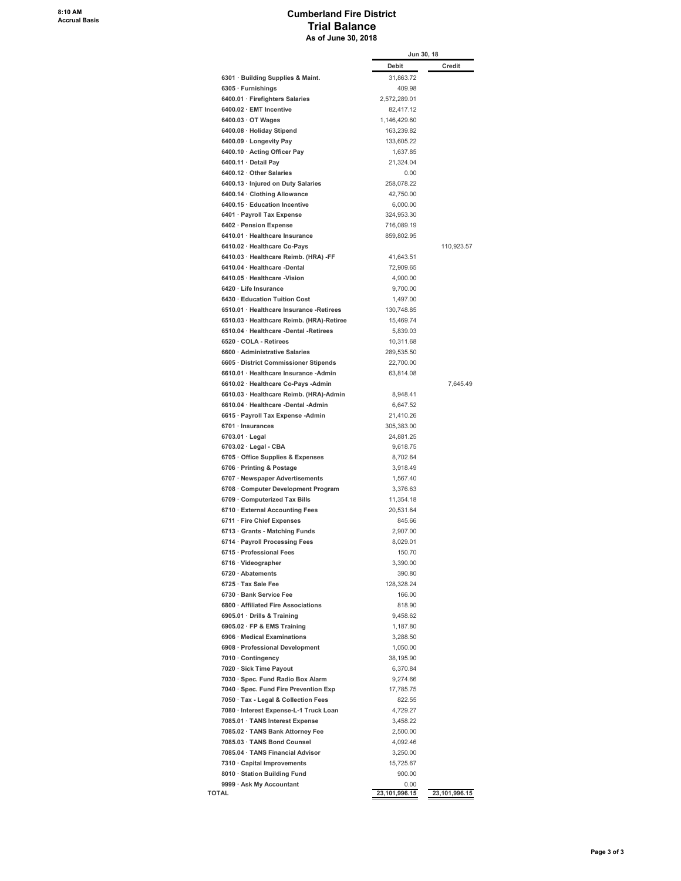#### **Cumberland Fire District Trial Balance As of June 30, 2018**

|                                                            |              | Jun 30, 18 |
|------------------------------------------------------------|--------------|------------|
|                                                            | Debit        | Credit     |
| 6301 · Building Supplies & Maint.                          | 31,863.72    |            |
| 6305 · Furnishings                                         | 409.98       |            |
| 6400.01 · Firefighters Salaries                            | 2,572,289.01 |            |
| 6400.02 · EMT Incentive                                    | 82,417.12    |            |
| 6400.03 · OT Wages                                         | 1,146,429.60 |            |
| 6400.08 · Holiday Stipend                                  | 163,239.82   |            |
| 6400.09 · Longevity Pay                                    | 133,605.22   |            |
| 6400.10 · Acting Officer Pay                               | 1,637.85     |            |
| 6400.11 · Detail Pay                                       | 21,324.04    |            |
| 6400.12 · Other Salaries                                   | 0.00         |            |
| 6400.13 · Injured on Duty Salaries                         | 258,078.22   |            |
| 6400.14 · Clothing Allowance                               | 42,750.00    |            |
| 6400.15 · Education Incentive                              | 6,000.00     |            |
| 6401 · Payroll Tax Expense                                 | 324,953.30   |            |
| 6402 · Pension Expense                                     | 716,089.19   |            |
| 6410.01 · Healthcare Insurance                             | 859,802.95   |            |
| 6410.02 · Healthcare Co-Pays                               |              | 110,923.57 |
| 6410.03 · Healthcare Reimb. (HRA) -FF                      | 41,643.51    |            |
| 6410.04 · Healthcare -Dental                               | 72,909.65    |            |
| 6410.05 · Healthcare -Vision                               | 4,900.00     |            |
| 6420 · Life Insurance                                      | 9,700.00     |            |
| 6430 · Education Tuition Cost                              | 1,497.00     |            |
| 6510.01 · Healthcare Insurance -Retirees                   |              |            |
|                                                            | 130,748.85   |            |
| 6510.03 · Healthcare Reimb. (HRA)-Retiree                  | 15,469.74    |            |
| 6510.04 · Healthcare -Dental -Retirees                     | 5,839.03     |            |
| 6520 · COLA - Retirees                                     | 10.311.68    |            |
| 6600 · Administrative Salaries                             | 289,535.50   |            |
| 6605 · District Commissioner Stipends                      | 22,700.00    |            |
| 6610.01 · Healthcare Insurance -Admin                      | 63.814.08    |            |
| 6610.02 · Healthcare Co-Pays -Admin                        |              | 7,645.49   |
| 6610.03 · Healthcare Reimb. (HRA)-Admin                    | 8,948.41     |            |
| 6610.04 · Healthcare -Dental -Admin                        | 6,647.52     |            |
| 6615 · Payroll Tax Expense -Admin                          | 21,410.26    |            |
| 6701 · Insurances                                          | 305,383.00   |            |
| $6703.01 \cdot$ Legal                                      | 24,881.25    |            |
| $6703.02 \cdot$ Legal - CBA                                | 9,618.75     |            |
| 6705 · Office Supplies & Expenses                          | 8,702.64     |            |
| 6706 · Printing & Postage                                  | 3,918.49     |            |
| 6707 · Newspaper Advertisements                            | 1,567.40     |            |
| 6708 · Computer Development Program                        | 3,376.63     |            |
| 6709 · Computerized Tax Bills                              | 11.354.18    |            |
| 6710 · External Accounting Fees                            | 20,531.64    |            |
| 6711 · Fire Chief Expenses                                 | 845.66       |            |
| 6713 · Grants - Matching Funds                             | 2,907.00     |            |
| 6714 · Payroll Processing Fees                             | 8,029.01     |            |
| 6715 · Professional Fees                                   | 150.70       |            |
| 6716 · Videographer                                        | 3,390.00     |            |
| 6720 · Abatements                                          | 390.80       |            |
| 6725 · Tax Sale Fee                                        | 128,328.24   |            |
| 6730 · Bank Service Fee                                    | 166.00       |            |
| 6800 · Affiliated Fire Associations                        | 818.90       |            |
| 6905.01 · Drills & Training                                |              |            |
|                                                            | 9,458.62     |            |
| 6905.02 · FP & EMS Training<br>6906 · Medical Examinations | 1,187.80     |            |
|                                                            | 3,288.50     |            |
| 6908 · Professional Development                            | 1,050.00     |            |
| 7010 · Contingency                                         | 38,195.90    |            |
| 7020 · Sick Time Payout                                    | 6,370.84     |            |
| 7030 · Spec. Fund Radio Box Alarm                          | 9,274.66     |            |
| 7040 · Spec. Fund Fire Prevention Exp                      | 17,785.75    |            |
| 7050 · Tax - Legal & Collection Fees                       | 822.55       |            |
| 7080 · Interest Expense-L-1 Truck Loan                     | 4,729.27     |            |
| 7085.01 · TANS Interest Expense                            | 3,458.22     |            |
| 7085.02 · TANS Bank Attorney Fee                           | 2,500.00     |            |
| 7085.03 · TANS Bond Counsel                                | 4,092.46     |            |
| 7085.04 · TANS Financial Advisor                           | 3,250.00     |            |
| 7310 · Capital Improvements                                | 15,725.67    |            |
|                                                            |              |            |
| 8010 · Station Building Fund                               | 900.00       |            |
| 9999 · Ask My Accountant                                   | 0.00         |            |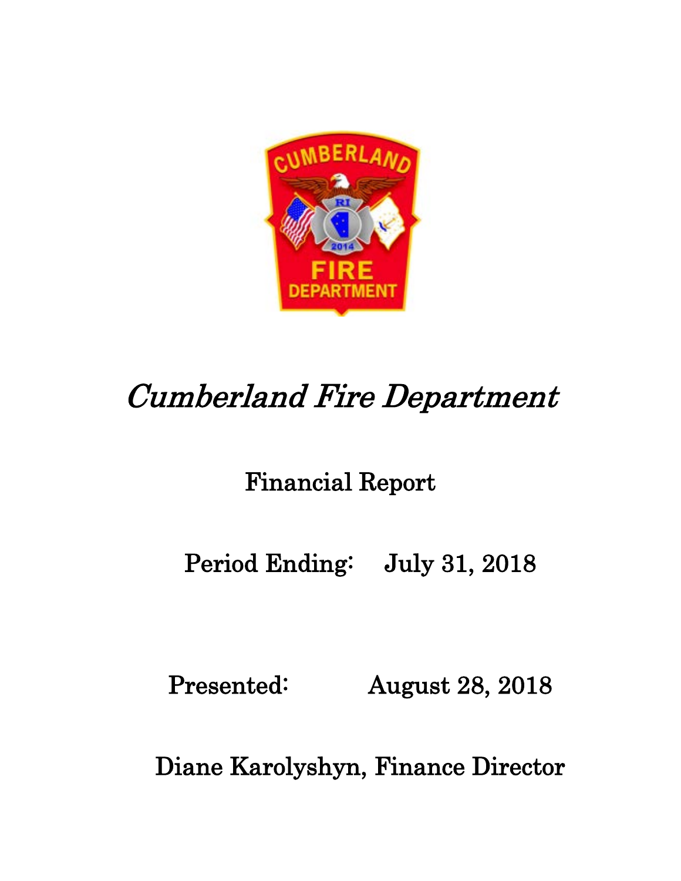

# Cumberland Fire Department

# Financial Report

# Period Ending: July 31, 2018

Presented: August 28, 2018

Diane Karolyshyn, Finance Director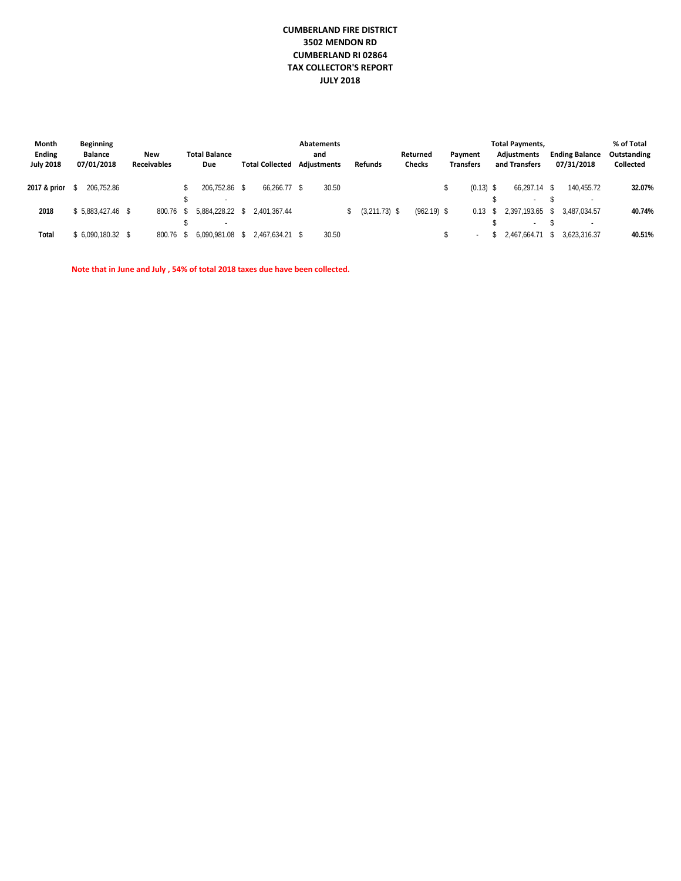#### **CUMBERLAND FIRE DISTRICT 3502 MENDON RD CUMBERLAND RI 02864 TAX COLLECTOR'S REPORT JULY 2018**

| Month<br><b>Ending</b><br><b>July 2018</b> | <b>Beginning</b><br><b>Balance</b><br>07/01/2018 | New<br><b>Receivables</b> |           | <b>Total Balance</b><br>Due | <b>Total Collected</b> | Abatements<br>and<br><b>Adiustments</b> | <b>Refunds</b>   | Returned<br><b>Checks</b> | Payment<br><b>Transfers</b> | <b>Total Payments,</b><br><b>Adiustments</b><br>and Transfers | <b>Ending Balance</b><br>07/31/2018 | % of Total<br>Outstanding<br>Collected |
|--------------------------------------------|--------------------------------------------------|---------------------------|-----------|-----------------------------|------------------------|-----------------------------------------|------------------|---------------------------|-----------------------------|---------------------------------------------------------------|-------------------------------------|----------------------------------------|
| 2017 & prior                               | 206.752.86                                       |                           |           | 206.752.86 \$               | 66.266.77 \$           | 30.50                                   |                  |                           | $(0.13)$ \$                 | 66.297.14 \$                                                  | 140.455.72                          | 32.07%                                 |
|                                            |                                                  |                           |           |                             |                        |                                         |                  |                           |                             | $\overline{\phantom{a}}$                                      |                                     |                                        |
| 2018                                       | $$5.883.427.46$ \$                               | 800.76                    | $\lambda$ | 5,884,228.22 \$             | 2.401.367.44           |                                         | \$ (3,211.73) \$ | $(962.19)$ \$             | $0.13$ \$                   | 2,397,193.65 \$                                               | 3.487.034.57                        | 40.74%                                 |
|                                            |                                                  |                           |           |                             |                        |                                         |                  |                           |                             | $\overline{\phantom{a}}$                                      | $\overline{\phantom{a}}$            |                                        |
| Total                                      | \$6.090.180.32 \$                                | 800.76 \$                 |           | 6.090.981.08                | 2.467.634.21 \$        | 30.50                                   |                  |                           |                             | $$2,467,664.71$ \;                                            | 3.623.316.37                        | 40.51%                                 |

**Note that in June and July , 54% of total 2018 taxes due have been collected.**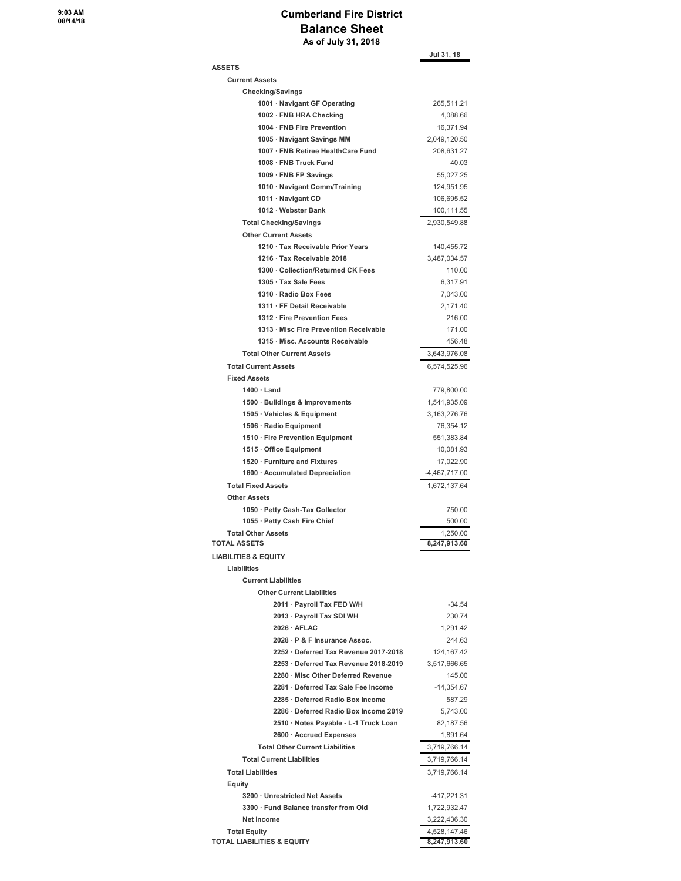#### **Cumberland Fire District Balance Sheet As of July 31, 2018**

**Jul 31, 18 ASSETS Current Assets Checking/Savings 1001 ꞏ Navigant GF Operating** 265,511.21 **1002 · FNB HRA Checking 4,088.66 1004 ꞏ FNB Fire Prevention** 16,371.94 **1005 ꞏ Navigant Savings MM** 2,049,120.50 **1007 ꞏ FNB Retiree HealthCare Fund** 208,631.27 **1008 · FNB Truck Fund** 40.03 **1009 · FNB FP Savings** 55,027.25 **1010 ꞏ Navigant Comm/Training** 124,951.95 **1011 · Navigant CD** 106,695.52 **1012 ꞏ Webster Bank** 100,111.55 **Total Checking/Savings** 2,930,549.88 **Other Current Assets** 1210 · Tax Receivable Prior Years 140,455.72 **1216 ꞏ Tax Receivable 2018** 3,487,034.57 1300 · Collection/Returned CK Fees 110.00 **1305 · Tax Sale Fees** 6,317.91 **1310 ꞏ Radio Box Fees** 7,043.00 **1311 ꞏ FF Detail Receivable** 2,171.40 **1312 ꞏ Fire Prevention Fees** 216.00 **1313 ꞏ Misc Fire Prevention Receivable** 171.00 **1315 · Misc. Accounts Receivable** 456.48 Total Other Current Assets 3,643,976.08 **Total Current Assets** 6,574,525.96 **Fixed Assets 1400 ꞏ Land** 779,800.00 **1500 · Buildings & Improvements** 1,541,935.09 **1505 ꞏ Vehicles & Equipment** 3,163,276.76 **1506 ꞏ Radio Equipment** 76,354.12 **1510 ꞏ Fire Prevention Equipment** 551,383.84 **1515 · Office Equipment** 10,081.93 **1520 · Furniture and Fixtures** 17,022.90 **1600 ꞏ Accumulated Depreciation** -4,467,717.00 **Total Fixed Assets** 1,672,137.64 **Other Assets 1050 ꞏ Petty Cash-Tax Collector** 750.00 **1055 · Petty Cash Fire Chief** 500.00 **Total Other Assets** 1,250.00<br>AL ASSETS 3,247,913.60 **TOTAL ASSETS LIABILITIES & EQUITY Liabilities Current Liabilities Other Current Liabilities 2011 · Payroll Tax FED W/H -34.54 2013 ꞏ Payroll Tax SDI WH** 230.74 **2026 · AFLAC** 1,291.42 **2028 ꞏ P & F Insurance Assoc.** 244.63 **2252 ꞏ Deferred Tax Revenue 2017-2018** 124,167.42 **2253 ꞏ Deferred Tax Revenue 2018-2019** 3,517,666.65 **2280 ꞏ Misc Other Deferred Revenue** 145.00 **2281 ꞏ Deferred Tax Sale Fee Income** -14,354.67 **2285 ꞏ Deferred Radio Box Income** 587.29 **2286 ꞏ Deferred Radio Box Income 2019** 5,743.00 **2510 ꞏ Notes Payable - L-1 Truck Loan** 82,187.56 **2600 · Accrued Expenses** 1,891.64 Total Other Current Liabilities **1996** 3,719,766.14

| <b>Total Current Liabilities</b>      | 3,719,766.14 |
|---------------------------------------|--------------|
| <b>Total Liabilities</b>              | 3.719.766.14 |
| Equity                                |              |
| 3200 · Unrestricted Net Assets        | -417.221.31  |
| 3300 · Fund Balance transfer from Old | 1.722.932.47 |
| Net Income                            | 3.222.436.30 |
| <b>Total Equity</b>                   | 4,528,147.46 |
| <b>TOTAL LIABILITIES &amp; EQUITY</b> | 8.247.913.60 |
|                                       |              |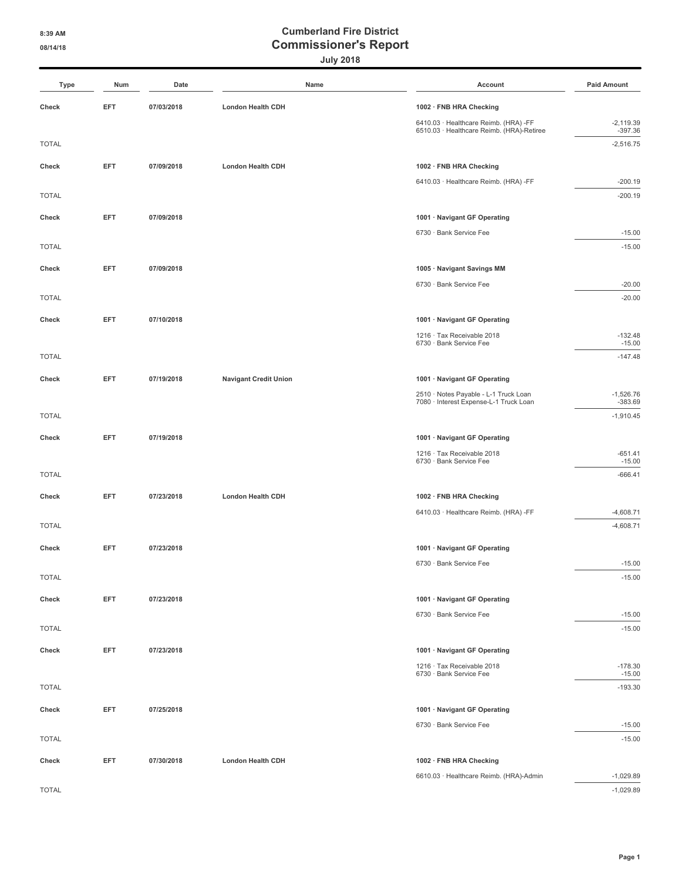**July 2018**

| Type         | Num        | Date       | Name                         | Account                                                    | <b>Paid Amount</b>       |  |
|--------------|------------|------------|------------------------------|------------------------------------------------------------|--------------------------|--|
| Check        | EFT        | 07/03/2018 | <b>London Health CDH</b>     | 1002 · FNB HRA Checking                                    |                          |  |
|              |            |            |                              | 6410.03 · Healthcare Reimb. (HRA) -FF                      | $-2,119.39$              |  |
| <b>TOTAL</b> |            |            |                              | 6510.03 · Healthcare Reimb. (HRA)-Retiree                  | $-397.36$<br>$-2,516.75$ |  |
|              |            |            |                              |                                                            |                          |  |
| Check        | EFT        | 07/09/2018 | <b>London Health CDH</b>     | 1002 · FNB HRA Checking                                    |                          |  |
| <b>TOTAL</b> |            |            |                              | 6410.03 · Healthcare Reimb. (HRA) -FF                      | $-200.19$<br>$-200.19$   |  |
|              |            |            |                              |                                                            |                          |  |
| Check        | EFT        | 07/09/2018 |                              | 1001 · Navigant GF Operating                               |                          |  |
| <b>TOTAL</b> |            |            |                              | 6730 · Bank Service Fee                                    | $-15.00$<br>$-15.00$     |  |
|              |            |            |                              |                                                            |                          |  |
| Check        | EFT        | 07/09/2018 |                              | 1005 · Navigant Savings MM                                 |                          |  |
| <b>TOTAL</b> |            |            |                              | 6730 · Bank Service Fee                                    | $-20.00$<br>$-20.00$     |  |
|              |            |            |                              |                                                            |                          |  |
| Check        | EFT        | 07/10/2018 |                              | 1001 · Navigant GF Operating                               |                          |  |
|              |            |            |                              | 1216 · Tax Receivable 2018<br>6730 · Bank Service Fee      | $-132.48$<br>$-15.00$    |  |
| <b>TOTAL</b> |            |            |                              |                                                            | $-147.48$                |  |
| Check        | EFT        | 07/19/2018 | <b>Navigant Credit Union</b> | 1001 · Navigant GF Operating                               |                          |  |
|              |            |            |                              | 2510 · Notes Payable - L-1 Truck Loan                      | $-1,526.76$              |  |
|              |            |            |                              | 7080 · Interest Expense-L-1 Truck Loan                     | $-383.69$                |  |
| <b>TOTAL</b> |            |            |                              |                                                            | $-1,910.45$              |  |
| Check        | EFT        | 07/19/2018 |                              | 1001 · Navigant GF Operating                               |                          |  |
|              |            |            |                              | 1216 · Tax Receivable 2018<br>6730 · Bank Service Fee      | $-651.41$<br>$-15.00$    |  |
| <b>TOTAL</b> |            |            |                              |                                                            | $-666.41$                |  |
| Check        | EFT        | 07/23/2018 | <b>London Health CDH</b>     | 1002 · FNB HRA Checking                                    |                          |  |
|              |            |            |                              | 6410.03 · Healthcare Reimb. (HRA) -FF                      | $-4,608.71$              |  |
| <b>TOTAL</b> |            |            |                              |                                                            | $-4,608.71$              |  |
| Check        | EFT        | 07/23/2018 |                              | 1001 · Navigant GF Operating                               |                          |  |
|              |            |            |                              | 6730 · Bank Service Fee                                    | $-15.00$                 |  |
| <b>TOTAL</b> |            |            |                              |                                                            | $-15.00$                 |  |
| Check        | EFT        | 07/23/2018 |                              | 1001 · Navigant GF Operating                               |                          |  |
|              |            |            |                              | 6730 · Bank Service Fee                                    | $-15.00$                 |  |
| <b>TOTAL</b> |            |            |                              |                                                            | $-15.00$                 |  |
|              |            |            |                              |                                                            |                          |  |
| Check        | EFT        | 07/23/2018 |                              | 1001 · Navigant GF Operating<br>1216 · Tax Receivable 2018 | $-178.30$                |  |
|              |            |            |                              | 6730 · Bank Service Fee                                    | $-15.00$                 |  |
| <b>TOTAL</b> |            |            |                              |                                                            | $-193.30$                |  |
| Check        | EFT        | 07/25/2018 |                              | 1001 · Navigant GF Operating                               |                          |  |
|              |            |            |                              | 6730 · Bank Service Fee                                    | $-15.00$                 |  |
| <b>TOTAL</b> |            |            |                              |                                                            | $-15.00$                 |  |
| Check        | <b>EFT</b> | 07/30/2018 | <b>London Health CDH</b>     | 1002 · FNB HRA Checking                                    |                          |  |
|              |            |            |                              | 6610.03 · Healthcare Reimb. (HRA)-Admin                    | $-1,029.89$              |  |
| <b>TOTAL</b> |            |            |                              |                                                            | $-1,029.89$              |  |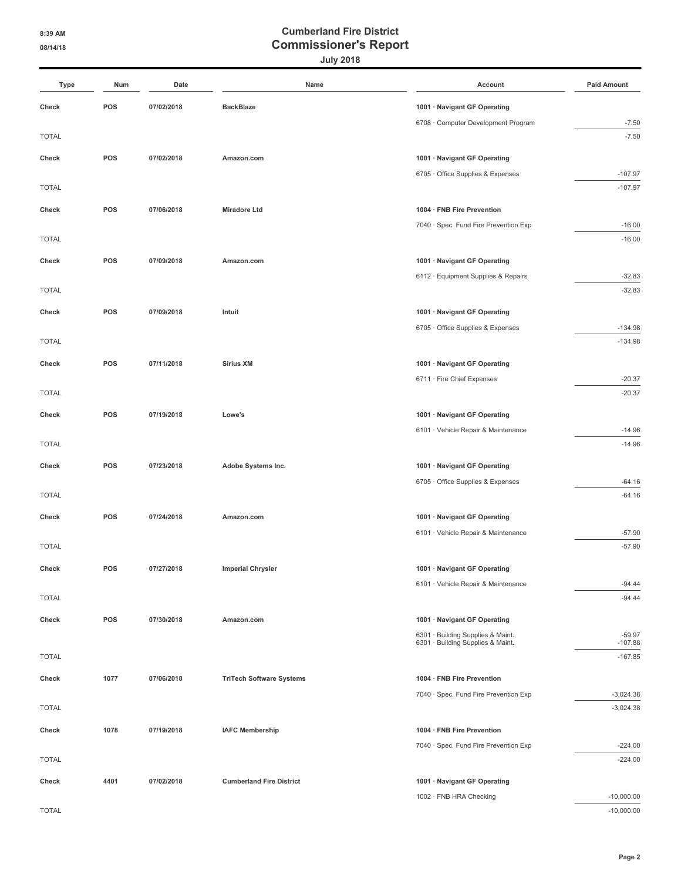**July 2018**

| Type         | Num  | Date       | Name                            | Account                               | <b>Paid Amount</b> |
|--------------|------|------------|---------------------------------|---------------------------------------|--------------------|
| Check        | POS  | 07/02/2018 | <b>BackBlaze</b>                | 1001 · Navigant GF Operating          |                    |
|              |      |            |                                 | 6708 · Computer Development Program   | $-7.50$            |
| <b>TOTAL</b> |      |            |                                 |                                       | $-7.50$            |
| Check        | POS  | 07/02/2018 | Amazon.com                      | 1001 · Navigant GF Operating          |                    |
|              |      |            |                                 | 6705 · Office Supplies & Expenses     | $-107.97$          |
| <b>TOTAL</b> |      |            |                                 |                                       | $-107.97$          |
| Check        | POS  | 07/06/2018 | <b>Miradore Ltd</b>             | 1004 · FNB Fire Prevention            |                    |
|              |      |            |                                 | 7040 · Spec. Fund Fire Prevention Exp | $-16.00$           |
| <b>TOTAL</b> |      |            |                                 |                                       | $-16.00$           |
| Check        | POS  | 07/09/2018 | Amazon.com                      | 1001 · Navigant GF Operating          |                    |
|              |      |            |                                 | 6112 · Equipment Supplies & Repairs   | $-32.83$           |
| <b>TOTAL</b> |      |            |                                 |                                       | $-32.83$           |
| Check        | POS  | 07/09/2018 | Intuit                          | 1001 · Navigant GF Operating          |                    |
|              |      |            |                                 | 6705 · Office Supplies & Expenses     | $-134.98$          |
| <b>TOTAL</b> |      |            |                                 |                                       | $-134.98$          |
| Check        | POS  | 07/11/2018 | <b>Sirius XM</b>                | 1001 · Navigant GF Operating          |                    |
|              |      |            |                                 | 6711 · Fire Chief Expenses            | $-20.37$           |
| <b>TOTAL</b> |      |            |                                 |                                       | $-20.37$           |
| Check        | POS  | 07/19/2018 | Lowe's                          | 1001 · Navigant GF Operating          |                    |
|              |      |            |                                 | 6101 · Vehicle Repair & Maintenance   | $-14.96$           |
| <b>TOTAL</b> |      |            |                                 |                                       | $-14.96$           |
| Check        | POS  | 07/23/2018 | Adobe Systems Inc.              | 1001 · Navigant GF Operating          |                    |
|              |      |            |                                 | 6705 · Office Supplies & Expenses     | $-64.16$           |
| <b>TOTAL</b> |      |            |                                 |                                       | $-64.16$           |
| Check        | POS  | 07/24/2018 | Amazon.com                      | 1001 · Navigant GF Operating          |                    |
|              |      |            |                                 | 6101 · Vehicle Repair & Maintenance   | $-57.90$           |
| <b>TOTAL</b> |      |            |                                 |                                       | $-57.90$           |
| Check        | POS  | 07/27/2018 | <b>Imperial Chrysler</b>        | 1001 · Navigant GF Operating          |                    |
|              |      |            |                                 | 6101 · Vehicle Repair & Maintenance   | $-94.44$           |
| <b>TOTAL</b> |      |            |                                 |                                       | $-94.44$           |
| Check        | POS  | 07/30/2018 | Amazon.com                      | 1001 · Navigant GF Operating          |                    |
|              |      |            |                                 | 6301 · Building Supplies & Maint.     | $-59.97$           |
|              |      |            |                                 | 6301 · Building Supplies & Maint.     | $-107.88$          |
| <b>TOTAL</b> |      |            |                                 |                                       | $-167.85$          |
| Check        | 1077 | 07/06/2018 | <b>TriTech Software Systems</b> | 1004 · FNB Fire Prevention            |                    |
|              |      |            |                                 | 7040 · Spec. Fund Fire Prevention Exp | $-3,024.38$        |
| <b>TOTAL</b> |      |            |                                 |                                       | $-3,024.38$        |
| Check        | 1078 | 07/19/2018 | <b>IAFC Membership</b>          | 1004 · FNB Fire Prevention            |                    |
|              |      |            |                                 | 7040 · Spec. Fund Fire Prevention Exp | $-224.00$          |
| <b>TOTAL</b> |      |            |                                 |                                       | $-224.00$          |
| Check        | 4401 | 07/02/2018 | <b>Cumberland Fire District</b> | 1001 · Navigant GF Operating          |                    |
|              |      |            |                                 | 1002 · FNB HRA Checking               | $-10,000.00$       |

TOTAL -10,000.00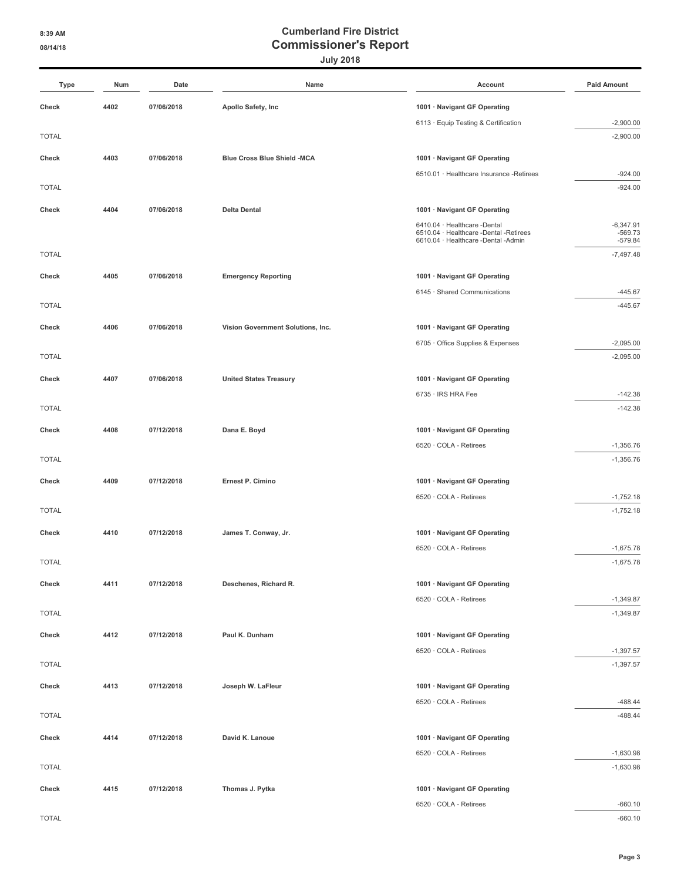**July 2018**

| <b>Type</b>  | Num  | Date       | Name                               | Account                                                                | <b>Paid Amount</b>         |
|--------------|------|------------|------------------------------------|------------------------------------------------------------------------|----------------------------|
| Check        | 4402 | 07/06/2018 | Apollo Safety, Inc                 | 1001 · Navigant GF Operating                                           |                            |
|              |      |            |                                    | 6113 · Equip Testing & Certification                                   | $-2,900.00$                |
| <b>TOTAL</b> |      |            |                                    |                                                                        | $-2,900.00$                |
|              |      |            |                                    |                                                                        |                            |
| Check        | 4403 | 07/06/2018 | <b>Blue Cross Blue Shield -MCA</b> | 1001 · Navigant GF Operating                                           |                            |
| <b>TOTAL</b> |      |            |                                    | 6510.01 · Healthcare Insurance -Retirees                               | $-924.00$<br>$-924.00$     |
|              |      |            |                                    |                                                                        |                            |
| Check        | 4404 | 07/06/2018 | <b>Delta Dental</b>                | 1001 · Navigant GF Operating                                           |                            |
|              |      |            |                                    | 6410.04 · Healthcare -Dental<br>6510.04 · Healthcare -Dental -Retirees | $-6,347.91$<br>$-569.73$   |
|              |      |            |                                    | 6610.04 · Healthcare -Dental -Admin                                    | $-579.84$                  |
| <b>TOTAL</b> |      |            |                                    |                                                                        | $-7,497.48$                |
| Check        | 4405 | 07/06/2018 | <b>Emergency Reporting</b>         | 1001 · Navigant GF Operating                                           |                            |
|              |      |            |                                    | 6145 · Shared Communications                                           | $-445.67$                  |
| <b>TOTAL</b> |      |            |                                    |                                                                        | $-445.67$                  |
| Check        | 4406 | 07/06/2018 | Vision Government Solutions, Inc.  | 1001 · Navigant GF Operating                                           |                            |
|              |      |            |                                    | 6705 · Office Supplies & Expenses                                      | $-2,095.00$                |
| <b>TOTAL</b> |      |            |                                    |                                                                        | $-2,095.00$                |
| Check        | 4407 | 07/06/2018 | <b>United States Treasury</b>      | 1001 · Navigant GF Operating                                           |                            |
|              |      |            |                                    | 6735 · IRS HRA Fee                                                     | $-142.38$                  |
| <b>TOTAL</b> |      |            |                                    |                                                                        | $-142.38$                  |
|              |      |            |                                    |                                                                        |                            |
| Check        | 4408 | 07/12/2018 | Dana E. Boyd                       | 1001 · Navigant GF Operating                                           |                            |
| <b>TOTAL</b> |      |            |                                    | 6520 · COLA - Retirees                                                 | $-1,356.76$<br>$-1,356.76$ |
|              |      |            |                                    |                                                                        |                            |
| Check        | 4409 | 07/12/2018 | Ernest P. Cimino                   | 1001 · Navigant GF Operating                                           |                            |
|              |      |            |                                    | 6520 · COLA - Retirees                                                 | $-1,752.18$                |
| <b>TOTAL</b> |      |            |                                    |                                                                        | $-1,752.18$                |
| Check        | 4410 | 07/12/2018 | James T. Conway, Jr.               | 1001 · Navigant GF Operating                                           |                            |
|              |      |            |                                    | 6520 · COLA - Retirees                                                 | $-1,675.78$                |
| <b>TOTAL</b> |      |            |                                    |                                                                        | $-1,675.78$                |
| Check        | 4411 | 07/12/2018 | Deschenes, Richard R.              | 1001 · Navigant GF Operating                                           |                            |
|              |      |            |                                    | 6520 · COLA - Retirees                                                 | $-1,349.87$                |
| <b>TOTAL</b> |      |            |                                    |                                                                        | $-1,349.87$                |
| Check        | 4412 | 07/12/2018 | Paul K. Dunham                     | 1001 · Navigant GF Operating                                           |                            |
|              |      |            |                                    | 6520 · COLA - Retirees                                                 | $-1,397.57$                |
| <b>TOTAL</b> |      |            |                                    |                                                                        | $-1,397.57$                |
|              |      |            |                                    |                                                                        |                            |
| Check        | 4413 | 07/12/2018 | Joseph W. LaFleur                  | 1001 · Navigant GF Operating                                           |                            |
|              |      |            |                                    | 6520 · COLA - Retirees                                                 | $-488.44$                  |
| <b>TOTAL</b> |      |            |                                    |                                                                        | $-488.44$                  |
| Check        | 4414 | 07/12/2018 | David K. Lanoue                    | 1001 · Navigant GF Operating                                           |                            |
|              |      |            |                                    | 6520 · COLA - Retirees                                                 | $-1,630.98$                |
| <b>TOTAL</b> |      |            |                                    |                                                                        | $-1,630.98$                |
| Check        | 4415 | 07/12/2018 | Thomas J. Pytka                    | 1001 · Navigant GF Operating                                           |                            |
|              |      |            |                                    | 6520 · COLA - Retirees                                                 | $-660.10$                  |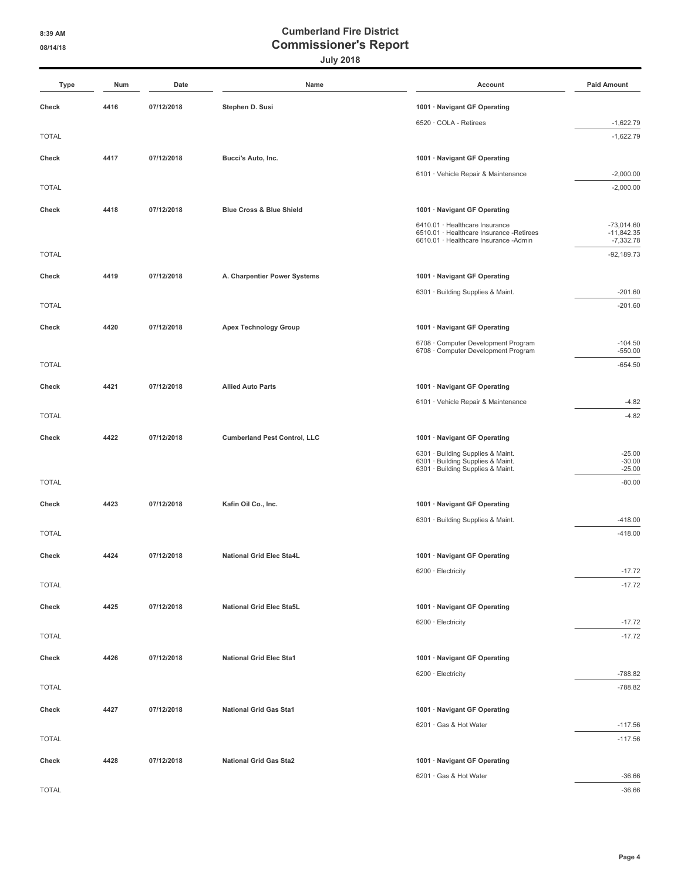**July 2018**

| <b>Type</b>  | Num  | Date       | Name                                | Account                                                                           | <b>Paid Amount</b>          |
|--------------|------|------------|-------------------------------------|-----------------------------------------------------------------------------------|-----------------------------|
| Check        | 4416 | 07/12/2018 | Stephen D. Susi                     | 1001 · Navigant GF Operating                                                      |                             |
|              |      |            |                                     | 6520 · COLA - Retirees                                                            | $-1,622.79$                 |
| <b>TOTAL</b> |      |            |                                     |                                                                                   | $-1,622.79$                 |
| Check        | 4417 | 07/12/2018 | Bucci's Auto, Inc.                  | 1001 · Navigant GF Operating                                                      |                             |
|              |      |            |                                     | 6101 · Vehicle Repair & Maintenance                                               | $-2,000.00$                 |
| <b>TOTAL</b> |      |            |                                     |                                                                                   | $-2,000.00$                 |
| Check        | 4418 | 07/12/2018 | <b>Blue Cross &amp; Blue Shield</b> | 1001 · Navigant GF Operating                                                      |                             |
|              |      |            |                                     | 6410.01 · Healthcare Insurance                                                    | $-73,014.60$                |
|              |      |            |                                     | 6510.01 · Healthcare Insurance -Retirees<br>6610.01 · Healthcare Insurance -Admin | $-11,842.35$<br>$-7,332.78$ |
| <b>TOTAL</b> |      |            |                                     |                                                                                   | $-92,189.73$                |
| Check        | 4419 | 07/12/2018 | A. Charpentier Power Systems        | 1001 · Navigant GF Operating                                                      |                             |
|              |      |            |                                     | 6301 · Building Supplies & Maint.                                                 | $-201.60$                   |
| <b>TOTAL</b> |      |            |                                     |                                                                                   | $-201.60$                   |
|              |      |            |                                     |                                                                                   |                             |
| Check        | 4420 | 07/12/2018 | <b>Apex Technology Group</b>        | 1001 · Navigant GF Operating<br>6708 Computer Development Program                 | $-104.50$                   |
|              |      |            |                                     | 6708 · Computer Development Program                                               | $-550.00$                   |
| <b>TOTAL</b> |      |            |                                     |                                                                                   | $-654.50$                   |
| Check        | 4421 | 07/12/2018 | <b>Allied Auto Parts</b>            | 1001 · Navigant GF Operating                                                      |                             |
|              |      |            |                                     | 6101 · Vehicle Repair & Maintenance                                               | $-4.82$                     |
| <b>TOTAL</b> |      |            |                                     |                                                                                   | $-4.82$                     |
| Check        | 4422 | 07/12/2018 | <b>Cumberland Pest Control, LLC</b> | 1001 · Navigant GF Operating                                                      |                             |
|              |      |            |                                     | 6301 · Building Supplies & Maint.                                                 | $-25.00$                    |
|              |      |            |                                     | 6301 · Building Supplies & Maint.<br>6301 · Building Supplies & Maint.            | $-30.00$<br>$-25.00$        |
| <b>TOTAL</b> |      |            |                                     |                                                                                   | $-80.00$                    |
| Check        | 4423 | 07/12/2018 | Kafin Oil Co., Inc.                 | 1001 · Navigant GF Operating                                                      |                             |
|              |      |            |                                     | 6301 · Building Supplies & Maint.                                                 | $-418.00$                   |
| <b>TOTAL</b> |      |            |                                     |                                                                                   | $-418.00$                   |
| Check        | 4424 | 07/12/2018 | National Grid Elec Sta4L            | 1001 · Navigant GF Operating                                                      |                             |
|              |      |            |                                     | 6200 · Electricity                                                                | $-17.72$                    |
| <b>TOTAL</b> |      |            |                                     |                                                                                   | $-17.72$                    |
| Check        | 4425 | 07/12/2018 | <b>National Grid Elec Sta5L</b>     | 1001 · Navigant GF Operating                                                      |                             |
|              |      |            |                                     | 6200 · Electricity                                                                | $-17.72$                    |
| <b>TOTAL</b> |      |            |                                     |                                                                                   | $-17.72$                    |
| Check        | 4426 | 07/12/2018 | <b>National Grid Elec Sta1</b>      | 1001 · Navigant GF Operating                                                      |                             |
|              |      |            |                                     | 6200 · Electricity                                                                | $-788.82$                   |
| <b>TOTAL</b> |      |            |                                     |                                                                                   | $-788.82$                   |
| Check        | 4427 | 07/12/2018 | <b>National Grid Gas Sta1</b>       | 1001 · Navigant GF Operating                                                      |                             |
|              |      |            |                                     | 6201 · Gas & Hot Water                                                            | $-117.56$                   |
| <b>TOTAL</b> |      |            |                                     |                                                                                   | $-117.56$                   |
|              |      |            | <b>National Grid Gas Sta2</b>       |                                                                                   |                             |
| Check        | 4428 | 07/12/2018 |                                     | 1001 · Navigant GF Operating<br>6201 · Gas & Hot Water                            | $-36.66$                    |
|              |      |            |                                     |                                                                                   |                             |

TOTAL -36.66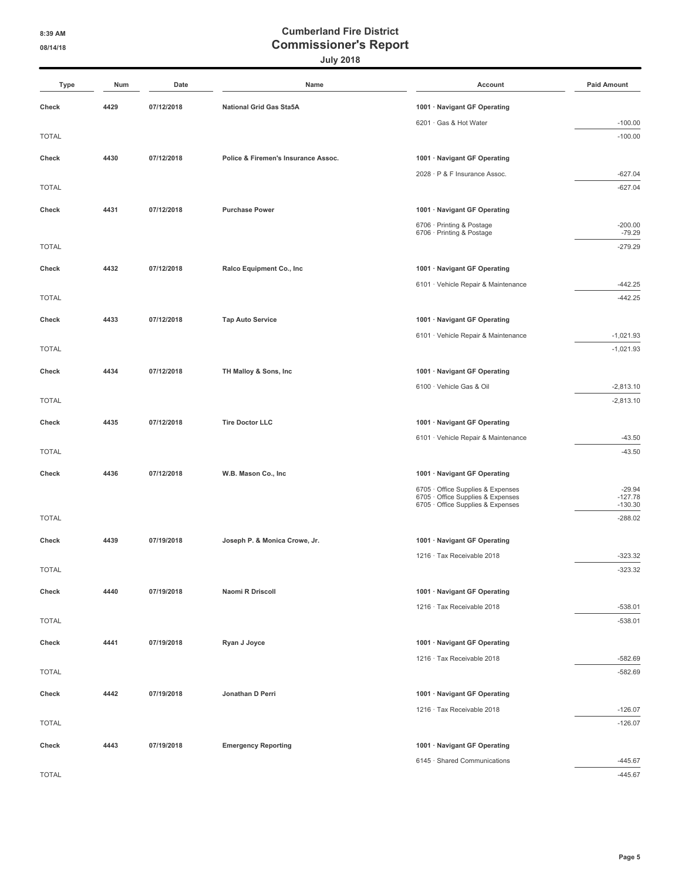**July 2018**

| Type         | Num  | Date       | Name                                | Account                                                                | <b>Paid Amount</b>     |
|--------------|------|------------|-------------------------------------|------------------------------------------------------------------------|------------------------|
| Check        | 4429 | 07/12/2018 | <b>National Grid Gas Sta5A</b>      | 1001 · Navigant GF Operating                                           |                        |
|              |      |            |                                     | 6201 · Gas & Hot Water                                                 | $-100.00$              |
| <b>TOTAL</b> |      |            |                                     |                                                                        | $-100.00$              |
| Check        | 4430 | 07/12/2018 | Police & Firemen's Insurance Assoc. |                                                                        |                        |
|              |      |            |                                     | 1001 · Navigant GF Operating<br>2028 · P & F Insurance Assoc.          | $-627.04$              |
| <b>TOTAL</b> |      |            |                                     |                                                                        | $-627.04$              |
|              |      |            |                                     |                                                                        |                        |
| Check        | 4431 | 07/12/2018 | <b>Purchase Power</b>               | 1001 · Navigant GF Operating                                           |                        |
|              |      |            |                                     | 6706 · Printing & Postage<br>6706 · Printing & Postage                 | $-200.00$<br>$-79.29$  |
| <b>TOTAL</b> |      |            |                                     |                                                                        | $-279.29$              |
| Check        | 4432 | 07/12/2018 | Ralco Equipment Co., Inc            | 1001 · Navigant GF Operating                                           |                        |
|              |      |            |                                     | 6101 · Vehicle Repair & Maintenance                                    | $-442.25$              |
| <b>TOTAL</b> |      |            |                                     |                                                                        | $-442.25$              |
| Check        | 4433 | 07/12/2018 | <b>Tap Auto Service</b>             | 1001 · Navigant GF Operating                                           |                        |
|              |      |            |                                     | 6101 · Vehicle Repair & Maintenance                                    | $-1,021.93$            |
| <b>TOTAL</b> |      |            |                                     |                                                                        | $-1,021.93$            |
| Check        | 4434 | 07/12/2018 | TH Malloy & Sons, Inc               | 1001 · Navigant GF Operating                                           |                        |
|              |      |            |                                     | 6100 · Vehicle Gas & Oil                                               | $-2,813.10$            |
| <b>TOTAL</b> |      |            |                                     |                                                                        | $-2,813.10$            |
|              |      |            |                                     |                                                                        |                        |
| Check        | 4435 | 07/12/2018 | <b>Tire Doctor LLC</b>              | 1001 · Navigant GF Operating                                           |                        |
| <b>TOTAL</b> |      |            |                                     | 6101 · Vehicle Repair & Maintenance                                    | $-43.50$<br>$-43.50$   |
|              |      |            |                                     |                                                                        |                        |
| Check        | 4436 | 07/12/2018 | W.B. Mason Co., Inc                 | 1001 · Navigant GF Operating                                           |                        |
|              |      |            |                                     | 6705 · Office Supplies & Expenses<br>6705 · Office Supplies & Expenses | $-29.94$<br>$-127.78$  |
| <b>TOTAL</b> |      |            |                                     | 6705 · Office Supplies & Expenses                                      | $-130.30$<br>$-288.02$ |
|              |      |            |                                     |                                                                        |                        |
| Check        | 4439 | 07/19/2018 | Joseph P. & Monica Crowe, Jr.       | 1001 · Navigant GF Operating                                           |                        |
|              |      |            |                                     | 1216 · Tax Receivable 2018                                             | $-323.32$              |
| <b>TOTAL</b> |      |            |                                     |                                                                        | $-323.32$              |
| Check        | 4440 | 07/19/2018 | Naomi R Driscoll                    | 1001 · Navigant GF Operating                                           |                        |
|              |      |            |                                     | 1216 · Tax Receivable 2018                                             | $-538.01$              |
| <b>TOTAL</b> |      |            |                                     |                                                                        | $-538.01$              |
| Check        | 4441 | 07/19/2018 | Ryan J Joyce                        | 1001 · Navigant GF Operating                                           |                        |
|              |      |            |                                     | 1216 · Tax Receivable 2018                                             | $-582.69$              |
| <b>TOTAL</b> |      |            |                                     |                                                                        | $-582.69$              |
| Check        | 4442 | 07/19/2018 | Jonathan D Perri                    | 1001 · Navigant GF Operating                                           |                        |
|              |      |            |                                     | 1216 · Tax Receivable 2018                                             | $-126.07$              |
| <b>TOTAL</b> |      |            |                                     |                                                                        | $-126.07$              |
| Check        | 4443 | 07/19/2018 | <b>Emergency Reporting</b>          | 1001 · Navigant GF Operating                                           |                        |
|              |      |            |                                     | 6145 · Shared Communications                                           | $-445.67$              |
|              |      |            |                                     |                                                                        |                        |

 $\blacksquare$  TOTAL  $\blacksquare$  -445.67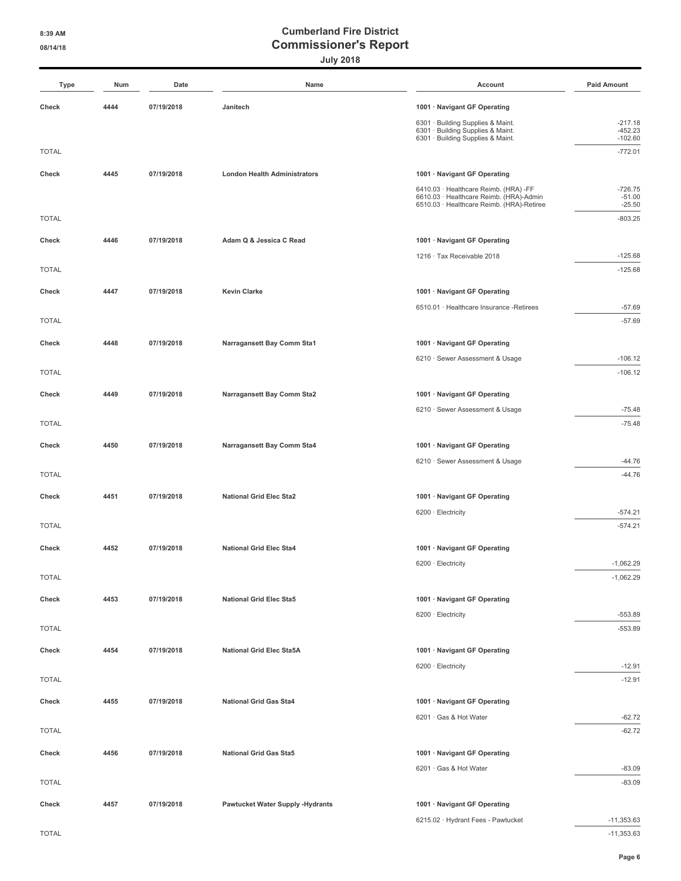**July 2018**

| Type         | Num  | Date       | Name                                    | Account                                                                          | <b>Paid Amount</b>     |
|--------------|------|------------|-----------------------------------------|----------------------------------------------------------------------------------|------------------------|
| Check        | 4444 | 07/19/2018 | Janitech                                | 1001 · Navigant GF Operating                                                     |                        |
|              |      |            |                                         | 6301 · Building Supplies & Maint.                                                | $-217.18$              |
|              |      |            |                                         | 6301 · Building Supplies & Maint.<br>6301 · Building Supplies & Maint.           | $-452.23$<br>$-102.60$ |
| <b>TOTAL</b> |      |            |                                         |                                                                                  | $-772.01$              |
| Check        | 4445 | 07/19/2018 | <b>London Health Administrators</b>     | 1001 · Navigant GF Operating                                                     |                        |
|              |      |            |                                         | 6410.03 · Healthcare Reimb. (HRA) -FF<br>6610.03 · Healthcare Reimb. (HRA)-Admin | $-726.75$<br>$-51.00$  |
|              |      |            |                                         | 6510.03 · Healthcare Reimb. (HRA)-Retiree                                        | $-25.50$               |
| <b>TOTAL</b> |      |            |                                         |                                                                                  | $-803.25$              |
| Check        | 4446 | 07/19/2018 | Adam Q & Jessica C Read                 | 1001 · Navigant GF Operating                                                     |                        |
|              |      |            |                                         | 1216 · Tax Receivable 2018                                                       | $-125.68$              |
| <b>TOTAL</b> |      |            |                                         |                                                                                  | $-125.68$              |
| Check        | 4447 | 07/19/2018 | <b>Kevin Clarke</b>                     | 1001 · Navigant GF Operating                                                     |                        |
|              |      |            |                                         | 6510.01 · Healthcare Insurance -Retirees                                         | $-57.69$               |
| <b>TOTAL</b> |      |            |                                         |                                                                                  | $-57.69$               |
| Check        | 4448 | 07/19/2018 | Narragansett Bay Comm Sta1              | 1001 · Navigant GF Operating                                                     |                        |
|              |      |            |                                         | 6210 · Sewer Assessment & Usage                                                  | $-106.12$              |
| <b>TOTAL</b> |      |            |                                         |                                                                                  | $-106.12$              |
| Check        | 4449 | 07/19/2018 | Narragansett Bay Comm Sta2              | 1001 · Navigant GF Operating                                                     |                        |
|              |      |            |                                         | 6210 · Sewer Assessment & Usage                                                  | $-75.48$               |
| <b>TOTAL</b> |      |            |                                         |                                                                                  | $-75.48$               |
| Check        | 4450 | 07/19/2018 | Narragansett Bay Comm Sta4              | 1001 · Navigant GF Operating                                                     |                        |
|              |      |            |                                         | 6210 · Sewer Assessment & Usage                                                  | $-44.76$               |
| <b>TOTAL</b> |      |            |                                         |                                                                                  | $-44.76$               |
| Check        | 4451 | 07/19/2018 | <b>National Grid Elec Sta2</b>          | 1001 · Navigant GF Operating                                                     |                        |
|              |      |            |                                         | 6200 · Electricity                                                               | $-574.21$              |
| <b>TOTAL</b> |      |            |                                         |                                                                                  | $-574.21$              |
| Check        | 4452 | 07/19/2018 | <b>National Grid Elec Sta4</b>          | 1001 · Navigant GF Operating                                                     |                        |
|              |      |            |                                         | 6200 · Electricity                                                               | $-1,062.29$            |
| TOTAL        |      |            |                                         |                                                                                  | $-1,062.29$            |
| Check        | 4453 | 07/19/2018 | <b>National Grid Elec Sta5</b>          | 1001 · Navigant GF Operating                                                     |                        |
|              |      |            |                                         | 6200 · Electricity                                                               | $-553.89$              |
| <b>TOTAL</b> |      |            |                                         |                                                                                  | $-553.89$              |
| Check        | 4454 | 07/19/2018 | <b>National Grid Elec Sta5A</b>         | 1001 · Navigant GF Operating                                                     |                        |
|              |      |            |                                         | 6200 · Electricity                                                               | $-12.91$               |
| <b>TOTAL</b> |      |            |                                         |                                                                                  | $-12.91$               |
| Check        | 4455 | 07/19/2018 | <b>National Grid Gas Sta4</b>           | 1001 · Navigant GF Operating                                                     |                        |
|              |      |            |                                         | 6201 · Gas & Hot Water                                                           | $-62.72$               |
| <b>TOTAL</b> |      |            |                                         |                                                                                  | $-62.72$               |
| Check        | 4456 | 07/19/2018 | <b>National Grid Gas Sta5</b>           | 1001 · Navigant GF Operating                                                     |                        |
|              |      |            |                                         | 6201 · Gas & Hot Water                                                           | $-83.09$               |
| <b>TOTAL</b> |      |            |                                         |                                                                                  | $-83.09$               |
| Check        | 4457 | 07/19/2018 | <b>Pawtucket Water Supply -Hydrants</b> | 1001 · Navigant GF Operating                                                     |                        |
|              |      |            |                                         | 6215.02 · Hydrant Fees - Pawtucket                                               | $-11,353.63$           |

TOTAL -11,353.63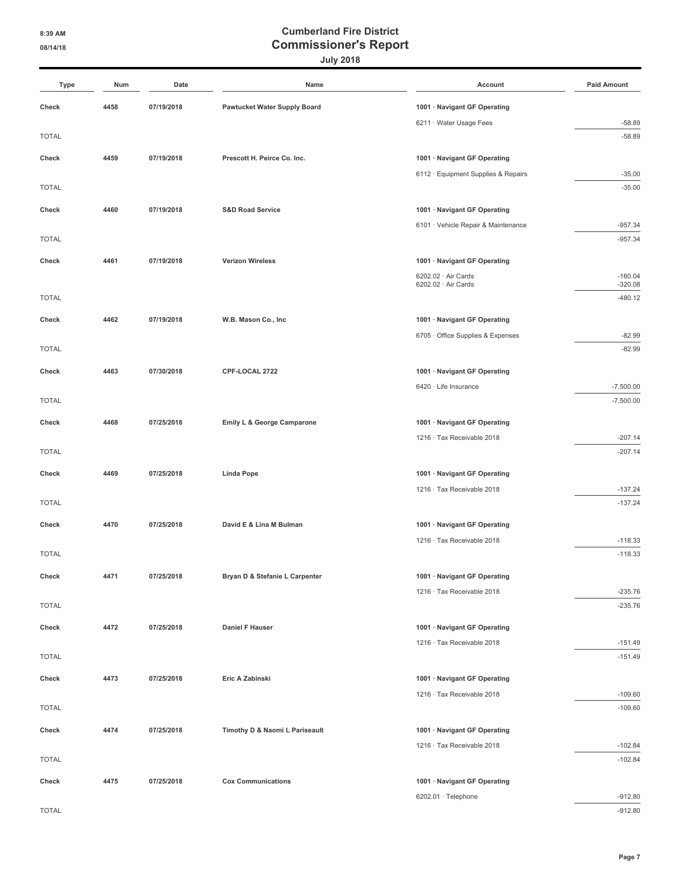**July 2018**

| Type         | Num  | Date       | Name                           | Account                                    | <b>Paid Amount</b>     |
|--------------|------|------------|--------------------------------|--------------------------------------------|------------------------|
| Check        | 4458 | 07/19/2018 | Pawtucket Water Supply Board   | 1001 · Navigant GF Operating               |                        |
|              |      |            |                                | 6211 · Water Usage Fees                    | $-58.89$               |
| <b>TOTAL</b> |      |            |                                |                                            | $-58.89$               |
| Check        | 4459 | 07/19/2018 | Prescott H. Peirce Co. Inc.    | 1001 · Navigant GF Operating               |                        |
|              |      |            |                                | 6112 · Equipment Supplies & Repairs        | $-35.00$               |
| <b>TOTAL</b> |      |            |                                |                                            | $-35.00$               |
| Check        | 4460 | 07/19/2018 | <b>S&amp;D Road Service</b>    | 1001 · Navigant GF Operating               |                        |
|              |      |            |                                | 6101 · Vehicle Repair & Maintenance        | $-957.34$              |
| <b>TOTAL</b> |      |            |                                |                                            | $-957.34$              |
| Check        | 4461 | 07/19/2018 | <b>Verizon Wireless</b>        | 1001 · Navigant GF Operating               |                        |
|              |      |            |                                | 6202.02 · Air Cards<br>6202.02 · Air Cards | $-160.04$<br>$-320.08$ |
| <b>TOTAL</b> |      |            |                                |                                            | $-480.12$              |
|              | 4462 | 07/19/2018 |                                | 1001 · Navigant GF Operating               |                        |
| Check        |      |            | W.B. Mason Co., Inc.           | 6705 · Office Supplies & Expenses          | $-82.99$               |
| <b>TOTAL</b> |      |            |                                |                                            | $-82.99$               |
| Check        | 4463 | 07/30/2018 | CPF-LOCAL 2722                 | 1001 · Navigant GF Operating               |                        |
|              |      |            |                                | 6420 · Life Insurance                      | $-7,500.00$            |
| <b>TOTAL</b> |      |            |                                |                                            | $-7,500.00$            |
| Check        | 4468 | 07/25/2018 | Emily L & George Camparone     | 1001 · Navigant GF Operating               |                        |
|              |      |            |                                | 1216 · Tax Receivable 2018                 | $-207.14$              |
| <b>TOTAL</b> |      |            |                                |                                            | $-207.14$              |
| Check        | 4469 | 07/25/2018 | <b>Linda Pope</b>              | 1001 · Navigant GF Operating               |                        |
|              |      |            |                                | 1216 · Tax Receivable 2018                 | $-137.24$              |
| <b>TOTAL</b> |      |            |                                |                                            | $-137.24$              |
| Check        | 4470 | 07/25/2018 | David E & Lina M Bulman        | 1001 · Navigant GF Operating               |                        |
|              |      |            |                                | 1216 · Tax Receivable 2018                 | $-118.33$              |
| <b>TOTAL</b> |      |            |                                |                                            | $-118.33$              |
| Check        | 4471 | 07/25/2018 | Bryan D & Stefanie L Carpenter | 1001 · Navigant GF Operating               |                        |
|              |      |            |                                | 1216 · Tax Receivable 2018                 | $-235.76$              |
| <b>TOTAL</b> |      |            |                                |                                            | $-235.76$              |
| Check        | 4472 | 07/25/2018 | <b>Daniel F Hauser</b>         | 1001 · Navigant GF Operating               |                        |
|              |      |            |                                | 1216 · Tax Receivable 2018                 | $-151.49$              |
| <b>TOTAL</b> |      |            |                                |                                            | $-151.49$              |
| Check        | 4473 | 07/25/2018 | Eric A Zabinski                | 1001 · Navigant GF Operating               |                        |
|              |      |            |                                | 1216 · Tax Receivable 2018                 | $-109.60$              |
| <b>TOTAL</b> |      |            |                                |                                            | $-109.60$              |
| Check        | 4474 | 07/25/2018 | Timothy D & Naomi L Pariseault | 1001 · Navigant GF Operating               |                        |
|              |      |            |                                | 1216 · Tax Receivable 2018                 | $-102.84$              |
| <b>TOTAL</b> |      |            |                                |                                            | $-102.84$              |
| Check        | 4475 | 07/25/2018 | <b>Cox Communications</b>      | 1001 · Navigant GF Operating               |                        |
| <b>TOTAL</b> |      |            |                                | 6202.01 · Telephone                        | $-912.80$<br>$-912.80$ |
|              |      |            |                                |                                            |                        |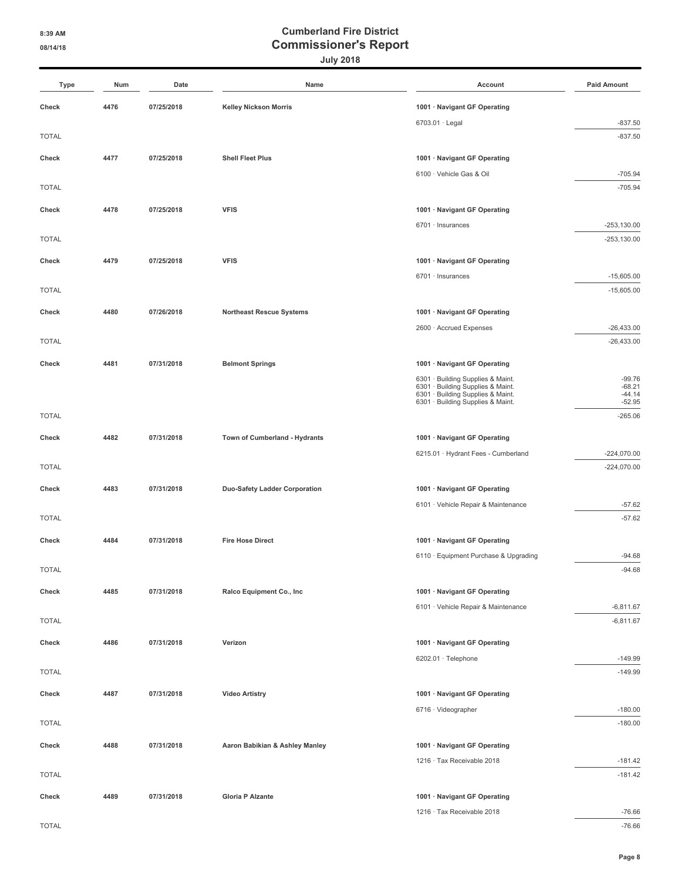**July 2018**

| Type         | Num  | Date       | Name                            | Account                                                                | <b>Paid Amount</b>   |
|--------------|------|------------|---------------------------------|------------------------------------------------------------------------|----------------------|
| Check        | 4476 | 07/25/2018 | <b>Kelley Nickson Morris</b>    | 1001 · Navigant GF Operating                                           |                      |
|              |      |            |                                 | $6703.01 \cdot$ Legal                                                  | $-837.50$            |
| <b>TOTAL</b> |      |            |                                 |                                                                        | $-837.50$            |
| Check        | 4477 | 07/25/2018 | <b>Shell Fleet Plus</b>         | 1001 · Navigant GF Operating                                           |                      |
|              |      |            |                                 | 6100 · Vehicle Gas & Oil                                               | $-705.94$            |
| <b>TOTAL</b> |      |            |                                 |                                                                        | $-705.94$            |
| Check        | 4478 | 07/25/2018 | <b>VFIS</b>                     | 1001 · Navigant GF Operating                                           |                      |
|              |      |            |                                 | 6701 · Insurances                                                      | $-253, 130.00$       |
| <b>TOTAL</b> |      |            |                                 |                                                                        | $-253,130.00$        |
| Check        | 4479 | 07/25/2018 | <b>VFIS</b>                     | 1001 · Navigant GF Operating                                           |                      |
|              |      |            |                                 | 6701 · Insurances                                                      | $-15,605.00$         |
| <b>TOTAL</b> |      |            |                                 |                                                                        | $-15,605.00$         |
| Check        | 4480 | 07/26/2018 | <b>Northeast Rescue Systems</b> | 1001 · Navigant GF Operating                                           |                      |
|              |      |            |                                 | 2600 · Accrued Expenses                                                | $-26,433.00$         |
| <b>TOTAL</b> |      |            |                                 |                                                                        | $-26,433.00$         |
|              |      |            |                                 |                                                                        |                      |
| Check        | 4481 | 07/31/2018 | <b>Belmont Springs</b>          | 1001 · Navigant GF Operating<br>6301 · Building Supplies & Maint.      | $-99.76$             |
|              |      |            |                                 | 6301 · Building Supplies & Maint.<br>6301 · Building Supplies & Maint. | $-68.21$<br>$-44.14$ |
|              |      |            |                                 | 6301 · Building Supplies & Maint.                                      | $-52.95$             |
| <b>TOTAL</b> |      |            |                                 |                                                                        | $-265.06$            |
| Check        | 4482 | 07/31/2018 | Town of Cumberland - Hydrants   | 1001 · Navigant GF Operating                                           |                      |
|              |      |            |                                 | 6215.01 · Hydrant Fees - Cumberland                                    | $-224,070.00$        |
| <b>TOTAL</b> |      |            |                                 |                                                                        | $-224,070.00$        |
| Check        | 4483 | 07/31/2018 | Duo-Safety Ladder Corporation   | 1001 · Navigant GF Operating                                           |                      |
|              |      |            |                                 | 6101 · Vehicle Repair & Maintenance                                    | $-57.62$             |
| <b>TOTAL</b> |      |            |                                 |                                                                        | $-57.62$             |
| Check        | 4484 | 07/31/2018 | <b>Fire Hose Direct</b>         | 1001 · Navigant GF Operating                                           |                      |
|              |      |            |                                 | 6110 · Equipment Purchase & Upgrading                                  | $-94.68$             |
| <b>TOTAL</b> |      |            |                                 |                                                                        | $-94.68$             |
| Check        | 4485 | 07/31/2018 | Ralco Equipment Co., Inc        | 1001 · Navigant GF Operating                                           |                      |
|              |      |            |                                 | 6101 · Vehicle Repair & Maintenance                                    | $-6,811.67$          |
| <b>TOTAL</b> |      |            |                                 |                                                                        | $-6,811.67$          |
| Check        | 4486 | 07/31/2018 | Verizon                         | 1001 · Navigant GF Operating                                           |                      |
|              |      |            |                                 | 6202.01 · Telephone                                                    | $-149.99$            |
| <b>TOTAL</b> |      |            |                                 |                                                                        | $-149.99$            |
| Check        | 4487 | 07/31/2018 | <b>Video Artistry</b>           | 1001 · Navigant GF Operating                                           |                      |
|              |      |            |                                 | 6716 · Videographer                                                    | $-180.00$            |
| <b>TOTAL</b> |      |            |                                 |                                                                        | $-180.00$            |
| Check        | 4488 | 07/31/2018 | Aaron Babikian & Ashley Manley  | 1001 · Navigant GF Operating                                           |                      |
|              |      |            |                                 | 1216 · Tax Receivable 2018                                             | $-181.42$            |
| <b>TOTAL</b> |      |            |                                 |                                                                        | $-181.42$            |
|              |      |            |                                 |                                                                        |                      |
| Check        | 4489 | 07/31/2018 | <b>Gloria P Alzante</b>         | 1001 · Navigant GF Operating<br>1216 · Tax Receivable 2018             | $-76.66$             |
|              |      |            |                                 |                                                                        |                      |

TOTAL -76.66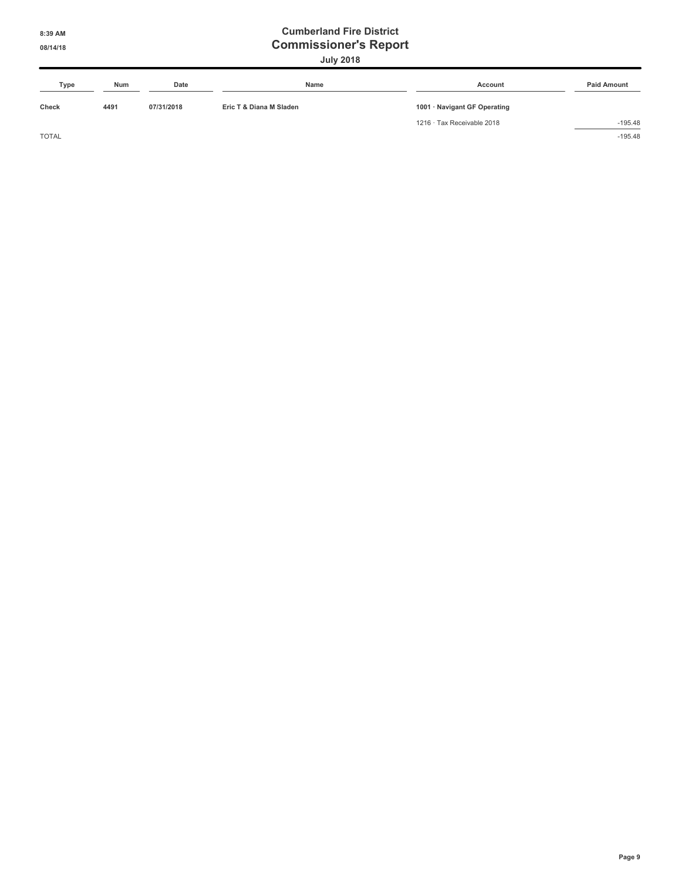**July 2018**

| Type         | Num  | Date       | Name                    | Account                      | <b>Paid Amount</b> |
|--------------|------|------------|-------------------------|------------------------------|--------------------|
| Check        | 4491 | 07/31/2018 | Eric T & Diana M Sladen | 1001 · Navigant GF Operating |                    |
|              |      |            |                         | 1216 · Tax Receivable 2018   | $-195.48$          |
| <b>TOTAL</b> |      |            |                         |                              | $-195.48$          |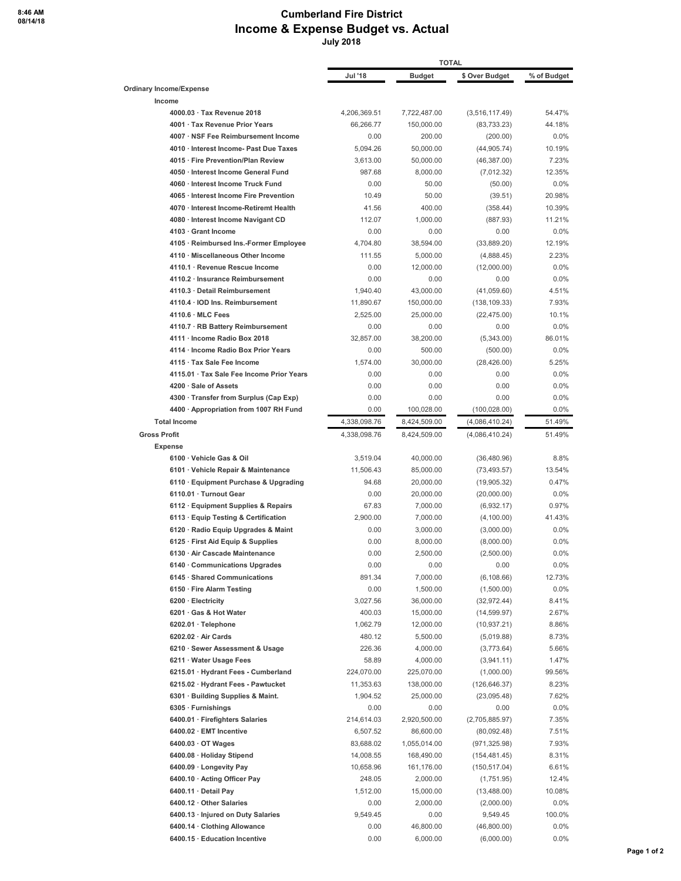#### **Cumberland Fire District Income & Expense Budget vs. Actual July 2018**

|                                                                          |                  | <b>TOTAL</b>            |                       |                |
|--------------------------------------------------------------------------|------------------|-------------------------|-----------------------|----------------|
|                                                                          | Jul '18          | <b>Budget</b>           | \$ Over Budget        | % of Budget    |
| <b>Ordinary Income/Expense</b>                                           |                  |                         |                       |                |
| Income                                                                   |                  |                         |                       |                |
| 4000.03 · Tax Revenue 2018                                               | 4,206,369.51     | 7,722,487.00            | (3,516,117.49)        | 54.47%         |
| 4001 · Tax Revenue Prior Years                                           | 66,266.77        | 150,000.00              | (83, 733.23)          | 44.18%         |
| 4007 · NSF Fee Reimbursement Income                                      | 0.00             | 200.00                  | (200.00)              | 0.0%           |
| 4010 · Interest Income- Past Due Taxes                                   | 5,094.26         | 50,000.00               | (44,905.74)           | 10.19%         |
| 4015 · Fire Prevention/Plan Review                                       | 3,613.00         | 50,000.00               | (46, 387.00)          | 7.23%          |
| 4050 · Interest Income General Fund<br>4060 · Interest Income Truck Fund | 987.68<br>0.00   | 8,000.00<br>50.00       | (7,012.32)<br>(50.00) | 12.35%<br>0.0% |
| 4065 · Interest Income Fire Prevention                                   | 10.49            | 50.00                   | (39.51)               | 20.98%         |
| 4070 · Interest Income-Retiremt Health                                   | 41.56            | 400.00                  | (358.44)              | 10.39%         |
| 4080 · Interest Income Navigant CD                                       | 112.07           | 1,000.00                | (887.93)              | 11.21%         |
| 4103 Grant Income                                                        | 0.00             | 0.00                    | 0.00                  | 0.0%           |
| 4105 · Reimbursed Ins.-Former Employee                                   | 4,704.80         | 38,594.00               | (33,889.20)           | 12.19%         |
| 4110 · Miscellaneous Other Income                                        | 111.55           | 5,000.00                | (4,888.45)            | 2.23%          |
| 4110.1 · Revenue Rescue Income                                           | 0.00             | 12,000.00               | (12,000.00)           | 0.0%           |
| 4110.2 · Insurance Reimbursement                                         | 0.00             | 0.00                    | 0.00                  | 0.0%           |
| 4110.3 Detail Reimbursement                                              | 1.940.40         | 43,000.00               | (41,059.60)           | 4.51%          |
| 4110.4 IOD Ins. Reimbursement                                            | 11,890.67        | 150,000.00              | (138, 109.33)         | 7.93%          |
| $4110.6 \cdot MLC$ Fees                                                  | 2,525.00         | 25,000.00               | (22, 475.00)          | 10.1%          |
| 4110.7 · RB Battery Reimbursement                                        | 0.00             | 0.00                    | 0.00                  | 0.0%           |
| 4111 · Income Radio Box 2018                                             | 32.857.00        | 38,200.00               | (5,343.00)            | 86.01%         |
| 4114 · Income Radio Box Prior Years                                      | 0.00             | 500.00                  | (500.00)              | 0.0%           |
| 4115 · Tax Sale Fee Income                                               | 1,574.00         | 30,000.00               | (28, 426.00)          | 5.25%          |
| 4115.01 · Tax Sale Fee Income Prior Years                                | 0.00             | 0.00                    | 0.00                  | 0.0%           |
| 4200 · Sale of Assets                                                    | 0.00             | 0.00                    | 0.00                  | 0.0%           |
| 4300 · Transfer from Surplus (Cap Exp)                                   | 0.00             | 0.00                    | 0.00                  | 0.0%           |
| 4400 · Appropriation from 1007 RH Fund                                   | 0.00             | 100,028.00              | (100, 028.00)         | 0.0%           |
| <b>Total Income</b>                                                      | 4,338,098.76     | 8,424,509.00            | (4,086,410.24)        | 51.49%         |
| <b>Gross Profit</b>                                                      | 4,338,098.76     | 8,424,509.00            | (4,086,410.24)        | 51.49%         |
| <b>Expense</b><br>6100 · Vehicle Gas & Oil                               | 3,519.04         | 40,000.00               | (36, 480.96)          | 8.8%           |
| 6101 · Vehicle Repair & Maintenance                                      | 11,506.43        | 85,000.00               | (73, 493.57)          | 13.54%         |
| 6110 · Equipment Purchase & Upgrading                                    | 94.68            | 20,000.00               | (19,905.32)           | 0.47%          |
| 6110.01 · Turnout Gear                                                   | 0.00             | 20,000.00               | (20,000.00)           | 0.0%           |
| 6112 · Equipment Supplies & Repairs                                      | 67.83            | 7,000.00                | (6,932.17)            | 0.97%          |
| 6113 · Equip Testing & Certification                                     | 2,900.00         | 7,000.00                | (4,100.00)            | 41.43%         |
| 6120 · Radio Equip Upgrades & Maint                                      | 0.00             | 3,000.00                | (3,000.00)            | 0.0%           |
| 6125 · First Aid Equip & Supplies                                        | 0.00             | 8,000.00                | (8,000.00)            | 0.0%           |
| 6130 · Air Cascade Maintenance                                           | 0.00             | 2,500.00                | (2,500.00)            | 0.0%           |
| 6140 Communications Upgrades                                             | 0.00             | 0.00                    | 0.00                  | 0.0%           |
| 6145 · Shared Communications                                             | 891.34           | 7,000.00                | (6, 108.66)           | 12.73%         |
| 6150 · Fire Alarm Testing                                                | 0.00             | 1,500.00                | (1,500.00)            | 0.0%           |
| 6200 · Electricity                                                       | 3,027.56         | 36,000.00               | (32, 972.44)          | 8.41%          |
| 6201 · Gas & Hot Water                                                   | 400.03           | 15,000.00               | (14,599.97)           | 2.67%          |
| 6202.01 · Telephone                                                      | 1,062.79         | 12,000.00               | (10, 937.21)          | 8.86%          |
| $6202.02 \cdot Air Cards$                                                | 480.12           | 5,500.00                | (5,019.88)            | 8.73%          |
| 6210 · Sewer Assessment & Usage                                          | 226.36           | 4,000.00                | (3,773.64)            | 5.66%          |
| 6211 · Water Usage Fees                                                  | 58.89            | 4,000.00                | (3,941.11)            | 1.47%          |
| 6215.01 · Hydrant Fees - Cumberland                                      | 224,070.00       | 225,070.00              | (1,000.00)            | 99.56%         |
| 6215.02 · Hydrant Fees - Pawtucket<br>6301 · Building Supplies & Maint.  | 11,353.63        | 138,000.00<br>25,000.00 | (126, 646.37)         | 8.23%          |
| 6305 · Furnishings                                                       | 1,904.52<br>0.00 | 0.00                    | (23,095.48)<br>0.00   | 7.62%<br>0.0%  |
| 6400.01 · Firefighters Salaries                                          | 214,614.03       | 2,920,500.00            | (2,705,885.97)        | 7.35%          |
| 6400.02 · EMT Incentive                                                  | 6,507.52         | 86,600.00               | (80,092.48)           | 7.51%          |
| 6400.03 OT Wages                                                         | 83,688.02        | 1,055,014.00            | (971, 325.98)         | 7.93%          |
| 6400.08 · Holiday Stipend                                                | 14,008.55        | 168,490.00              | (154, 481.45)         | 8.31%          |
| 6400.09 · Longevity Pay                                                  | 10,658.96        | 161,176.00              | (150, 517.04)         | 6.61%          |
| 6400.10 · Acting Officer Pay                                             | 248.05           | 2,000.00                | (1,751.95)            | 12.4%          |
| 6400.11 · Detail Pay                                                     | 1,512.00         | 15,000.00               | (13,488.00)           | 10.08%         |
| 6400.12 Other Salaries                                                   | 0.00             | 2,000.00                | (2,000.00)            | $0.0\%$        |
| 6400.13 · Injured on Duty Salaries                                       | 9,549.45         | 0.00                    | 9,549.45              | 100.0%         |
| 6400.14 · Clothing Allowance                                             | 0.00             | 46,800.00               | (46,800.00)           | 0.0%           |
| 6400.15 · Education Incentive                                            | 0.00             | 6,000.00                | (6,000.00)            | 0.0%           |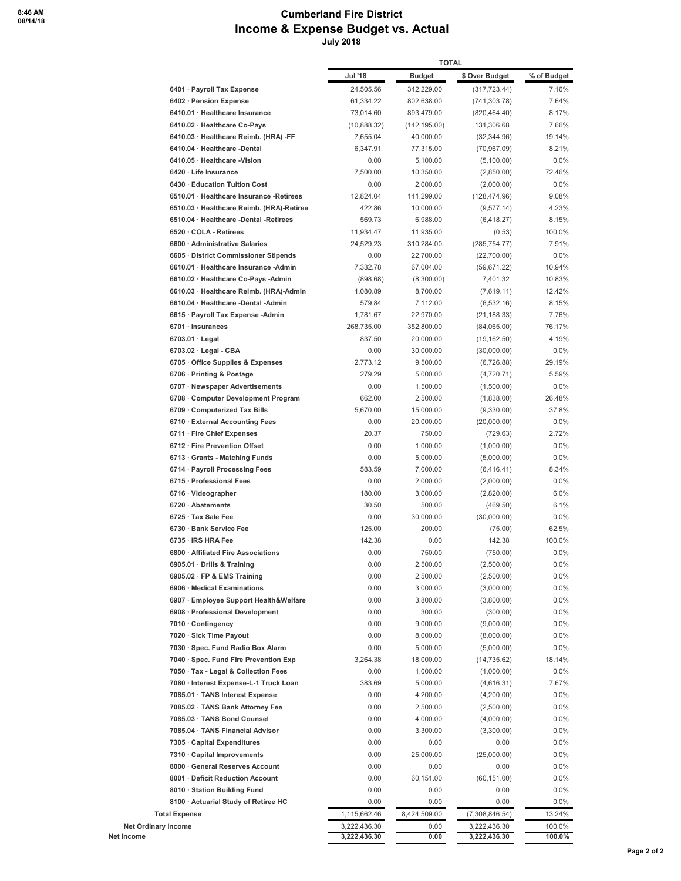#### **Cumberland Fire District Income & Expense Budget vs. Actual July 2018**

|                                                                     |                        | <b>TOTAL</b>            |                         |                 |
|---------------------------------------------------------------------|------------------------|-------------------------|-------------------------|-----------------|
|                                                                     | Jul '18                | <b>Budget</b>           | \$ Over Budget          | % of Budget     |
| 6401 · Payroll Tax Expense                                          | 24,505.56              | 342,229.00              | (317, 723.44)           | 7.16%           |
| 6402 · Pension Expense                                              | 61,334.22              | 802,638.00              | (741, 303.78)           | 7.64%           |
| 6410.01 · Healthcare Insurance                                      | 73,014.60              | 893,479.00              | (820, 464.40)           | 8.17%           |
| 6410.02 · Healthcare Co-Pays                                        | (10,888.32)            | (142, 195.00)           | 131,306.68              | 7.66%           |
| 6410.03 · Healthcare Reimb. (HRA) -FF                               | 7,655.04               | 40,000.00               | (32, 344.96)            | 19.14%          |
| 6410.04 · Healthcare -Dental                                        | 6,347.91               | 77,315.00               | (70, 967.09)            | 8.21%           |
| 6410.05 · Healthcare -Vision                                        | 0.00                   | 5,100.00                | (5,100.00)              | 0.0%            |
| 6420 · Life Insurance                                               | 7,500.00               | 10,350.00               | (2,850.00)              | 72.46%          |
| 6430 · Education Tuition Cost                                       | 0.00                   | 2,000.00                | (2,000.00)              | 0.0%            |
| 6510.01 · Healthcare Insurance -Retirees                            | 12,824.04              | 141,299.00              | (128, 474.96)           | 9.08%           |
| 6510.03 · Healthcare Reimb. (HRA)-Retiree                           | 422.86                 | 10,000.00               | (9,577.14)              | 4.23%           |
| 6510.04 · Healthcare -Dental -Retirees                              | 569.73                 | 6,988.00                | (6,418.27)              | 8.15%<br>100.0% |
| 6520 COLA - Retirees<br>6600 · Administrative Salaries              | 11,934.47<br>24,529.23 | 11,935.00<br>310,284.00 | (0.53)<br>(285, 754.77) | 7.91%           |
| 6605 District Commissioner Stipends                                 | 0.00                   | 22,700.00               | (22,700.00)             | 0.0%            |
| 6610.01 · Healthcare Insurance -Admin                               | 7,332.78               | 67,004.00               | (59,671.22)             | 10.94%          |
| 6610.02 · Healthcare Co-Pays -Admin                                 | (898.68)               | (8,300.00)              | 7,401.32                | 10.83%          |
| 6610.03 · Healthcare Reimb. (HRA)-Admin                             | 1,080.89               | 8,700.00                | (7,619.11)              | 12.42%          |
| 6610.04 · Healthcare -Dental -Admin                                 | 579.84                 | 7,112.00                | (6, 532.16)             | 8.15%           |
| 6615 · Payroll Tax Expense - Admin                                  | 1,781.67               | 22,970.00               | (21, 188.33)            | 7.76%           |
| 6701 · Insurances                                                   | 268,735.00             | 352,800.00              | (84,065.00)             | 76.17%          |
| $6703.01 \cdot$ Legal                                               | 837.50                 | 20,000.00               | (19, 162.50)            | 4.19%           |
| $6703.02 \cdot$ Legal - CBA                                         | 0.00                   | 30,000.00               | (30,000.00)             | 0.0%            |
| 6705 Office Supplies & Expenses                                     | 2,773.12               | 9,500.00                | (6,726.88)              | 29.19%          |
| 6706 · Printing & Postage                                           | 279.29                 | 5,000.00                | (4,720.71)              | 5.59%           |
| 6707 · Newspaper Advertisements                                     | 0.00                   | 1,500.00                | (1,500.00)              | 0.0%            |
| 6708 Computer Development Program                                   | 662.00                 | 2,500.00                | (1,838.00)              | 26.48%          |
| 6709 Computerized Tax Bills                                         | 5,670.00               | 15,000.00               | (9,330.00)              | 37.8%           |
| 6710 · External Accounting Fees                                     | 0.00                   | 20,000.00               | (20,000.00)             | 0.0%            |
| 6711 · Fire Chief Expenses                                          | 20.37                  | 750.00                  | (729.63)                | 2.72%           |
| 6712 · Fire Prevention Offset                                       | 0.00                   | 1,000.00                | (1,000.00)              | 0.0%            |
| 6713 Grants - Matching Funds                                        | 0.00                   | 5,000.00                | (5,000.00)              | 0.0%            |
| 6714 · Payroll Processing Fees                                      | 583.59                 | 7,000.00                | (6,416.41)              | 8.34%           |
| 6715 · Professional Fees<br>6716 · Videographer                     | 0.00<br>180.00         | 2,000.00<br>3,000.00    | (2,000.00)              | 0.0%<br>6.0%    |
| 6720 · Abatements                                                   | 30.50                  | 500.00                  | (2,820.00)<br>(469.50)  | 6.1%            |
| 6725 · Tax Sale Fee                                                 | 0.00                   | 30,000.00               | (30,000.00)             | 0.0%            |
| 6730 · Bank Service Fee                                             | 125.00                 | 200.00                  | (75.00)                 | 62.5%           |
| 6735 · IRS HRA Fee                                                  | 142.38                 | 0.00                    | 142.38                  | 100.0%          |
| 6800 Affiliated Fire Associations                                   | 0.00                   | 750.00                  | (750.00)                | 0.0%            |
| 6905.01 Drills & Training                                           | 0.00                   | 2,500.00                | (2,500.00)              | 0.0%            |
| 6905.02 · FP & EMS Training                                         | 0.00                   | 2,500.00                | (2,500.00)              | 0.0%            |
| 6906 · Medical Examinations                                         | 0.00                   | 3,000.00                | (3,000.00)              | 0.0%            |
| 6907 · Employee Support Health&Welfare                              | 0.00                   | 3,800.00                | (3,800.00)              | 0.0%            |
| 6908 · Professional Development                                     | 0.00                   | 300.00                  | (300.00)                | 0.0%            |
| 7010 Contingency                                                    | 0.00                   | 9,000.00                | (9,000.00)              | 0.0%            |
| 7020 · Sick Time Payout                                             | 0.00                   | 8,000.00                | (8,000.00)              | 0.0%            |
| 7030 · Spec. Fund Radio Box Alarm                                   | 0.00                   | 5,000.00                | (5,000.00)              | 0.0%            |
| 7040 · Spec. Fund Fire Prevention Exp                               | 3,264.38               | 18,000.00               | (14, 735.62)            | 18.14%          |
| 7050 · Tax - Legal & Collection Fees                                | 0.00                   | 1,000.00                | (1,000.00)              | 0.0%            |
| 7080 · Interest Expense-L-1 Truck Loan                              | 383.69                 | 5,000.00                | (4,616.31)              | 7.67%           |
| 7085.01 · TANS Interest Expense                                     | 0.00                   | 4,200.00                | (4,200.00)              | 0.0%            |
| 7085.02 · TANS Bank Attorney Fee                                    | 0.00                   | 2,500.00                | (2,500.00)              | 0.0%            |
| 7085.03 · TANS Bond Counsel                                         | 0.00                   | 4,000.00                | (4,000.00)              | 0.0%            |
| 7085.04 · TANS Financial Advisor                                    | 0.00                   | 3,300.00                | (3,300.00)              | 0.0%            |
| 7305 Capital Expenditures                                           | 0.00                   | 0.00                    | 0.00                    | 0.0%            |
| 7310 · Capital Improvements                                         | 0.00                   | 25,000.00               | (25,000.00)             | 0.0%            |
| 8000 · General Reserves Account<br>8001 · Deficit Reduction Account | 0.00<br>0.00           | 0.00<br>60,151.00       | 0.00<br>(60, 151.00)    | 0.0%<br>0.0%    |
| 8010 · Station Building Fund                                        | 0.00                   | 0.00                    | 0.00                    | 0.0%            |
| 8100 · Actuarial Study of Retiree HC                                | 0.00                   | 0.00                    | 0.00                    | $0.0\%$         |
| <b>Total Expense</b>                                                | 1,115,662.46           | 8,424,509.00            | (7,308,846.54)          | 13.24%          |
| <b>Net Ordinary Income</b>                                          | 3,222,436.30           | 0.00                    | 3,222,436.30            | 100.0%          |
| Net Income                                                          | 3,222,436.30           | 0.00                    | 3,222,436.30            | 100.0%          |
|                                                                     |                        |                         |                         |                 |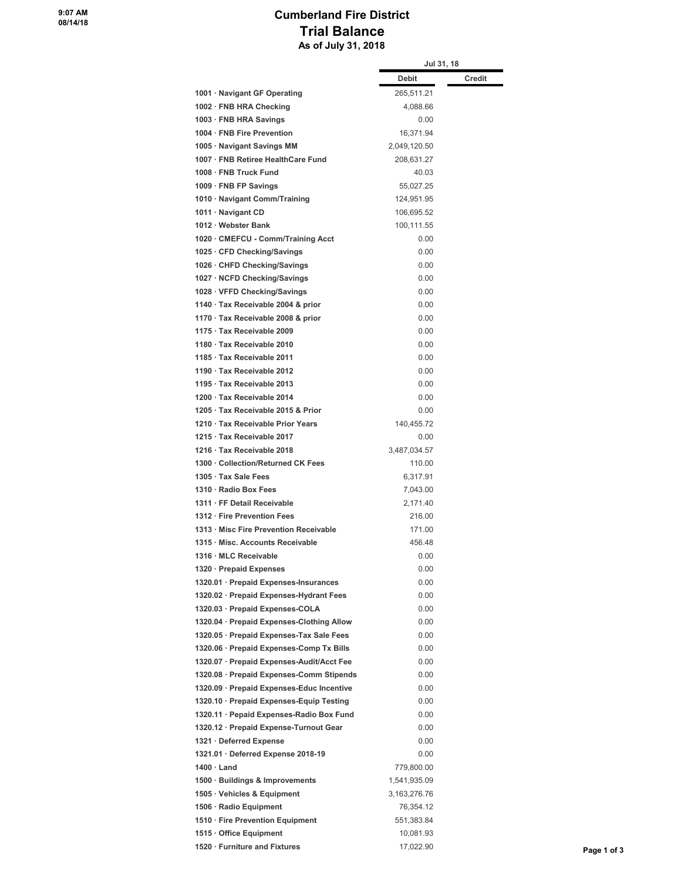## **Cumberland Fire District Trial Balance As of July 31, 2018**

|                                           | Jul 31, 18   |        |
|-------------------------------------------|--------------|--------|
|                                           | <b>Debit</b> | Credit |
| 1001 · Navigant GF Operating              | 265,511.21   |        |
| 1002 · FNB HRA Checking                   | 4,088.66     |        |
| 1003 · FNB HRA Savings                    | 0.00         |        |
| 1004 · FNB Fire Prevention                | 16,371.94    |        |
| 1005 · Navigant Savings MM                | 2,049,120.50 |        |
| 1007 · FNB Retiree HealthCare Fund        | 208,631.27   |        |
| 1008 · FNB Truck Fund                     | 40.03        |        |
|                                           |              |        |
| 1009 · FNB FP Savings                     | 55,027.25    |        |
| 1010 · Navigant Comm/Training             | 124,951.95   |        |
| 1011 · Navigant CD                        | 106,695.52   |        |
| 1012 · Webster Bank                       | 100,111.55   |        |
| 1020 CMEFCU - Comm/Training Acct          | 0.00         |        |
| 1025 · CFD Checking/Savings               | 0.00         |        |
| 1026 · CHFD Checking/Savings              | 0.00         |        |
| 1027 · NCFD Checking/Savings              | 0.00         |        |
| 1028 · VFFD Checking/Savings              | 0.00         |        |
| 1140 · Tax Receivable 2004 & prior        | 0.00         |        |
| 1170 · Tax Receivable 2008 & prior        | 0.00         |        |
| 1175 · Tax Receivable 2009                | 0.00         |        |
| 1180 Tax Receivable 2010                  | 0.00         |        |
| 1185 · Tax Receivable 2011                | 0.00         |        |
| 1190 · Tax Receivable 2012                | 0.00         |        |
| 1195 · Tax Receivable 2013                | 0.00         |        |
| 1200 Tax Receivable 2014                  | 0.00         |        |
| 1205 · Tax Receivable 2015 & Prior        |              |        |
|                                           | 0.00         |        |
| 1210 Tax Receivable Prior Years           | 140,455.72   |        |
| 1215 · Tax Receivable 2017                | 0.00         |        |
| 1216 · Tax Receivable 2018                | 3,487,034.57 |        |
| 1300 Collection/Returned CK Fees          | 110.00       |        |
| 1305 · Tax Sale Fees                      | 6,317.91     |        |
| 1310 · Radio Box Fees                     | 7,043.00     |        |
| 1311 · FF Detail Receivable               | 2,171.40     |        |
| 1312 · Fire Prevention Fees               | 216.00       |        |
| 1313 · Misc Fire Prevention Receivable    | 171.00       |        |
| 1315 Misc. Accounts Receivable            | 456.48       |        |
| 1316 · MLC Receivable                     | 0.00         |        |
| 1320 · Prepaid Expenses                   | 0.00         |        |
| 1320.01 · Prepaid Expenses-Insurances     | 0.00         |        |
| 1320.02 · Prepaid Expenses-Hydrant Fees   | 0.00         |        |
| 1320.03 · Prepaid Expenses-COLA           | 0.00         |        |
| 1320.04 · Prepaid Expenses-Clothing Allow |              |        |
|                                           | 0.00         |        |
| 1320.05 · Prepaid Expenses-Tax Sale Fees  | 0.00         |        |
| 1320.06 · Prepaid Expenses-Comp Tx Bills  | 0.00         |        |
| 1320.07 · Prepaid Expenses-Audit/Acct Fee | 0.00         |        |
| 1320.08 · Prepaid Expenses-Comm Stipends  | 0.00         |        |
| 1320.09 · Prepaid Expenses-Educ Incentive | 0.00         |        |
| 1320.10 · Prepaid Expenses-Equip Testing  | 0.00         |        |
| 1320.11 · Pepaid Expenses-Radio Box Fund  | 0.00         |        |
| 1320.12 · Prepaid Expense-Turnout Gear    | 0.00         |        |
| 1321 · Deferred Expense                   | 0.00         |        |
| 1321.01 · Deferred Expense 2018-19        | 0.00         |        |
| $1400 \cdot$ Land                         | 779,800.00   |        |
| 1500 · Buildings & Improvements           | 1,541,935.09 |        |
|                                           | 3,163,276.76 |        |
| 1505 · Vehicles & Equipment               |              |        |
| 1506 · Radio Equipment                    | 76,354.12    |        |
| 1510 · Fire Prevention Equipment          | 551,383.84   |        |
| 1515 Office Equipment                     | 10,081.93    |        |
| 1520 · Furniture and Fixtures             | 17,022.90    |        |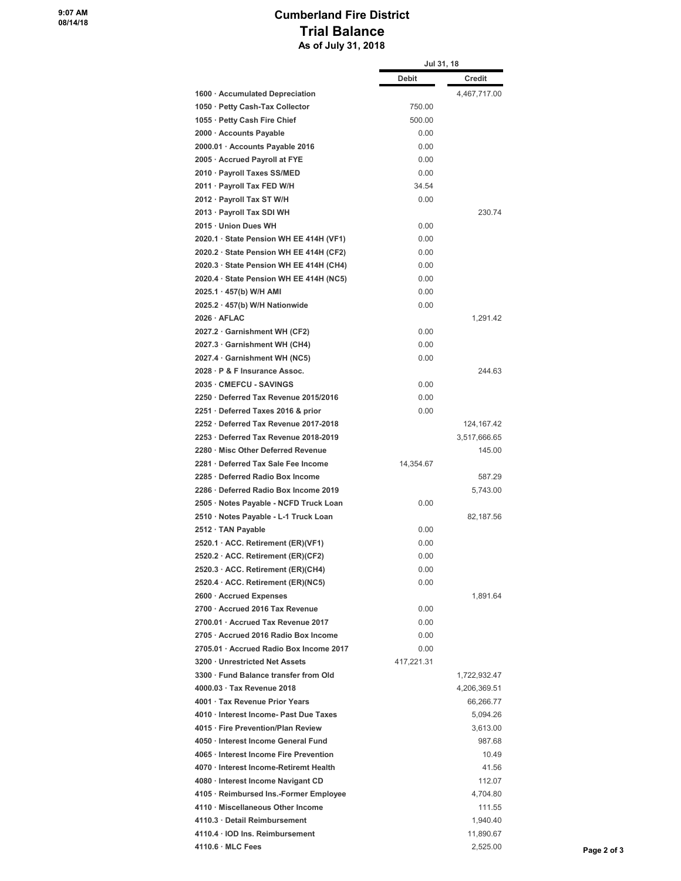## **Cumberland Fire District Trial Balance As of July 31, 2018**

|                                         | Jul 31, 18   |              |
|-----------------------------------------|--------------|--------------|
|                                         | <b>Debit</b> | Credit       |
| 1600 · Accumulated Depreciation         |              | 4,467,717.00 |
| 1050 · Petty Cash-Tax Collector         | 750.00       |              |
| 1055 · Petty Cash Fire Chief            | 500.00       |              |
| 2000 · Accounts Payable                 | 0.00         |              |
| 2000.01 · Accounts Payable 2016         | 0.00         |              |
| 2005 · Accrued Payroll at FYE           | 0.00         |              |
| 2010 · Payroll Taxes SS/MED             | 0.00         |              |
| 2011 · Payroll Tax FED W/H              | 34.54        |              |
| 2012 · Payroll Tax ST W/H               | 0.00         |              |
| 2013 · Payroll Tax SDI WH               |              | 230.74       |
| 2015 · Union Dues WH                    | 0.00         |              |
| 2020.1 · State Pension WH EE 414H (VF1) | 0.00         |              |
| 2020.2 · State Pension WH EE 414H (CF2) | 0.00         |              |
| 2020.3 · State Pension WH EE 414H (CH4) | 0.00         |              |
| 2020.4 · State Pension WH EE 414H (NC5) | 0.00         |              |
| 2025.1 · 457(b) W/H AMI                 | 0.00         |              |
| 2025.2 · 457(b) W/H Nationwide          | 0.00         |              |
| $2026 \cdot AFLAC$                      |              | 1,291.42     |
| 2027.2 Garnishment WH (CF2)             | 0.00         |              |
| 2027.3 Garnishment WH (CH4)             | 0.00         |              |
| 2027.4 Garnishment WH (NC5)             | 0.00         |              |
| 2028 · P & F Insurance Assoc.           |              | 244.63       |
|                                         |              |              |
| 2035 CMEFCU - SAVINGS                   | 0.00         |              |
| 2250 Deferred Tax Revenue 2015/2016     | 0.00         |              |
| 2251 Deferred Taxes 2016 & prior        | 0.00         |              |
| 2252 Deferred Tax Revenue 2017-2018     |              | 124,167.42   |
| 2253 · Deferred Tax Revenue 2018-2019   |              | 3,517,666.65 |
| 2280 Misc Other Deferred Revenue        |              | 145.00       |
| 2281 Deferred Tax Sale Fee Income       | 14,354.67    |              |
| 2285 · Deferred Radio Box Income        |              | 587.29       |
| 2286 · Deferred Radio Box Income 2019   |              | 5,743.00     |
| 2505 · Notes Payable - NCFD Truck Loan  | 0.00         |              |
| 2510 · Notes Payable - L-1 Truck Loan   |              | 82,187.56    |
| 2512 · TAN Payable                      | 0.00         |              |
| 2520.1 · ACC. Retirement (ER)(VF1)      | 0.00         |              |
| 2520.2 · ACC. Retirement (ER)(CF2)      | 0.00         |              |
| 2520.3 · ACC. Retirement (ER)(CH4)      | 0.00         |              |
| 2520.4 · ACC. Retirement (ER)(NC5)      | 0.00         |              |
| 2600 · Accrued Expenses                 |              | 1,891.64     |
| 2700 · Accrued 2016 Tax Revenue         | 0.00         |              |
| 2700.01 · Accrued Tax Revenue 2017      | 0.00         |              |
| 2705 · Accrued 2016 Radio Box Income    | 0.00         |              |
| 2705.01 · Accrued Radio Box Income 2017 | 0.00         |              |
| 3200 Unrestricted Net Assets            | 417,221.31   |              |
| 3300 · Fund Balance transfer from Old   |              | 1,722,932.47 |
| 4000.03 · Tax Revenue 2018              |              | 4,206,369.51 |
| 4001 · Tax Revenue Prior Years          |              | 66,266.77    |
| 4010 · Interest Income- Past Due Taxes  |              | 5,094.26     |
| 4015 · Fire Prevention/Plan Review      |              | 3,613.00     |
| 4050 · Interest Income General Fund     |              | 987.68       |
| 4065 · Interest Income Fire Prevention  |              | 10.49        |
| 4070 · Interest Income-Retiremt Health  |              | 41.56        |
| 4080 · Interest Income Navigant CD      |              | 112.07       |
| 4105 · Reimbursed Ins.-Former Employee  |              | 4,704.80     |
| 4110 · Miscellaneous Other Income       |              | 111.55       |
| 4110.3 · Detail Reimbursement           |              | 1,940.40     |
| 4110.4 · IOD Ins. Reimbursement         |              | 11,890.67    |
| $4110.6 \cdot MLC$ Fees                 |              | 2,525.00     |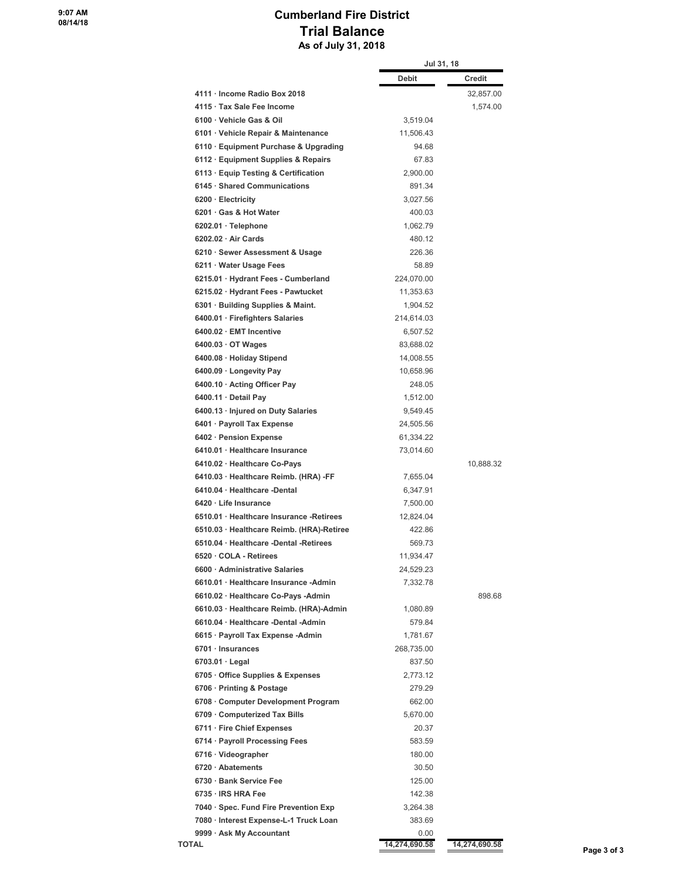### **Cumberland Fire District Trial Balance As of July 31, 2018**

|                                           | Jul 31, 18    |               |
|-------------------------------------------|---------------|---------------|
|                                           | <b>Debit</b>  | Credit        |
| 4111 · Income Radio Box 2018              |               | 32,857.00     |
| 4115 · Tax Sale Fee Income                |               | 1,574.00      |
| 6100 · Vehicle Gas & Oil                  | 3,519.04      |               |
| 6101 · Vehicle Repair & Maintenance       | 11,506.43     |               |
| 6110 · Equipment Purchase & Upgrading     | 94.68         |               |
| 6112 · Equipment Supplies & Repairs       | 67.83         |               |
| 6113 · Equip Testing & Certification      | 2,900.00      |               |
| 6145 · Shared Communications              | 891.34        |               |
| $6200 \cdot$ Electricity                  | 3,027.56      |               |
| 6201 Gas & Hot Water                      | 400.03        |               |
| $6202.01 \cdot$ Telephone                 | 1,062.79      |               |
| $6202.02 \cdot Air Cards$                 | 480.12        |               |
| 6210 · Sewer Assessment & Usage           | 226.36        |               |
| 6211 · Water Usage Fees                   | 58.89         |               |
| 6215.01 · Hydrant Fees - Cumberland       | 224,070.00    |               |
|                                           |               |               |
| 6215.02 · Hydrant Fees - Pawtucket        | 11,353.63     |               |
| 6301 · Building Supplies & Maint.         | 1,904.52      |               |
| 6400.01 · Firefighters Salaries           | 214,614.03    |               |
| 6400.02 · EMT Incentive                   | 6,507.52      |               |
| $6400.03 \cdot$ OT Wages                  | 83,688.02     |               |
| 6400.08 · Holiday Stipend                 | 14,008.55     |               |
| 6400.09 · Longevity Pay                   | 10,658.96     |               |
| 6400.10 · Acting Officer Pay              | 248.05        |               |
| 6400.11 · Detail Pay                      | 1,512.00      |               |
| 6400.13 · Injured on Duty Salaries        | 9,549.45      |               |
| 6401 · Payroll Tax Expense                | 24,505.56     |               |
| 6402 · Pension Expense                    | 61,334.22     |               |
| 6410.01 · Healthcare Insurance            | 73,014.60     |               |
| 6410.02 · Healthcare Co-Pays              |               | 10,888.32     |
| 6410.03 · Healthcare Reimb. (HRA) -FF     | 7,655.04      |               |
| 6410.04 · Healthcare -Dental              | 6,347.91      |               |
| 6420 · Life Insurance                     | 7,500.00      |               |
| 6510.01 · Healthcare Insurance -Retirees  | 12,824.04     |               |
| 6510.03 · Healthcare Reimb. (HRA)-Retiree | 422.86        |               |
| 6510.04 · Healthcare -Dental -Retirees    | 569.73        |               |
| 6520 · COLA - Retirees                    | 11,934.47     |               |
| 6600 Administrative Salaries              | 24,529.23     |               |
| 6610.01 · Healthcare Insurance -Admin     | 7,332.78      |               |
| 6610.02 · Healthcare Co-Pays -Admin       |               | 898.68        |
| 6610.03 · Healthcare Reimb. (HRA)-Admin   | 1,080.89      |               |
| 6610.04 · Healthcare -Dental -Admin       | 579.84        |               |
| 6615 · Payroll Tax Expense -Admin         | 1,781.67      |               |
| 6701 · Insurances                         |               |               |
|                                           | 268,735.00    |               |
| $6703.01 \cdot$ Legal                     | 837.50        |               |
| 6705 · Office Supplies & Expenses         | 2,773.12      |               |
| 6706 · Printing & Postage                 | 279.29        |               |
| 6708 Computer Development Program         | 662.00        |               |
| 6709 Computerized Tax Bills               | 5,670.00      |               |
| 6711 · Fire Chief Expenses                | 20.37         |               |
| 6714 · Payroll Processing Fees            | 583.59        |               |
| 6716 · Videographer                       | 180.00        |               |
| 6720 Abatements                           | 30.50         |               |
| 6730 · Bank Service Fee                   | 125.00        |               |
| 6735 · IRS HRA Fee                        | 142.38        |               |
| 7040 · Spec. Fund Fire Prevention Exp     | 3,264.38      |               |
| 7080 · Interest Expense-L-1 Truck Loan    | 383.69        |               |
| 9999 · Ask My Accountant                  | 0.00          |               |
| TOTAL                                     | 14,274,690.58 | 14,274,690.58 |
|                                           |               |               |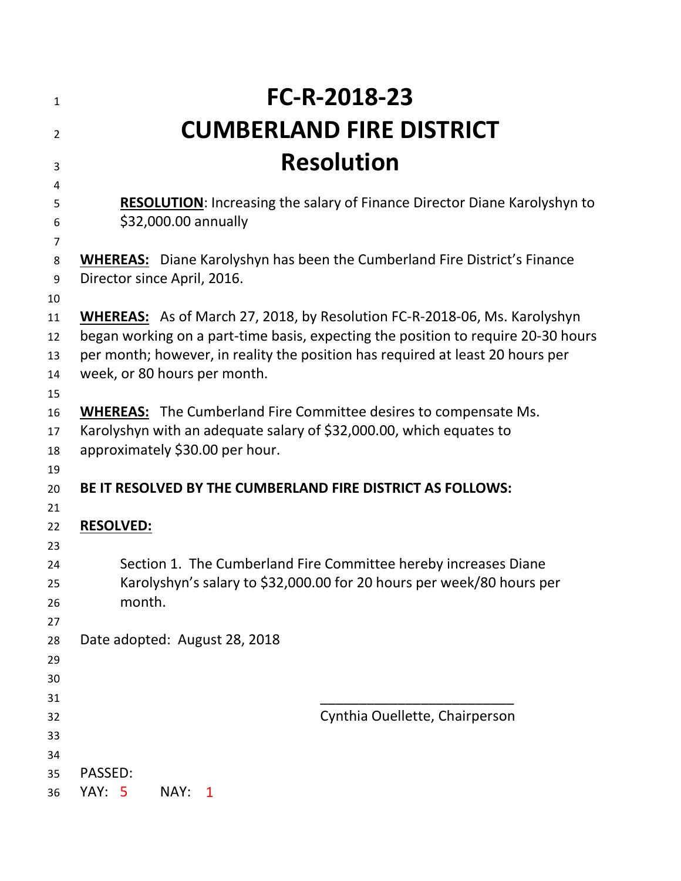| 1              | FC-R-2018-23                                                                                                                                                          |  |  |  |  |
|----------------|-----------------------------------------------------------------------------------------------------------------------------------------------------------------------|--|--|--|--|
| $\overline{2}$ | <b>CUMBERLAND FIRE DISTRICT</b>                                                                                                                                       |  |  |  |  |
|                |                                                                                                                                                                       |  |  |  |  |
| 3              | <b>Resolution</b>                                                                                                                                                     |  |  |  |  |
| 4              |                                                                                                                                                                       |  |  |  |  |
| 5              | <b>RESOLUTION:</b> Increasing the salary of Finance Director Diane Karolyshyn to                                                                                      |  |  |  |  |
| 6              | \$32,000.00 annually                                                                                                                                                  |  |  |  |  |
| 7              |                                                                                                                                                                       |  |  |  |  |
| 8              | <b>WHEREAS:</b> Diane Karolyshyn has been the Cumberland Fire District's Finance                                                                                      |  |  |  |  |
| 9              | Director since April, 2016.                                                                                                                                           |  |  |  |  |
| 10             |                                                                                                                                                                       |  |  |  |  |
| 11<br>12       | <b>WHEREAS:</b> As of March 27, 2018, by Resolution FC-R-2018-06, Ms. Karolyshyn<br>began working on a part-time basis, expecting the position to require 20-30 hours |  |  |  |  |
| 13             | per month; however, in reality the position has required at least 20 hours per                                                                                        |  |  |  |  |
| 14             | week, or 80 hours per month.                                                                                                                                          |  |  |  |  |
| 15             |                                                                                                                                                                       |  |  |  |  |
| 16             | <b>WHEREAS:</b> The Cumberland Fire Committee desires to compensate Ms.                                                                                               |  |  |  |  |
| 17             | Karolyshyn with an adequate salary of \$32,000.00, which equates to                                                                                                   |  |  |  |  |
| 18             | approximately \$30.00 per hour.                                                                                                                                       |  |  |  |  |
| 19             |                                                                                                                                                                       |  |  |  |  |
| 20             | BE IT RESOLVED BY THE CUMBERLAND FIRE DISTRICT AS FOLLOWS:                                                                                                            |  |  |  |  |
| 21             |                                                                                                                                                                       |  |  |  |  |
| 22             | <b>RESOLVED:</b>                                                                                                                                                      |  |  |  |  |
| 23             |                                                                                                                                                                       |  |  |  |  |
| 24             | Section 1. The Cumberland Fire Committee hereby increases Diane                                                                                                       |  |  |  |  |
| 25             | Karolyshyn's salary to \$32,000.00 for 20 hours per week/80 hours per                                                                                                 |  |  |  |  |
| 26             | month.                                                                                                                                                                |  |  |  |  |
| 27             |                                                                                                                                                                       |  |  |  |  |
| 28             | Date adopted: August 28, 2018                                                                                                                                         |  |  |  |  |
| 29             |                                                                                                                                                                       |  |  |  |  |
| 30             |                                                                                                                                                                       |  |  |  |  |
| 31             |                                                                                                                                                                       |  |  |  |  |
| 32             | Cynthia Ouellette, Chairperson                                                                                                                                        |  |  |  |  |
| 33             |                                                                                                                                                                       |  |  |  |  |
| 34<br>35       | PASSED:                                                                                                                                                               |  |  |  |  |
| 36             | <b>YAY: 5</b><br>NAY:<br>$\mathbf{1}$                                                                                                                                 |  |  |  |  |
|                |                                                                                                                                                                       |  |  |  |  |